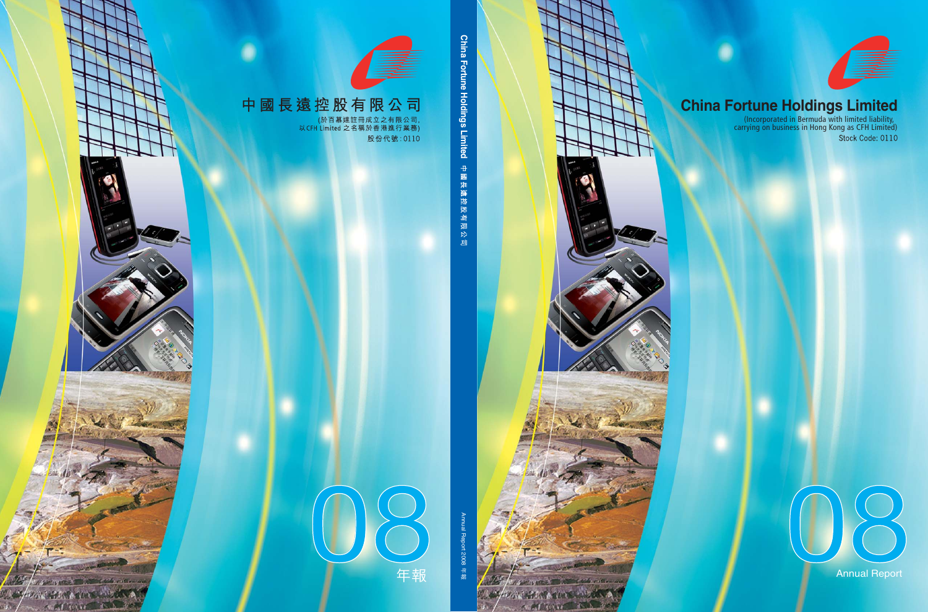

# **China Fortune Holdings Limited**

(Incorporated in Bermuda with limited liability, carrying on business in Hong Kong as CFH Limited)



Annual Report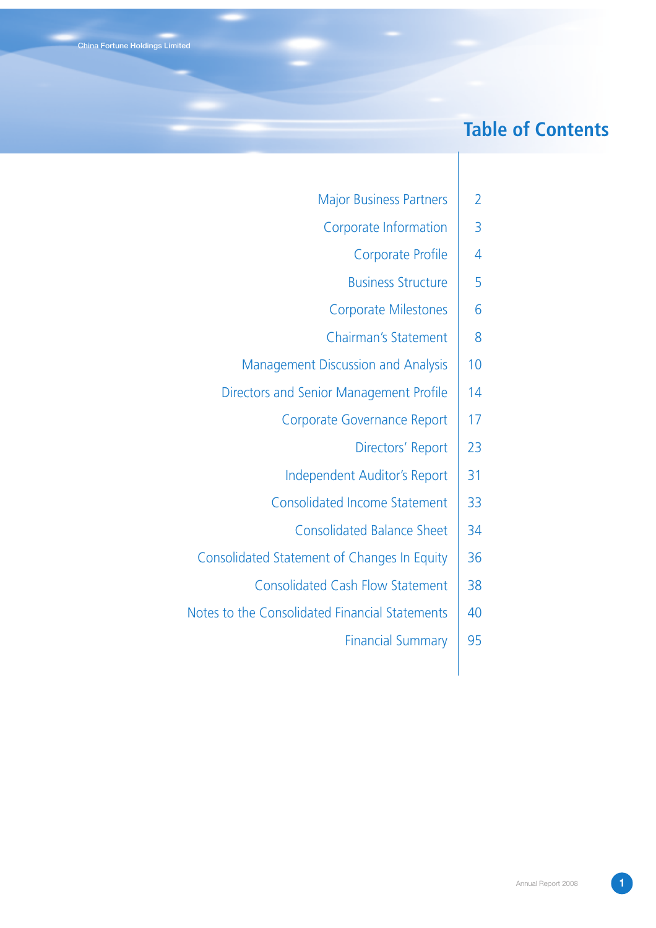# **Table of Contents**

- Major Business Partners | 2
- Corporate Information | 3
	- Corporate Profile | 4
	- Business Structure | 5
- Corporate Milestones | 6
- Chairman's Statement | 8
- Management Discussion and Analysis | 10
- Directors and Senior Management Profile | 14
	- Corporate Governance Report | 17
		- Directors' Report | 23
	- Independent Auditor's Report | 31
	- Consolidated Income Statement 33
		- Consolidated Balance Sheet | 34
- Consolidated Statement of Changes In Equity | 36
	- Consolidated Cash Flow Statement 38
- Notes to the Consolidated Financial Statements | 40
	- Financial Summary | 95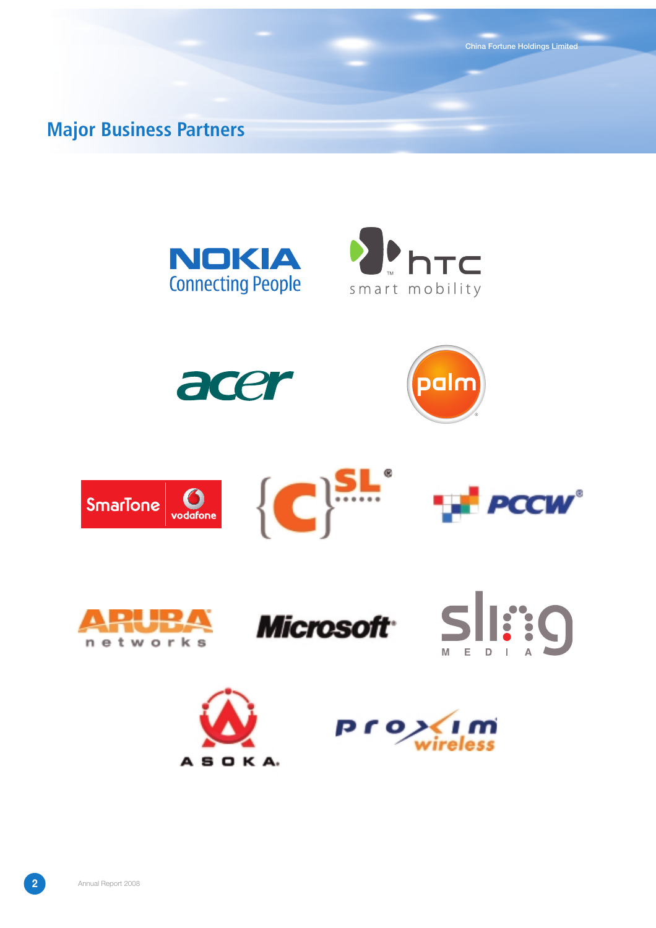**Major Business Partners**

















**China Fortune Holdings Limited**



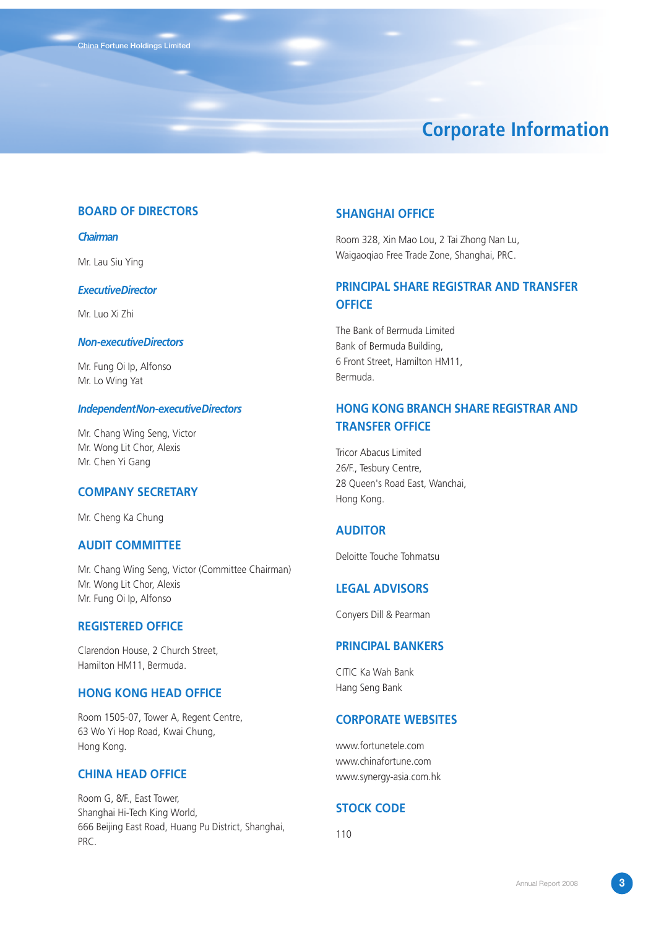# **Corporate Information**

### **BOARD OF DIRECTORS**

### *Chairman*

Mr. Lau Siu Ying

#### *Executive Director*

Mr. Luo Xi Zhi

#### *Non-executive Directors*

Mr. Fung Oi Ip, Alfonso Mr. Lo Wing Yat

#### *Independent Non-executive Directors*

Mr. Chang Wing Seng, Victor Mr. Wong Lit Chor, Alexis Mr. Chen Yi Gang

### **COMPANY SECRETARY**

Mr. Cheng Ka Chung

### **AUDIT COMMITTEE**

Mr. Chang Wing Seng, Victor (Committee Chairman) Mr. Wong Lit Chor, Alexis Mr. Fung Oi Ip, Alfonso

### **REGISTERED OFFICE**

Clarendon House, 2 Church Street, Hamilton HM11, Bermuda.

### **HONG KONG HEAD OFFICE**

Room 1505-07, Tower A, Regent Centre, 63 Wo Yi Hop Road, Kwai Chung, Hong Kong.

### **CHINA HEAD OFFICE**

Room G, 8/F., East Tower, Shanghai Hi-Tech King World, 666 Beijing East Road, Huang Pu District, Shanghai, PRC.

### **SHANGHAI OFFICE**

Room 328, Xin Mao Lou, 2 Tai Zhong Nan Lu, Waigaoqiao Free Trade Zone, Shanghai, PRC.

## **PRINCIPAL SHARE REGISTRAR AND TRANSFER OFFICE**

The Bank of Bermuda Limited Bank of Bermuda Building, 6 Front Street, Hamilton HM11, Bermuda.

### **HONG KONG BRANCH SHARE REGISTRAR AND TRANSFER OFFICE**

Tricor Abacus Limited 26/F., Tesbury Centre, 28 Queen's Road East, Wanchai, Hong Kong.

#### **AUDITOR**

Deloitte Touche Tohmatsu

### **LEGAL ADVISORS**

Conyers Dill & Pearman

## **PRINCIPAL BANKERS**

CITIC Ka Wah Bank Hang Seng Bank

### **CORPORATE WEBSITES**

www.fortunetele.com www.chinafortune.com www.synergy-asia.com.hk

#### **STOCK CODE**

110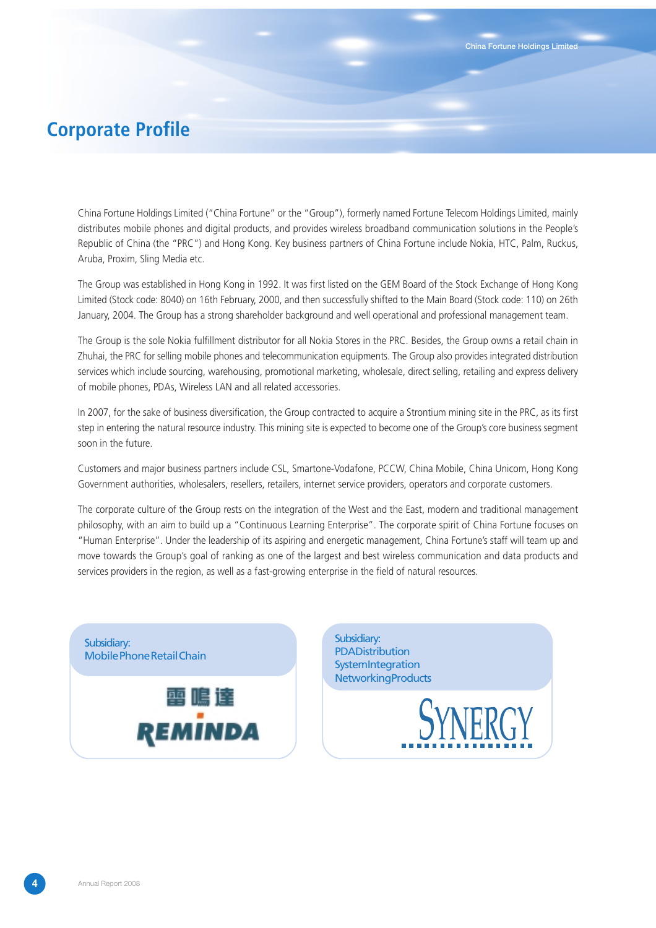# **Corporate Profile**

China Fortune Holdings Limited ("China Fortune" or the "Group"), formerly named Fortune Telecom Holdings Limited, mainly distributes mobile phones and digital products, and provides wireless broadband communication solutions in the People's Republic of China (the "PRC") and Hong Kong. Key business partners of China Fortune include Nokia, HTC, Palm, Ruckus, Aruba, Proxim, Sling Media etc.

The Group was established in Hong Kong in 1992. It was first listed on the GEM Board of the Stock Exchange of Hong Kong Limited (Stock code: 8040) on 16th February, 2000, and then successfully shifted to the Main Board (Stock code: 110) on 26th January, 2004. The Group has a strong shareholder background and well operational and professional management team.

The Group is the sole Nokia fulfillment distributor for all Nokia Stores in the PRC. Besides, the Group owns a retail chain in Zhuhai, the PRC for selling mobile phones and telecommunication equipments. The Group also provides integrated distribution services which include sourcing, warehousing, promotional marketing, wholesale, direct selling, retailing and express delivery of mobile phones, PDAs, Wireless LAN and all related accessories.

In 2007, for the sake of business diversification, the Group contracted to acquire a Strontium mining site in the PRC, as its first step in entering the natural resource industry. This mining site is expected to become one of the Group's core business segment soon in the future.

Customers and major business partners include CSL, Smartone-Vodafone, PCCW, China Mobile, China Unicom, Hong Kong Government authorities, wholesalers, resellers, retailers, internet service providers, operators and corporate customers.

The corporate culture of the Group rests on the integration of the West and the East, modern and traditional management philosophy, with an aim to build up a "Continuous Learning Enterprise". The corporate spirit of China Fortune focuses on "Human Enterprise". Under the leadership of its aspiring and energetic management, China Fortune's staff will team up and move towards the Group's goal of ranking as one of the largest and best wireless communication and data products and services providers in the region, as well as a fast-growing enterprise in the field of natural resources.



Subsidiary: **PDA Distribution System Integration Networking Products** 

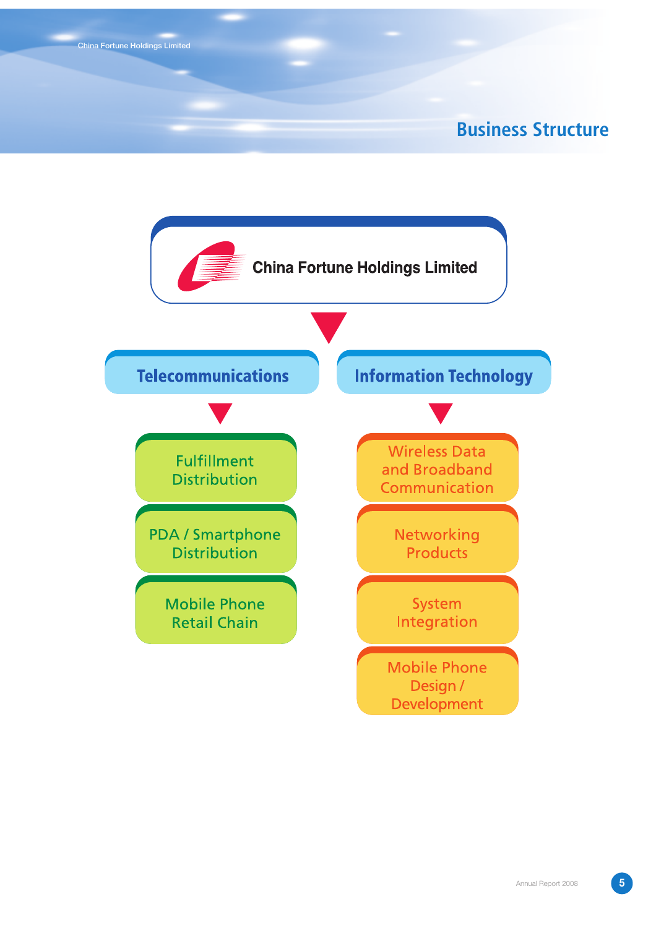# **Business Structure**

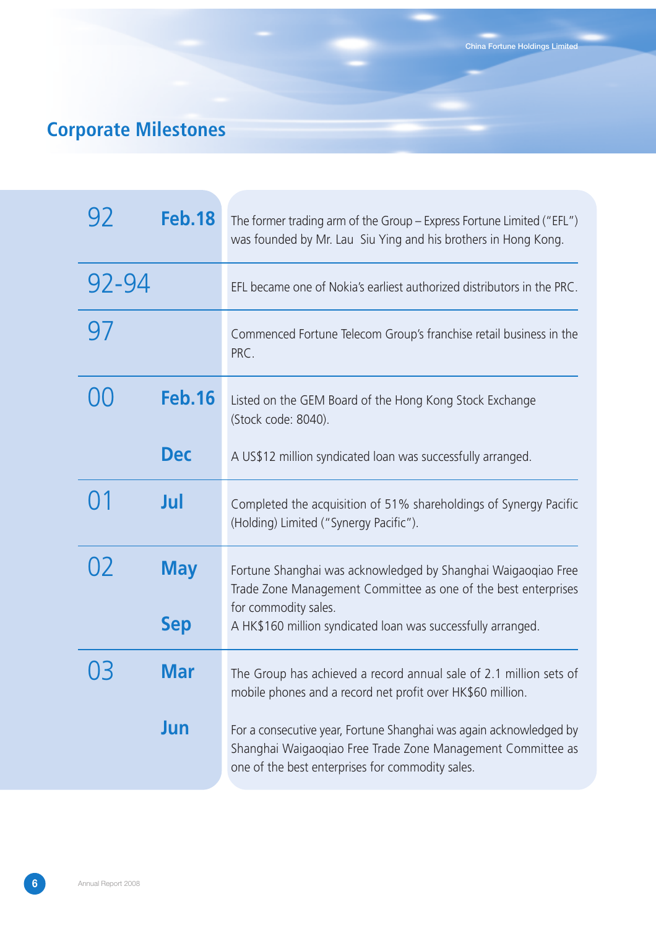# **Corporate Milestones**

| 92    | <b>Feb.18</b>            | The former trading arm of the Group – Express Fortune Limited ("EFL")<br>was founded by Mr. Lau Siu Ying and his brothers in Hong Kong.                                                                                 |
|-------|--------------------------|-------------------------------------------------------------------------------------------------------------------------------------------------------------------------------------------------------------------------|
| 92-94 |                          | EFL became one of Nokia's earliest authorized distributors in the PRC.                                                                                                                                                  |
| 97    |                          | Commenced Fortune Telecom Group's franchise retail business in the<br>PRC.                                                                                                                                              |
| X.    | <b>Feb.16</b>            | Listed on the GEM Board of the Hong Kong Stock Exchange<br>(Stock code: 8040).                                                                                                                                          |
|       | <b>Dec</b>               | A US\$12 million syndicated loan was successfully arranged.                                                                                                                                                             |
|       | Jul                      | Completed the acquisition of 51% shareholdings of Synergy Pacific<br>(Holding) Limited ("Synergy Pacific").                                                                                                             |
| 02    | <b>May</b><br><b>Sep</b> | Fortune Shanghai was acknowledged by Shanghai Waigaoqiao Free<br>Trade Zone Management Committee as one of the best enterprises<br>for commodity sales.<br>A HK\$160 million syndicated loan was successfully arranged. |
|       | Mar                      | The Group has achieved a record annual sale of 2.1 million sets of<br>mobile phones and a record net profit over HK\$60 million.                                                                                        |
|       | Jun                      | For a consecutive year, Fortune Shanghai was again acknowledged by<br>Shanghai Waigaoqiao Free Trade Zone Management Committee as<br>one of the best enterprises for commodity sales.                                   |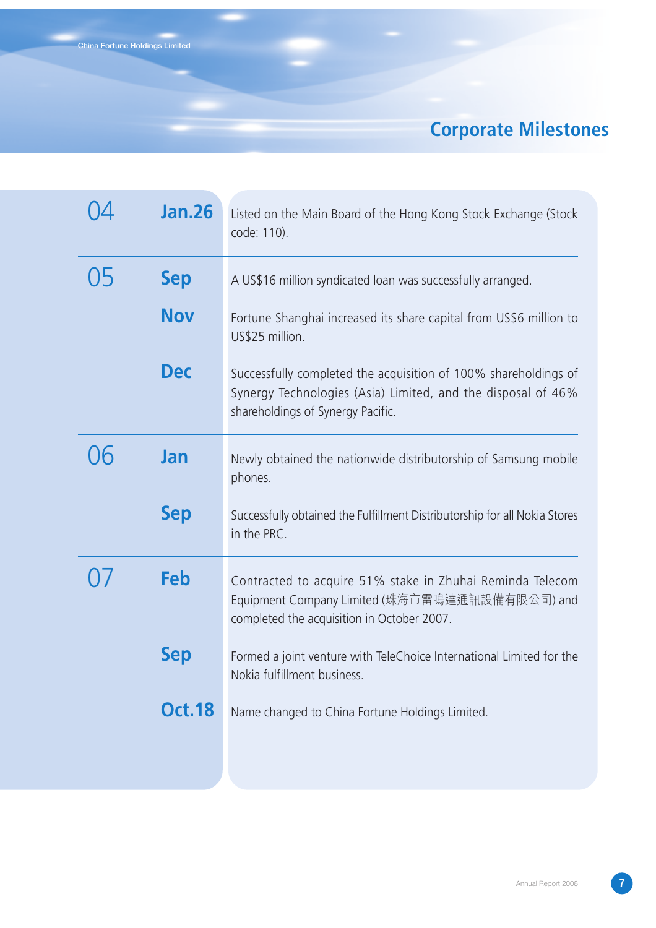# **Corporate Milestones**

|              | <b>Jan.26</b> | Listed on the Main Board of the Hong Kong Stock Exchange (Stock<br>code: 110).                                                                                       |
|--------------|---------------|----------------------------------------------------------------------------------------------------------------------------------------------------------------------|
| $\mathsf{L}$ | <b>Sep</b>    | A US\$16 million syndicated loan was successfully arranged.                                                                                                          |
|              | <b>Nov</b>    | Fortune Shanghai increased its share capital from US\$6 million to<br>US\$25 million.                                                                                |
|              | <b>Dec</b>    | Successfully completed the acquisition of 100% shareholdings of<br>Synergy Technologies (Asia) Limited, and the disposal of 46%<br>shareholdings of Synergy Pacific. |
|              | Jan           | Newly obtained the nationwide distributorship of Samsung mobile<br>phones.                                                                                           |
|              | <b>Sep</b>    | Successfully obtained the Fulfillment Distributorship for all Nokia Stores<br>in the PRC.                                                                            |
|              | Feb           | Contracted to acquire 51% stake in Zhuhai Reminda Telecom<br>Equipment Company Limited (珠海市雷鳴達通訊設備有限公司) and<br>completed the acquisition in October 2007.            |
|              | <b>Sep</b>    | Formed a joint venture with TeleChoice International Limited for the<br>Nokia fulfillment business.                                                                  |
|              | <b>Oct.18</b> | Name changed to China Fortune Holdings Limited.                                                                                                                      |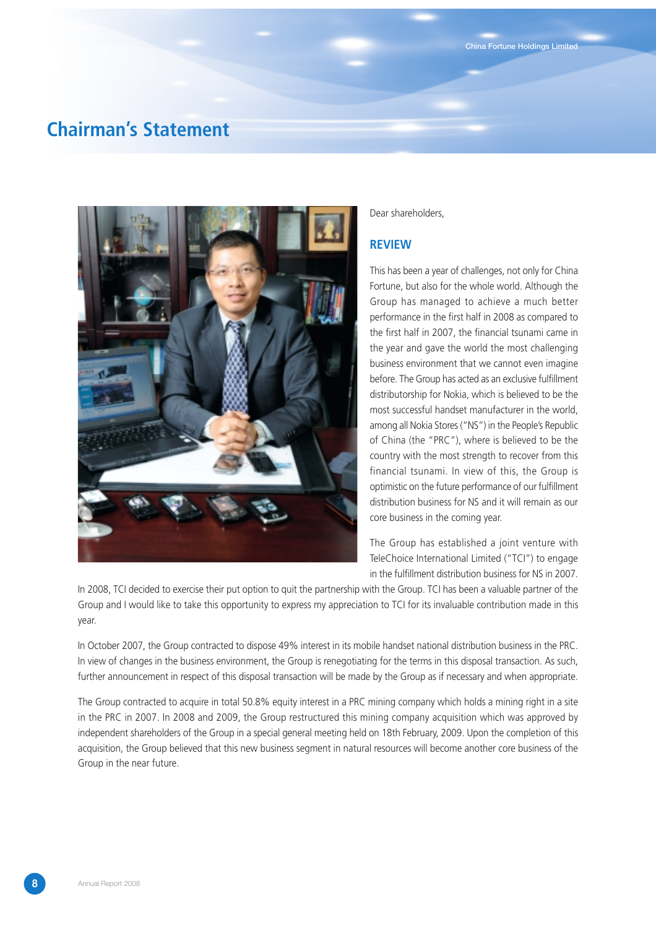## **Chairman's Statement**



#### Dear shareholders,

#### **REVIEW**

This has been a year of challenges, not only for China Fortune, but also for the whole world. Although the Group has managed to achieve a much better performance in the first half in 2008 as compared to the first half in 2007, the financial tsunami came in the year and gave the world the most challenging business environment that we cannot even imagine before. The Group has acted as an exclusive fulfillment distributorship for Nokia, which is believed to be the most successful handset manufacturer in the world, among all Nokia Stores ("NS") in the People's Republic of China (the "PRC"), where is believed to be the country with the most strength to recover from this financial tsunami. In view of this, the Group is optimistic on the future performance of our fulfillment distribution business for NS and it will remain as our core business in the coming year.

The Group has established a joint venture with TeleChoice International Limited ("TCI") to engage in the fulfillment distribution business for NS in 2007.

In 2008, TCI decided to exercise their put option to quit the partnership with the Group. TCI has been a valuable partner of the Group and I would like to take this opportunity to express my appreciation to TCI for its invaluable contribution made in this year.

In October 2007, the Group contracted to dispose 49% interest in its mobile handset national distribution business in the PRC. In view of changes in the business environment, the Group is renegotiating for the terms in this disposal transaction. As such, further announcement in respect of this disposal transaction will be made by the Group as if necessary and when appropriate.

The Group contracted to acquire in total 50.8% equity interest in a PRC mining company which holds a mining right in a site in the PRC in 2007. In 2008 and 2009, the Group restructured this mining company acquisition which was approved by independent shareholders of the Group in a special general meeting held on 18th February, 2009. Upon the completion of this acquisition, the Group believed that this new business segment in natural resources will become another core business of the Group in the near future.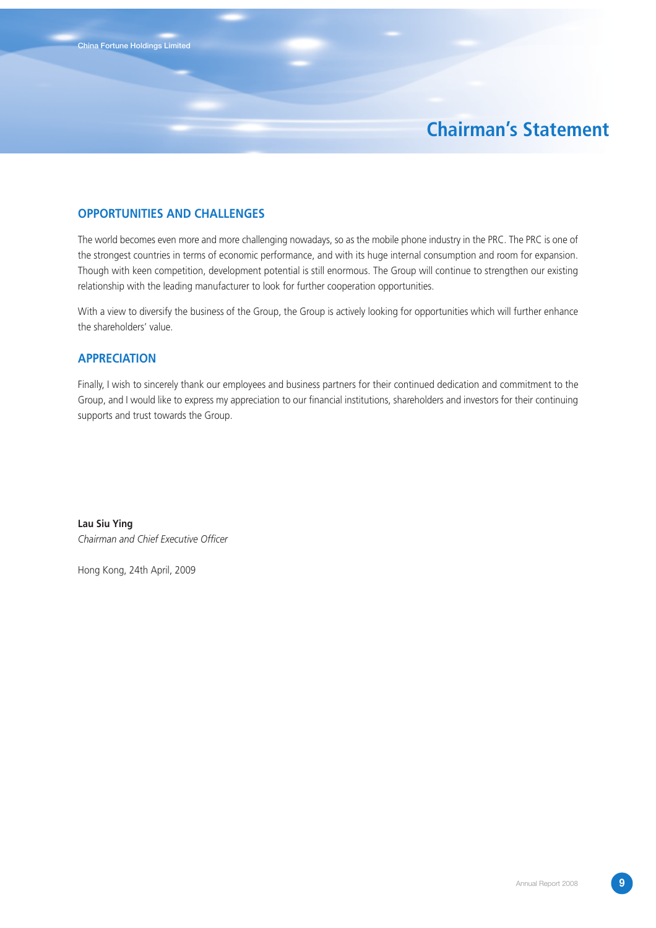# **Chairman's Statement**

### **OPPORTUNITIES AND CHALLENGES**

The world becomes even more and more challenging nowadays, so as the mobile phone industry in the PRC. The PRC is one of the strongest countries in terms of economic performance, and with its huge internal consumption and room for expansion. Though with keen competition, development potential is still enormous. The Group will continue to strengthen our existing relationship with the leading manufacturer to look for further cooperation opportunities.

With a view to diversify the business of the Group, the Group is actively looking for opportunities which will further enhance the shareholders' value.

### **APPRECIATION**

Finally, I wish to sincerely thank our employees and business partners for their continued dedication and commitment to the Group, and I would like to express my appreciation to our financial institutions, shareholders and investors for their continuing supports and trust towards the Group.

**Lau Siu Ying** *Chairman and Chief Executive Officer*

Hong Kong, 24th April, 2009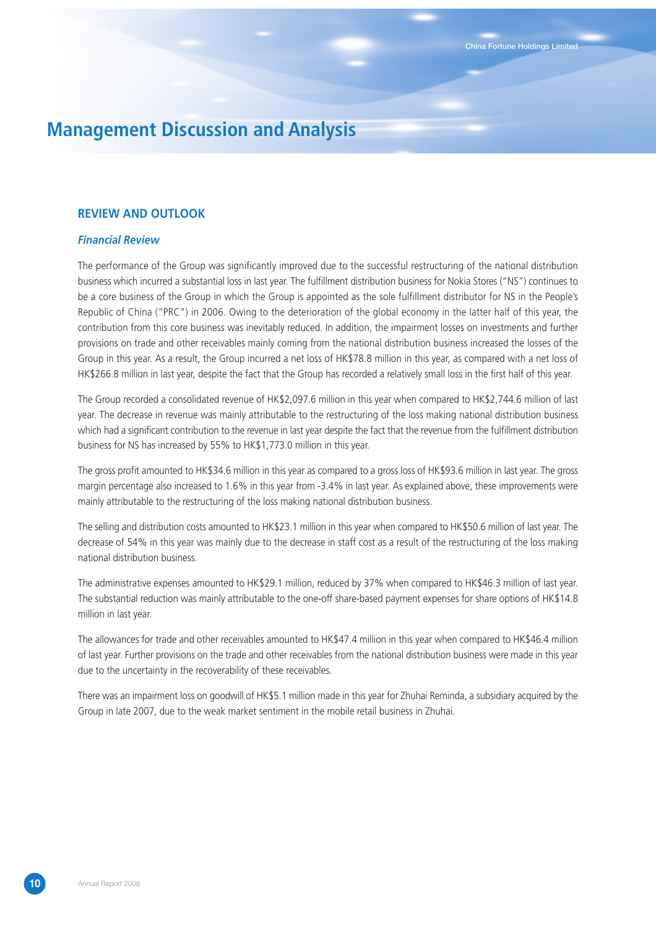### **REVIEW AND OUTLOOK**

#### *Financial Review*

The performance of the Group was significantly improved due to the successful restructuring of the national distribution business which incurred a substantial loss in last year. The fulfillment distribution business for Nokia Stores ("NS") continues to be a core business of the Group in which the Group is appointed as the sole fulfillment distributor for NS in the People's Republic of China ("PRC") in 2006. Owing to the deterioration of the global economy in the latter half of this year, the contribution from this core business was inevitably reduced. In addition, the impairment losses on investments and further provisions on trade and other receivables mainly coming from the national distribution business increased the losses of the Group in this year. As a result, the Group incurred a net loss of HK\$78.8 million in this year, as compared with a net loss of HK\$266.8 million in last year, despite the fact that the Group has recorded a relatively small loss in the first half of this year.

The Group recorded a consolidated revenue of HK\$2,097.6 million in this year when compared to HK\$2,744.6 million of last year. The decrease in revenue was mainly attributable to the restructuring of the loss making national distribution business which had a significant contribution to the revenue in last year despite the fact that the revenue from the fulfillment distribution business for NS has increased by 55% to HK\$1,773.0 million in this year.

The gross profit amounted to HK\$34.6 million in this year as compared to a gross loss of HK\$93.6 million in last year. The gross margin percentage also increased to 1.6% in this year from -3.4% in last year. As explained above, these improvements were mainly attributable to the restructuring of the loss making national distribution business.

The selling and distribution costs amounted to HK\$23.1 million in this year when compared to HK\$50.6 million of last year. The decrease of 54% in this year was mainly due to the decrease in staff cost as a result of the restructuring of the loss making national distribution business.

The administrative expenses amounted to HK\$29.1 million, reduced by 37% when compared to HK\$46.3 million of last year. The substantial reduction was mainly attributable to the one-off share-based payment expenses for share options of HK\$14.8 million in last year.

The allowances for trade and other receivables amounted to HK\$47.4 million in this year when compared to HK\$46.4 million of last year. Further provisions on the trade and other receivables from the national distribution business were made in this year due to the uncertainty in the recoverability of these receivables.

There was an impairment loss on goodwill of HK\$5.1 million made in this year for Zhuhai Reminda, a subsidiary acquired by the Group in late 2007, due to the weak market sentiment in the mobile retail business in Zhuhai.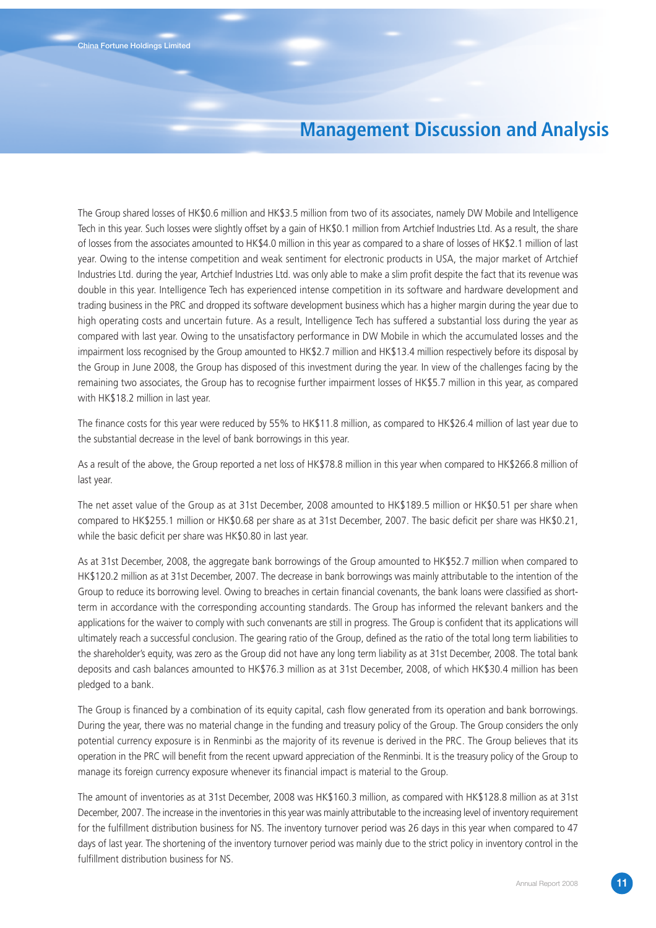The Group shared losses of HK\$0.6 million and HK\$3.5 million from two of its associates, namely DW Mobile and Intelligence Tech in this year. Such losses were slightly offset by a gain of HK\$0.1 million from Artchief Industries Ltd. As a result, the share of losses from the associates amounted to HK\$4.0 million in this year as compared to a share of losses of HK\$2.1 million of last year. Owing to the intense competition and weak sentiment for electronic products in USA, the major market of Artchief Industries Ltd. during the year, Artchief Industries Ltd. was only able to make a slim profit despite the fact that its revenue was double in this year. Intelligence Tech has experienced intense competition in its software and hardware development and trading business in the PRC and dropped its software development business which has a higher margin during the year due to high operating costs and uncertain future. As a result, Intelligence Tech has suffered a substantial loss during the year as compared with last year. Owing to the unsatisfactory performance in DW Mobile in which the accumulated losses and the impairment loss recognised by the Group amounted to HK\$2.7 million and HK\$13.4 million respectively before its disposal by the Group in June 2008, the Group has disposed of this investment during the year. In view of the challenges facing by the remaining two associates, the Group has to recognise further impairment losses of HK\$5.7 million in this year, as compared with HK\$18.2 million in last year.

The finance costs for this year were reduced by 55% to HK\$11.8 million, as compared to HK\$26.4 million of last year due to the substantial decrease in the level of bank borrowings in this year.

As a result of the above, the Group reported a net loss of HK\$78.8 million in this year when compared to HK\$266.8 million of last year.

The net asset value of the Group as at 31st December, 2008 amounted to HK\$189.5 million or HK\$0.51 per share when compared to HK\$255.1 million or HK\$0.68 per share as at 31st December, 2007. The basic deficit per share was HK\$0.21, while the basic deficit per share was HK\$0.80 in last year.

As at 31st December, 2008, the aggregate bank borrowings of the Group amounted to HK\$52.7 million when compared to HK\$120.2 million as at 31st December, 2007. The decrease in bank borrowings was mainly attributable to the intention of the Group to reduce its borrowing level. Owing to breaches in certain financial covenants, the bank loans were classified as shortterm in accordance with the corresponding accounting standards. The Group has informed the relevant bankers and the applications for the waiver to comply with such convenants are still in progress. The Group is confident that its applications will ultimately reach a successful conclusion. The gearing ratio of the Group, defined as the ratio of the total long term liabilities to the shareholder's equity, was zero as the Group did not have any long term liability as at 31st December, 2008. The total bank deposits and cash balances amounted to HK\$76.3 million as at 31st December, 2008, of which HK\$30.4 million has been pledged to a bank.

The Group is financed by a combination of its equity capital, cash flow generated from its operation and bank borrowings. During the year, there was no material change in the funding and treasury policy of the Group. The Group considers the only potential currency exposure is in Renminbi as the majority of its revenue is derived in the PRC. The Group believes that its operation in the PRC will benefit from the recent upward appreciation of the Renminbi. It is the treasury policy of the Group to manage its foreign currency exposure whenever its financial impact is material to the Group.

The amount of inventories as at 31st December, 2008 was HK\$160.3 million, as compared with HK\$128.8 million as at 31st December, 2007. The increase in the inventories in this year was mainly attributable to the increasing level of inventory requirement for the fulfillment distribution business for NS. The inventory turnover period was 26 days in this year when compared to 47 days of last year. The shortening of the inventory turnover period was mainly due to the strict policy in inventory control in the fulfillment distribution business for NS.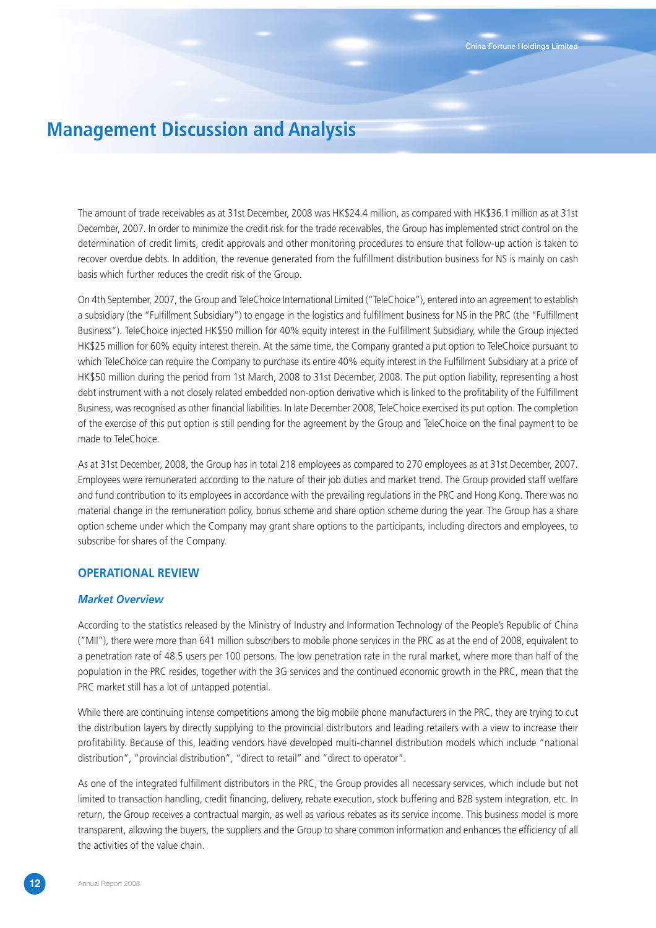The amount of trade receivables as at 31st December, 2008 was HK\$24.4 million, as compared with HK\$36.1 million as at 31st December, 2007. In order to minimize the credit risk for the trade receivables, the Group has implemented strict control on the determination of credit limits, credit approvals and other monitoring procedures to ensure that follow-up action is taken to recover overdue debts. In addition, the revenue generated from the fulfillment distribution business for NS is mainly on cash basis which further reduces the credit risk of the Group.

On 4th September, 2007, the Group and TeleChoice International Limited ("TeleChoice"), entered into an agreement to establish a subsidiary (the "Fulfillment Subsidiary") to engage in the logistics and fulfillment business for NS in the PRC (the "Fulfillment Business"). TeleChoice injected HK\$50 million for 40% equity interest in the Fulfillment Subsidiary, while the Group injected HK\$25 million for 60% equity interest therein. At the same time, the Company granted a put option to TeleChoice pursuant to which TeleChoice can require the Company to purchase its entire 40% equity interest in the Fulfillment Subsidiary at a price of HK\$50 million during the period from 1st March, 2008 to 31st December, 2008. The put option liability, representing a host debt instrument with a not closely related embedded non-option derivative which is linked to the profitability of the Fulfillment Business, was recognised as other financial liabilities. In late December 2008, TeleChoice exercised its put option. The completion of the exercise of this put option is still pending for the agreement by the Group and TeleChoice on the final payment to be made to TeleChoice.

As at 31st December, 2008, the Group has in total 218 employees as compared to 270 employees as at 31st December, 2007. Employees were remunerated according to the nature of their job duties and market trend. The Group provided staff welfare and fund contribution to its employees in accordance with the prevailing regulations in the PRC and Hong Kong. There was no material change in the remuneration policy, bonus scheme and share option scheme during the year. The Group has a share option scheme under which the Company may grant share options to the participants, including directors and employees, to subscribe for shares of the Company.

### **OPERATIONAL REVIEW**

### *Market Overview*

According to the statistics released by the Ministry of Industry and Information Technology of the People's Republic of China ("MII"), there were more than 641 million subscribers to mobile phone services in the PRC as at the end of 2008, equivalent to a penetration rate of 48.5 users per 100 persons. The low penetration rate in the rural market, where more than half of the population in the PRC resides, together with the 3G services and the continued economic growth in the PRC, mean that the PRC market still has a lot of untapped potential.

While there are continuing intense competitions among the big mobile phone manufacturers in the PRC, they are trying to cut the distribution layers by directly supplying to the provincial distributors and leading retailers with a view to increase their profitability. Because of this, leading vendors have developed multi-channel distribution models which include "national distribution", "provincial distribution", "direct to retail" and "direct to operator".

As one of the integrated fulfillment distributors in the PRC, the Group provides all necessary services, which include but not limited to transaction handling, credit financing, delivery, rebate execution, stock buffering and B2B system integration, etc. In return, the Group receives a contractual margin, as well as various rebates as its service income. This business model is more transparent, allowing the buyers, the suppliers and the Group to share common information and enhances the efficiency of all the activities of the value chain.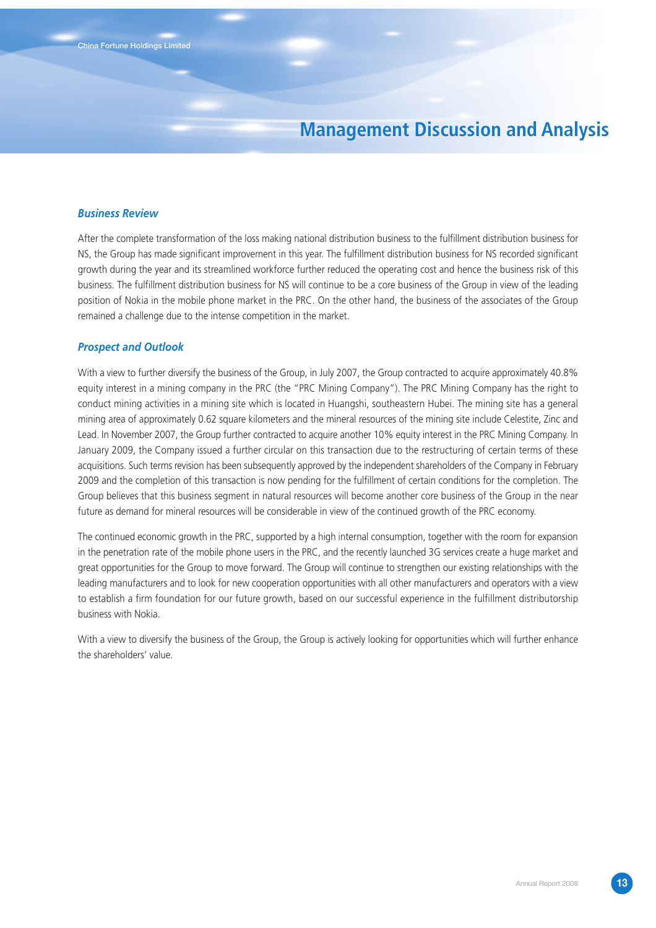#### *Business Review*

After the complete transformation of the loss making national distribution business to the fulfillment distribution business for NS, the Group has made significant improvement in this year. The fulfillment distribution business for NS recorded significant growth during the year and its streamlined workforce further reduced the operating cost and hence the business risk of this business. The fulfillment distribution business for NS will continue to be a core business of the Group in view of the leading position of Nokia in the mobile phone market in the PRC. On the other hand, the business of the associates of the Group remained a challenge due to the intense competition in the market.

#### *Prospect and Outlook*

With a view to further diversify the business of the Group, in July 2007, the Group contracted to acquire approximately 40.8% equity interest in a mining company in the PRC (the "PRC Mining Company"). The PRC Mining Company has the right to conduct mining activities in a mining site which is located in Huangshi, southeastern Hubei. The mining site has a general mining area of approximately 0.62 square kilometers and the mineral resources of the mining site include Celestite, Zinc and Lead. In November 2007, the Group further contracted to acquire another 10% equity interest in the PRC Mining Company. In January 2009, the Company issued a further circular on this transaction due to the restructuring of certain terms of these acquisitions. Such terms revision has been subsequently approved by the independent shareholders of the Company in February 2009 and the completion of this transaction is now pending for the fulfillment of certain conditions for the completion. The Group believes that this business segment in natural resources will become another core business of the Group in the near future as demand for mineral resources will be considerable in view of the continued growth of the PRC economy.

The continued economic growth in the PRC, supported by a high internal consumption, together with the room for expansion in the penetration rate of the mobile phone users in the PRC, and the recently launched 3G services create a huge market and great opportunities for the Group to move forward. The Group will continue to strengthen our existing relationships with the leading manufacturers and to look for new cooperation opportunities with all other manufacturers and operators with a view to establish a firm foundation for our future growth, based on our successful experience in the fulfillment distributorship business with Nokia.

With a view to diversify the business of the Group, the Group is actively looking for opportunities which will further enhance the shareholders' value.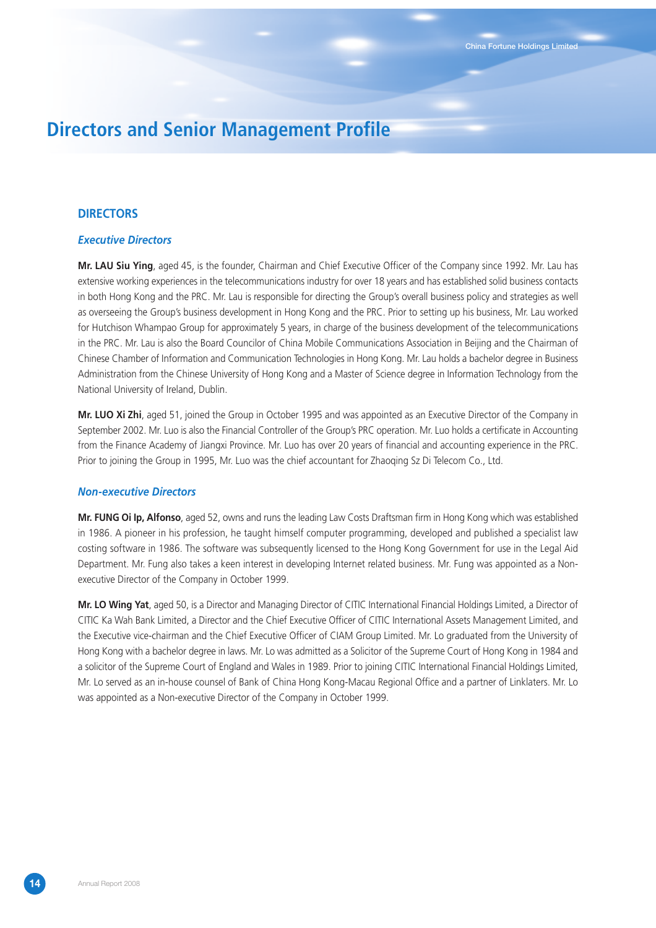# **Directors and Senior Management Profile**

### **DIRECTORS**

#### *Executive Directors*

**Mr. LAU Siu Ying**, aged 45, is the founder, Chairman and Chief Executive Officer of the Company since 1992. Mr. Lau has extensive working experiences in the telecommunications industry for over 18 years and has established solid business contacts in both Hong Kong and the PRC. Mr. Lau is responsible for directing the Group's overall business policy and strategies as well as overseeing the Group's business development in Hong Kong and the PRC. Prior to setting up his business, Mr. Lau worked for Hutchison Whampao Group for approximately 5 years, in charge of the business development of the telecommunications in the PRC. Mr. Lau is also the Board Councilor of China Mobile Communications Association in Beijing and the Chairman of Chinese Chamber of Information and Communication Technologies in Hong Kong. Mr. Lau holds a bachelor degree in Business Administration from the Chinese University of Hong Kong and a Master of Science degree in Information Technology from the National University of Ireland, Dublin.

**Mr. LUO Xi Zhi**, aged 51, joined the Group in October 1995 and was appointed as an Executive Director of the Company in September 2002. Mr. Luo is also the Financial Controller of the Group's PRC operation. Mr. Luo holds a certificate in Accounting from the Finance Academy of Jiangxi Province. Mr. Luo has over 20 years of financial and accounting experience in the PRC. Prior to joining the Group in 1995, Mr. Luo was the chief accountant for Zhaoqing Sz Di Telecom Co., Ltd.

#### *Non-executive Directors*

**Mr. FUNG Oi Ip, Alfonso**, aged 52, owns and runs the leading Law Costs Draftsman firm in Hong Kong which was established in 1986. A pioneer in his profession, he taught himself computer programming, developed and published a specialist law costing software in 1986. The software was subsequently licensed to the Hong Kong Government for use in the Legal Aid Department. Mr. Fung also takes a keen interest in developing Internet related business. Mr. Fung was appointed as a Nonexecutive Director of the Company in October 1999.

**Mr. LO Wing Yat**, aged 50, is a Director and Managing Director of CITIC International Financial Holdings Limited, a Director of CITIC Ka Wah Bank Limited, a Director and the Chief Executive Officer of CITIC International Assets Management Limited, and the Executive vice-chairman and the Chief Executive Officer of CIAM Group Limited. Mr. Lo graduated from the University of Hong Kong with a bachelor degree in laws. Mr. Lo was admitted as a Solicitor of the Supreme Court of Hong Kong in 1984 and a solicitor of the Supreme Court of England and Wales in 1989. Prior to joining CITIC International Financial Holdings Limited, Mr. Lo served as an in-house counsel of Bank of China Hong Kong-Macau Regional Office and a partner of Linklaters. Mr. Lo was appointed as a Non-executive Director of the Company in October 1999.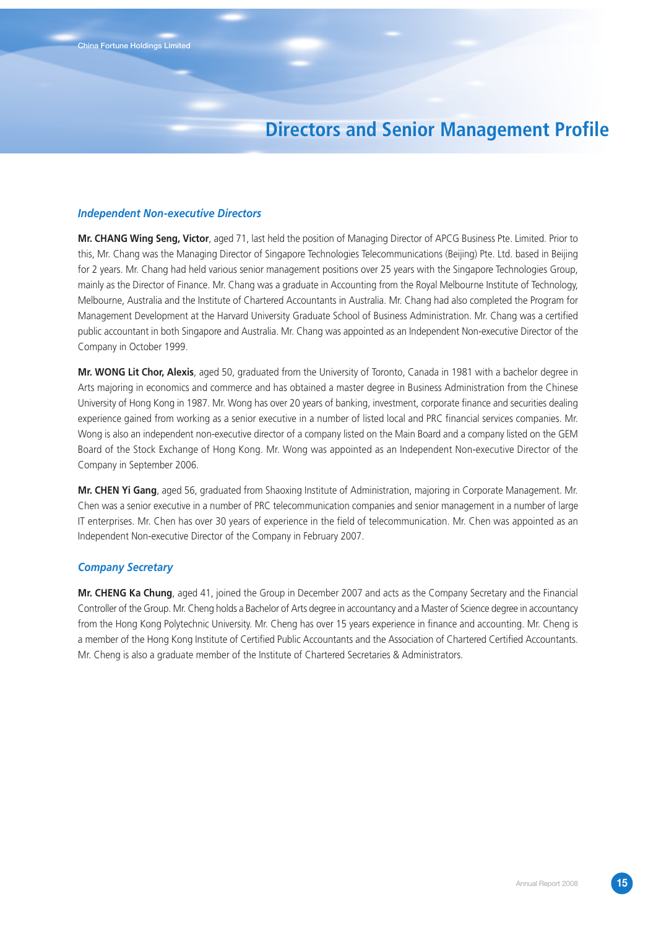# **Directors and Senior Management Profile**

#### *Independent Non-executive Directors*

**Mr. CHANG Wing Seng, Victor**, aged 71, last held the position of Managing Director of APCG Business Pte. Limited. Prior to this, Mr. Chang was the Managing Director of Singapore Technologies Telecommunications (Beijing) Pte. Ltd. based in Beijing for 2 years. Mr. Chang had held various senior management positions over 25 years with the Singapore Technologies Group, mainly as the Director of Finance. Mr. Chang was a graduate in Accounting from the Royal Melbourne Institute of Technology, Melbourne, Australia and the Institute of Chartered Accountants in Australia. Mr. Chang had also completed the Program for Management Development at the Harvard University Graduate School of Business Administration. Mr. Chang was a certified public accountant in both Singapore and Australia. Mr. Chang was appointed as an Independent Non-executive Director of the Company in October 1999.

**Mr. WONG Lit Chor, Alexis**, aged 50, graduated from the University of Toronto, Canada in 1981 with a bachelor degree in Arts majoring in economics and commerce and has obtained a master degree in Business Administration from the Chinese University of Hong Kong in 1987. Mr. Wong has over 20 years of banking, investment, corporate finance and securities dealing experience gained from working as a senior executive in a number of listed local and PRC financial services companies. Mr. Wong is also an independent non-executive director of a company listed on the Main Board and a company listed on the GEM Board of the Stock Exchange of Hong Kong. Mr. Wong was appointed as an Independent Non-executive Director of the Company in September 2006.

**Mr. CHEN Yi Gang**, aged 56, graduated from Shaoxing Institute of Administration, majoring in Corporate Management. Mr. Chen was a senior executive in a number of PRC telecommunication companies and senior management in a number of large IT enterprises. Mr. Chen has over 30 years of experience in the field of telecommunication. Mr. Chen was appointed as an Independent Non-executive Director of the Company in February 2007.

#### *Company Secretary*

**Mr. CHENG Ka Chung**, aged 41, joined the Group in December 2007 and acts as the Company Secretary and the Financial Controller of the Group. Mr. Cheng holds a Bachelor of Arts degree in accountancy and a Master of Science degree in accountancy from the Hong Kong Polytechnic University. Mr. Cheng has over 15 years experience in finance and accounting. Mr. Cheng is a member of the Hong Kong Institute of Certified Public Accountants and the Association of Chartered Certified Accountants. Mr. Cheng is also a graduate member of the Institute of Chartered Secretaries & Administrators.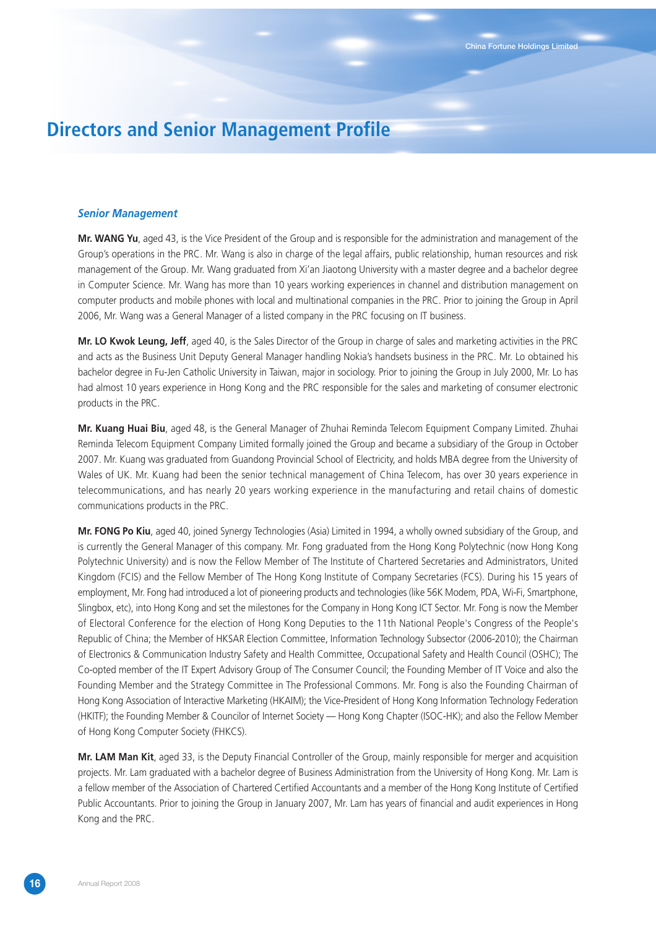# **Directors and Senior Management Profile**

#### *Senior Management*

**Mr. WANG Yu**, aged 43, is the Vice President of the Group and is responsible for the administration and management of the Group's operations in the PRC. Mr. Wang is also in charge of the legal affairs, public relationship, human resources and risk management of the Group. Mr. Wang graduated from Xi'an Jiaotong University with a master degree and a bachelor degree in Computer Science. Mr. Wang has more than 10 years working experiences in channel and distribution management on computer products and mobile phones with local and multinational companies in the PRC. Prior to joining the Group in April 2006, Mr. Wang was a General Manager of a listed company in the PRC focusing on IT business.

**Mr. LO Kwok Leung, Jeff**, aged 40, is the Sales Director of the Group in charge of sales and marketing activities in the PRC and acts as the Business Unit Deputy General Manager handling Nokia's handsets business in the PRC. Mr. Lo obtained his bachelor degree in Fu-Jen Catholic University in Taiwan, major in sociology. Prior to joining the Group in July 2000, Mr. Lo has had almost 10 years experience in Hong Kong and the PRC responsible for the sales and marketing of consumer electronic products in the PRC.

**Mr. Kuang Huai Biu**, aged 48, is the General Manager of Zhuhai Reminda Telecom Equipment Company Limited. Zhuhai Reminda Telecom Equipment Company Limited formally joined the Group and became a subsidiary of the Group in October 2007. Mr. Kuang was graduated from Guandong Provincial School of Electricity, and holds MBA degree from the University of Wales of UK. Mr. Kuang had been the senior technical management of China Telecom, has over 30 years experience in telecommunications, and has nearly 20 years working experience in the manufacturing and retail chains of domestic communications products in the PRC.

**Mr. FONG Po Kiu**, aged 40, joined Synergy Technologies (Asia) Limited in 1994, a wholly owned subsidiary of the Group, and is currently the General Manager of this company. Mr. Fong graduated from the Hong Kong Polytechnic (now Hong Kong Polytechnic University) and is now the Fellow Member of The Institute of Chartered Secretaries and Administrators, United Kingdom (FCIS) and the Fellow Member of The Hong Kong Institute of Company Secretaries (FCS). During his 15 years of employment, Mr. Fong had introduced a lot of pioneering products and technologies (like 56K Modem, PDA, Wi-Fi, Smartphone, Slingbox, etc), into Hong Kong and set the milestones for the Company in Hong Kong ICT Sector. Mr. Fong is now the Member of Electoral Conference for the election of Hong Kong Deputies to the 11th National People's Congress of the People's Republic of China; the Member of HKSAR Election Committee, Information Technology Subsector (2006-2010); the Chairman of Electronics & Communication Industry Safety and Health Committee, Occupational Safety and Health Council (OSHC); The Co-opted member of the IT Expert Advisory Group of The Consumer Council; the Founding Member of IT Voice and also the Founding Member and the Strategy Committee in The Professional Commons. Mr. Fong is also the Founding Chairman of Hong Kong Association of Interactive Marketing (HKAIM); the Vice-President of Hong Kong Information Technology Federation (HKITF); the Founding Member & Councilor of Internet Society — Hong Kong Chapter (ISOC-HK); and also the Fellow Member of Hong Kong Computer Society (FHKCS).

**Mr. LAM Man Kit**, aged 33, is the Deputy Financial Controller of the Group, mainly responsible for merger and acquisition projects. Mr. Lam graduated with a bachelor degree of Business Administration from the University of Hong Kong. Mr. Lam is a fellow member of the Association of Chartered Certified Accountants and a member of the Hong Kong Institute of Certified Public Accountants. Prior to joining the Group in January 2007, Mr. Lam has years of financial and audit experiences in Hong Kong and the PRC.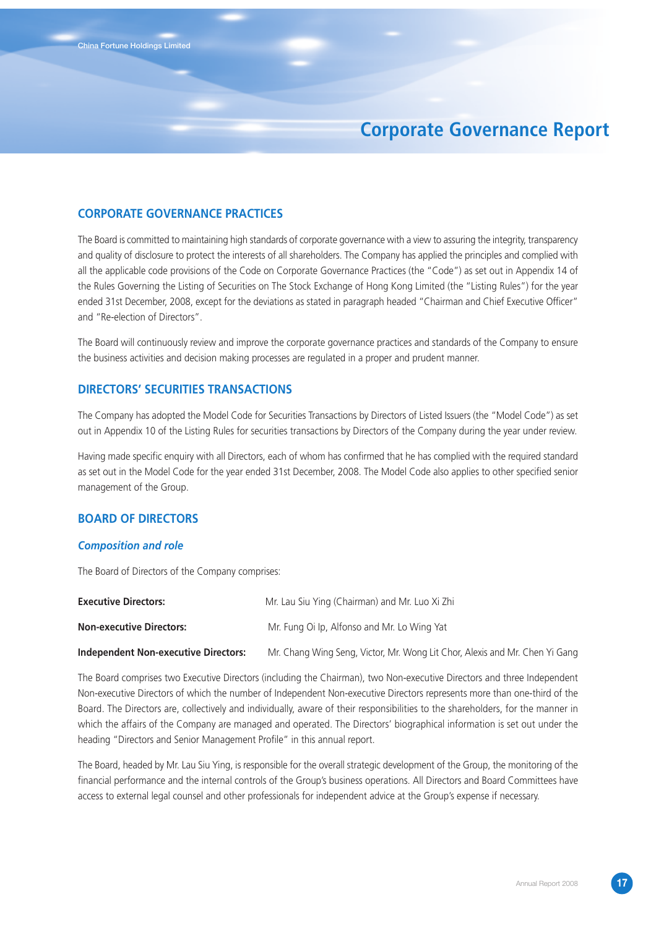### **CORPORATE GOVERNANCE PRACTICES**

The Board is committed to maintaining high standards of corporate governance with a view to assuring the integrity, transparency and quality of disclosure to protect the interests of all shareholders. The Company has applied the principles and complied with all the applicable code provisions of the Code on Corporate Governance Practices (the "Code") as set out in Appendix 14 of the Rules Governing the Listing of Securities on The Stock Exchange of Hong Kong Limited (the "Listing Rules") for the year ended 31st December, 2008, except for the deviations as stated in paragraph headed "Chairman and Chief Executive Officer" and "Re-election of Directors".

The Board will continuously review and improve the corporate governance practices and standards of the Company to ensure the business activities and decision making processes are regulated in a proper and prudent manner.

### **DIRECTORS' SECURITIES TRANSACTIONS**

The Company has adopted the Model Code for Securities Transactions by Directors of Listed Issuers (the "Model Code") as set out in Appendix 10 of the Listing Rules for securities transactions by Directors of the Company during the year under review.

Having made specific enquiry with all Directors, each of whom has confirmed that he has complied with the required standard as set out in the Model Code for the year ended 31st December, 2008. The Model Code also applies to other specified senior management of the Group.

### **BOARD OF DIRECTORS**

### *Composition and role*

The Board of Directors of the Company comprises:

| <b>Executive Directors:</b>                 | Mr. Lau Siu Ying (Chairman) and Mr. Luo Xi Zhi                              |
|---------------------------------------------|-----------------------------------------------------------------------------|
| <b>Non-executive Directors:</b>             | Mr. Fung Oi Ip, Alfonso and Mr. Lo Wing Yat                                 |
| <b>Independent Non-executive Directors:</b> | Mr. Chang Wing Seng, Victor, Mr. Wong Lit Chor, Alexis and Mr. Chen Yi Gang |

The Board comprises two Executive Directors (including the Chairman), two Non-executive Directors and three Independent Non-executive Directors of which the number of Independent Non-executive Directors represents more than one-third of the Board. The Directors are, collectively and individually, aware of their responsibilities to the shareholders, for the manner in which the affairs of the Company are managed and operated. The Directors' biographical information is set out under the heading "Directors and Senior Management Profile" in this annual report.

The Board, headed by Mr. Lau Siu Ying, is responsible for the overall strategic development of the Group, the monitoring of the financial performance and the internal controls of the Group's business operations. All Directors and Board Committees have access to external legal counsel and other professionals for independent advice at the Group's expense if necessary.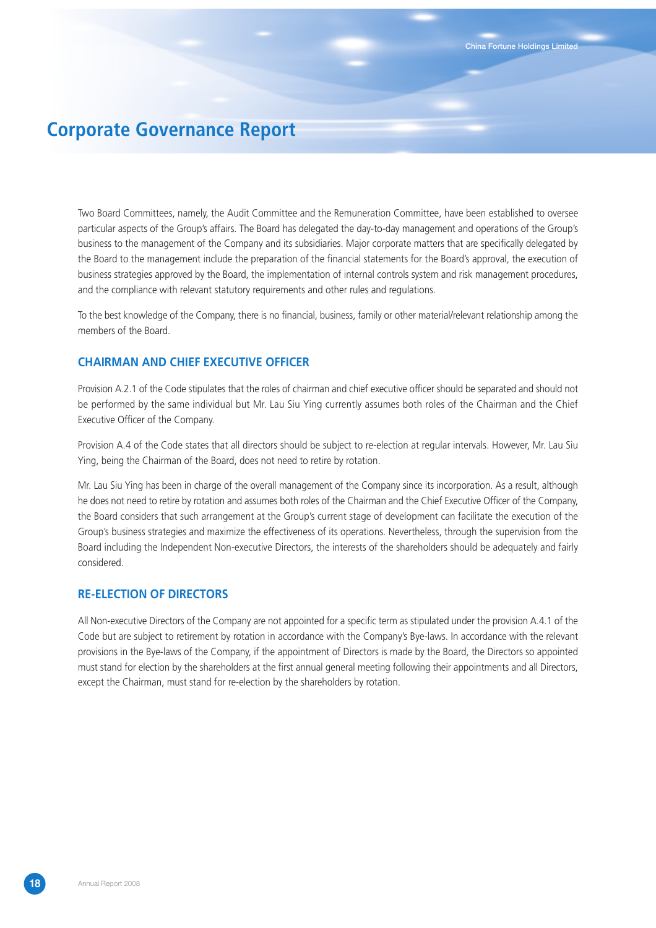Two Board Committees, namely, the Audit Committee and the Remuneration Committee, have been established to oversee particular aspects of the Group's affairs. The Board has delegated the day-to-day management and operations of the Group's business to the management of the Company and its subsidiaries. Major corporate matters that are specifically delegated by the Board to the management include the preparation of the financial statements for the Board's approval, the execution of business strategies approved by the Board, the implementation of internal controls system and risk management procedures, and the compliance with relevant statutory requirements and other rules and regulations.

To the best knowledge of the Company, there is no financial, business, family or other material/relevant relationship among the members of the Board.

### **CHAIRMAN AND CHIEF EXECUTIVE OFFICER**

Provision A.2.1 of the Code stipulates that the roles of chairman and chief executive officer should be separated and should not be performed by the same individual but Mr. Lau Siu Ying currently assumes both roles of the Chairman and the Chief Executive Officer of the Company.

Provision A.4 of the Code states that all directors should be subject to re-election at regular intervals. However, Mr. Lau Siu Ying, being the Chairman of the Board, does not need to retire by rotation.

Mr. Lau Siu Ying has been in charge of the overall management of the Company since its incorporation. As a result, although he does not need to retire by rotation and assumes both roles of the Chairman and the Chief Executive Officer of the Company, the Board considers that such arrangement at the Group's current stage of development can facilitate the execution of the Group's business strategies and maximize the effectiveness of its operations. Nevertheless, through the supervision from the Board including the Independent Non-executive Directors, the interests of the shareholders should be adequately and fairly considered.

### **RE-ELECTION OF DIRECTORS**

All Non-executive Directors of the Company are not appointed for a specific term as stipulated under the provision A.4.1 of the Code but are subject to retirement by rotation in accordance with the Company's Bye-laws. In accordance with the relevant provisions in the Bye-laws of the Company, if the appointment of Directors is made by the Board, the Directors so appointed must stand for election by the shareholders at the first annual general meeting following their appointments and all Directors, except the Chairman, must stand for re-election by the shareholders by rotation.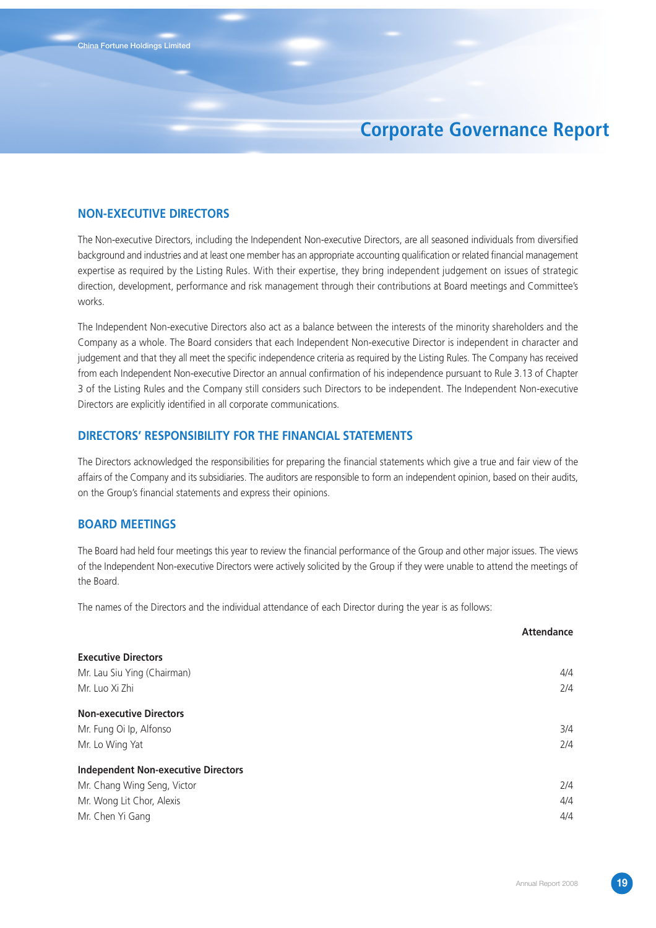### **NON-EXECUTIVE DIRECTORS**

The Non-executive Directors, including the Independent Non-executive Directors, are all seasoned individuals from diversified background and industries and at least one member has an appropriate accounting qualification or related financial management expertise as required by the Listing Rules. With their expertise, they bring independent judgement on issues of strategic direction, development, performance and risk management through their contributions at Board meetings and Committee's works.

The Independent Non-executive Directors also act as a balance between the interests of the minority shareholders and the Company as a whole. The Board considers that each Independent Non-executive Director is independent in character and judgement and that they all meet the specific independence criteria as required by the Listing Rules. The Company has received from each Independent Non-executive Director an annual confirmation of his independence pursuant to Rule 3.13 of Chapter 3 of the Listing Rules and the Company still considers such Directors to be independent. The Independent Non-executive Directors are explicitly identified in all corporate communications.

### **DIRECTORS' RESPONSIBILITY FOR THE FINANCIAL STATEMENTS**

The Directors acknowledged the responsibilities for preparing the financial statements which give a true and fair view of the affairs of the Company and its subsidiaries. The auditors are responsible to form an independent opinion, based on their audits, on the Group's financial statements and express their opinions.

### **BOARD MEETINGS**

The Board had held four meetings this year to review the financial performance of the Group and other major issues. The views of the Independent Non-executive Directors were actively solicited by the Group if they were unable to attend the meetings of the Board.

The names of the Directors and the individual attendance of each Director during the year is as follows:

|                                            | <b>Attendance</b> |
|--------------------------------------------|-------------------|
| <b>Executive Directors</b>                 |                   |
| Mr. Lau Siu Ying (Chairman)                | 4/4               |
| Mr. Luo Xi Zhi                             | 2/4               |
| <b>Non-executive Directors</b>             |                   |
| Mr. Fung Oi Ip, Alfonso                    | 3/4               |
| Mr. Lo Wing Yat                            | 2/4               |
| <b>Independent Non-executive Directors</b> |                   |
| Mr. Chang Wing Seng, Victor                | 2/4               |
| Mr. Wong Lit Chor, Alexis                  | 4/4               |
| Mr. Chen Yi Gang                           | 4/4               |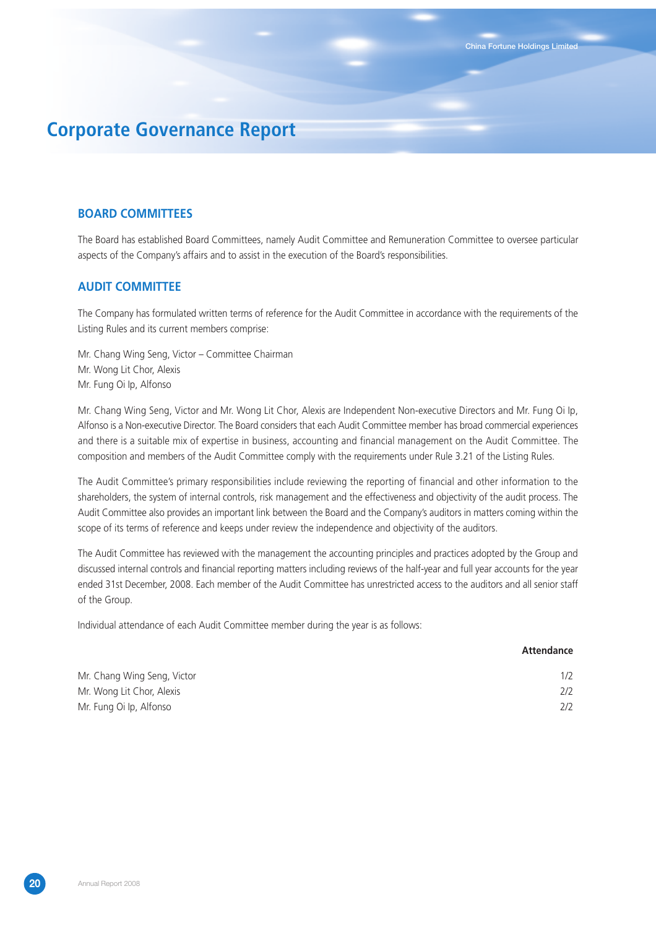### **BOARD COMMITTEES**

The Board has established Board Committees, namely Audit Committee and Remuneration Committee to oversee particular aspects of the Company's affairs and to assist in the execution of the Board's responsibilities.

### **AUDIT COMMITTEE**

The Company has formulated written terms of reference for the Audit Committee in accordance with the requirements of the Listing Rules and its current members comprise:

Mr. Chang Wing Seng, Victor – Committee Chairman Mr. Wong Lit Chor, Alexis Mr. Fung Oi Ip, Alfonso

Mr. Chang Wing Seng, Victor and Mr. Wong Lit Chor, Alexis are Independent Non-executive Directors and Mr. Fung Oi Ip, Alfonso is a Non-executive Director. The Board considers that each Audit Committee member has broad commercial experiences and there is a suitable mix of expertise in business, accounting and financial management on the Audit Committee. The composition and members of the Audit Committee comply with the requirements under Rule 3.21 of the Listing Rules.

The Audit Committee's primary responsibilities include reviewing the reporting of financial and other information to the shareholders, the system of internal controls, risk management and the effectiveness and objectivity of the audit process. The Audit Committee also provides an important link between the Board and the Company's auditors in matters coming within the scope of its terms of reference and keeps under review the independence and objectivity of the auditors.

The Audit Committee has reviewed with the management the accounting principles and practices adopted by the Group and discussed internal controls and financial reporting matters including reviews of the half-year and full year accounts for the year ended 31st December, 2008. Each member of the Audit Committee has unrestricted access to the auditors and all senior staff of the Group.

Individual attendance of each Audit Committee member during the year is as follows:

|                             | Attendance |
|-----------------------------|------------|
| Mr. Chang Wing Seng, Victor | 1/2        |
| Mr. Wong Lit Chor, Alexis   | 2/2        |
| Mr. Fung Oi Ip, Alfonso     | 2/2        |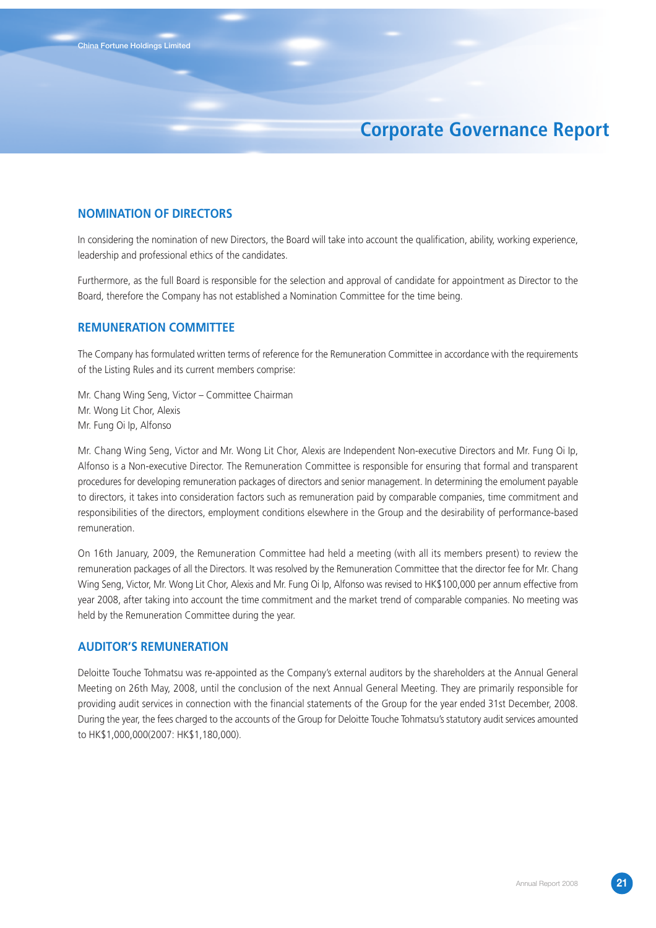### **NOMINATION OF DIRECTORS**

In considering the nomination of new Directors, the Board will take into account the qualification, ability, working experience, leadership and professional ethics of the candidates.

Furthermore, as the full Board is responsible for the selection and approval of candidate for appointment as Director to the Board, therefore the Company has not established a Nomination Committee for the time being.

### **REMUNERATION COMMITTEE**

The Company has formulated written terms of reference for the Remuneration Committee in accordance with the requirements of the Listing Rules and its current members comprise:

Mr. Chang Wing Seng, Victor – Committee Chairman Mr. Wong Lit Chor, Alexis Mr. Fung Oi Ip, Alfonso

Mr. Chang Wing Seng, Victor and Mr. Wong Lit Chor, Alexis are Independent Non-executive Directors and Mr. Fung Oi Ip, Alfonso is a Non-executive Director. The Remuneration Committee is responsible for ensuring that formal and transparent procedures for developing remuneration packages of directors and senior management. In determining the emolument payable to directors, it takes into consideration factors such as remuneration paid by comparable companies, time commitment and responsibilities of the directors, employment conditions elsewhere in the Group and the desirability of performance-based remuneration.

On 16th January, 2009, the Remuneration Committee had held a meeting (with all its members present) to review the remuneration packages of all the Directors. It was resolved by the Remuneration Committee that the director fee for Mr. Chang Wing Seng, Victor, Mr. Wong Lit Chor, Alexis and Mr. Fung Oi Ip, Alfonso was revised to HK\$100,000 per annum effective from year 2008, after taking into account the time commitment and the market trend of comparable companies. No meeting was held by the Remuneration Committee during the year.

### **AUDITOR'S REMUNERATION**

Deloitte Touche Tohmatsu was re-appointed as the Company's external auditors by the shareholders at the Annual General Meeting on 26th May, 2008, until the conclusion of the next Annual General Meeting. They are primarily responsible for providing audit services in connection with the financial statements of the Group for the year ended 31st December, 2008. During the year, the fees charged to the accounts of the Group for Deloitte Touche Tohmatsu's statutory audit services amounted to HK\$1,000,000(2007: HK\$1,180,000).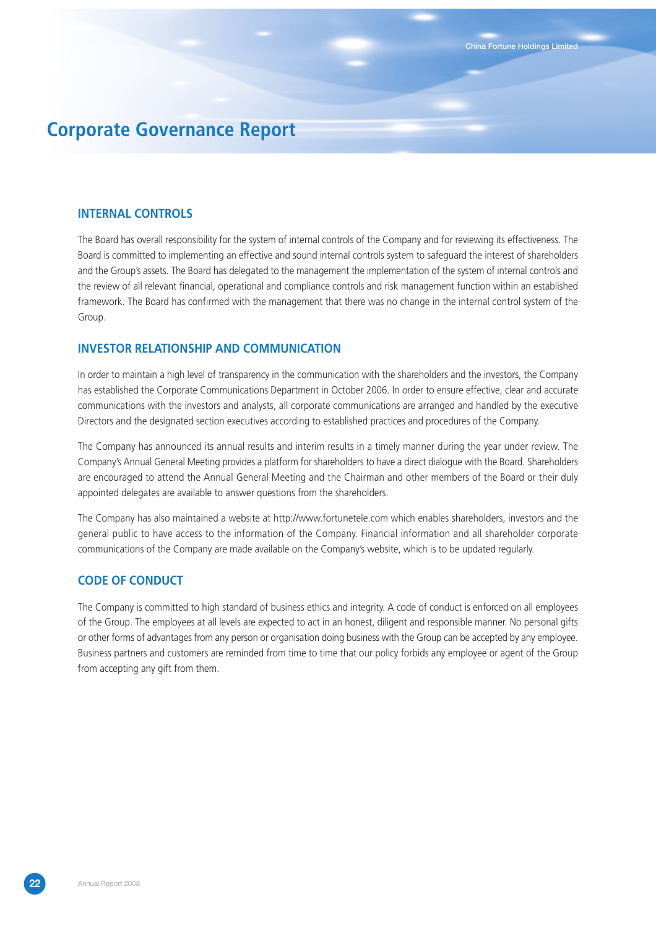#### **INTERNAL CONTROLS**

The Board has overall responsibility for the system of internal controls of the Company and for reviewing its effectiveness. The Board is committed to implementing an effective and sound internal controls system to safeguard the interest of shareholders and the Group's assets. The Board has delegated to the management the implementation of the system of internal controls and the review of all relevant financial, operational and compliance controls and risk management function within an established framework. The Board has confirmed with the management that there was no change in the internal control system of the Group.

### **INVESTOR RELATIONSHIP AND COMMUNICATION**

In order to maintain a high level of transparency in the communication with the shareholders and the investors, the Company has established the Corporate Communications Department in October 2006. In order to ensure effective, clear and accurate communications with the investors and analysts, all corporate communications are arranged and handled by the executive Directors and the designated section executives according to established practices and procedures of the Company.

The Company has announced its annual results and interim results in a timely manner during the year under review. The Company's Annual General Meeting provides a platform for shareholders to have a direct dialogue with the Board. Shareholders are encouraged to attend the Annual General Meeting and the Chairman and other members of the Board or their duly appointed delegates are available to answer questions from the shareholders.

The Company has also maintained a website at http://www.fortunetele.com which enables shareholders, investors and the general public to have access to the information of the Company. Financial information and all shareholder corporate communications of the Company are made available on the Company's website, which is to be updated regularly.

### **CODE OF CONDUCT**

The Company is committed to high standard of business ethics and integrity. A code of conduct is enforced on all employees of the Group. The employees at all levels are expected to act in an honest, diligent and responsible manner. No personal gifts or other forms of advantages from any person or organisation doing business with the Group can be accepted by any employee. Business partners and customers are reminded from time to time that our policy forbids any employee or agent of the Group from accepting any gift from them.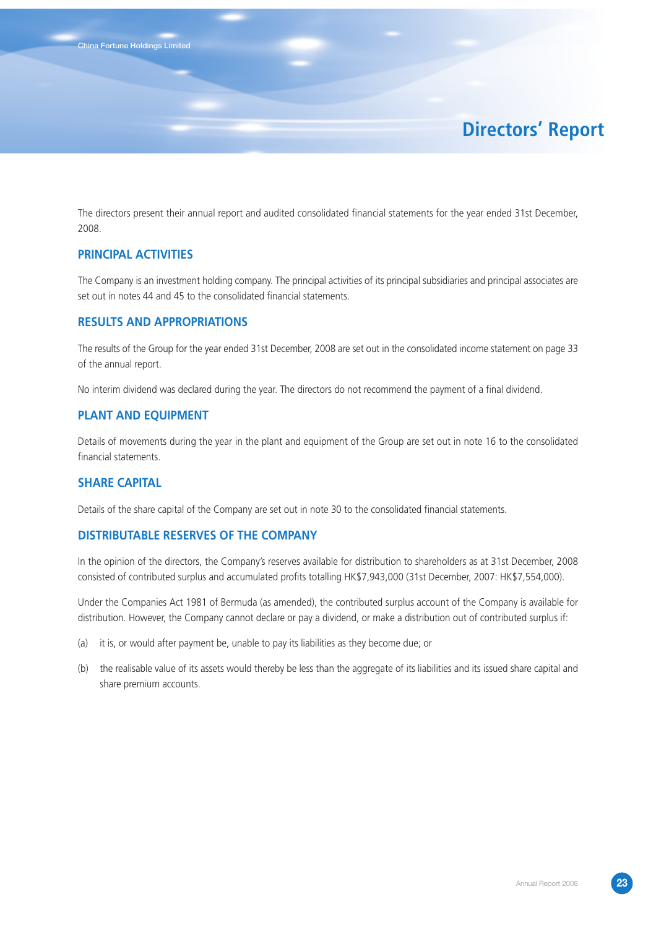# **Directors' Report**

The directors present their annual report and audited consolidated financial statements for the year ended 31st December, 2008.

### **PRINCIPAL ACTIVITIES**

The Company is an investment holding company. The principal activities of its principal subsidiaries and principal associates are set out in notes 44 and 45 to the consolidated financial statements.

#### **RESULTS AND APPROPRIATIONS**

The results of the Group for the year ended 31st December, 2008 are set out in the consolidated income statement on page 33 of the annual report.

No interim dividend was declared during the year. The directors do not recommend the payment of a final dividend.

### **PLANT AND EQUIPMENT**

Details of movements during the year in the plant and equipment of the Group are set out in note 16 to the consolidated financial statements.

#### **SHARE CAPITAL**

Details of the share capital of the Company are set out in note 30 to the consolidated financial statements.

#### **DISTRIBUTABLE RESERVES OF THE COMPANY**

In the opinion of the directors, the Company's reserves available for distribution to shareholders as at 31st December, 2008 consisted of contributed surplus and accumulated profits totalling HK\$7,943,000 (31st December, 2007: HK\$7,554,000).

Under the Companies Act 1981 of Bermuda (as amended), the contributed surplus account of the Company is available for distribution. However, the Company cannot declare or pay a dividend, or make a distribution out of contributed surplus if:

- (a) it is, or would after payment be, unable to pay its liabilities as they become due; or
- (b) the realisable value of its assets would thereby be less than the aggregate of its liabilities and its issued share capital and share premium accounts.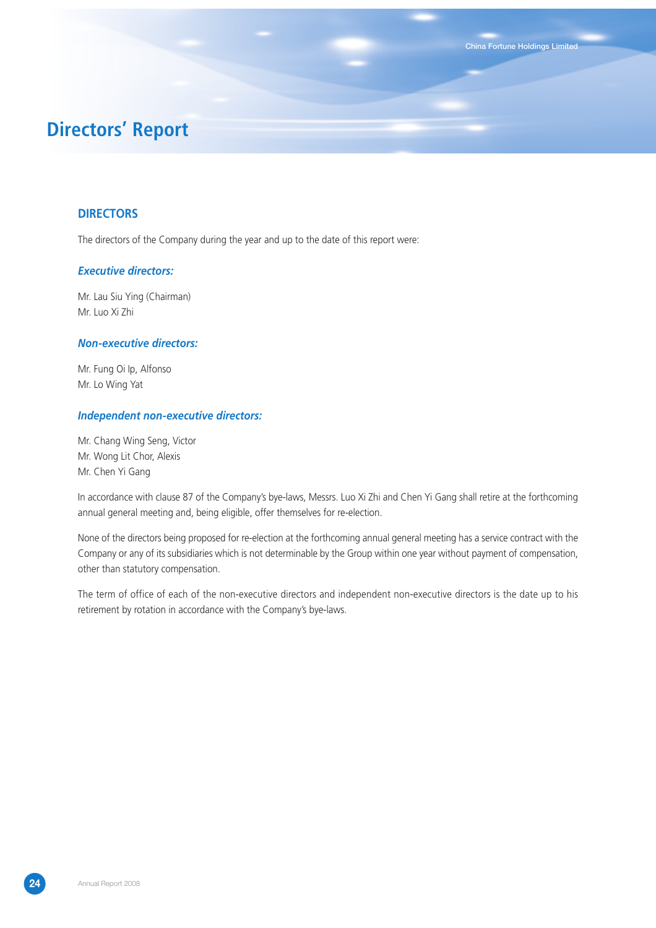# **Directors' Report**

### **DIRECTORS**

The directors of the Company during the year and up to the date of this report were:

#### *Executive directors:*

Mr. Lau Siu Ying (Chairman) Mr. Luo Xi Zhi

#### *Non-executive directors:*

Mr. Fung Oi Ip, Alfonso Mr. Lo Wing Yat

#### *Independent non-executive directors:*

Mr. Chang Wing Seng, Victor Mr. Wong Lit Chor, Alexis Mr. Chen Yi Gang

In accordance with clause 87 of the Company's bye-laws, Messrs. Luo Xi Zhi and Chen Yi Gang shall retire at the forthcoming annual general meeting and, being eligible, offer themselves for re-election.

**China Fortune Holdings Limited**

None of the directors being proposed for re-election at the forthcoming annual general meeting has a service contract with the Company or any of its subsidiaries which is not determinable by the Group within one year without payment of compensation, other than statutory compensation.

The term of office of each of the non-executive directors and independent non-executive directors is the date up to his retirement by rotation in accordance with the Company's bye-laws.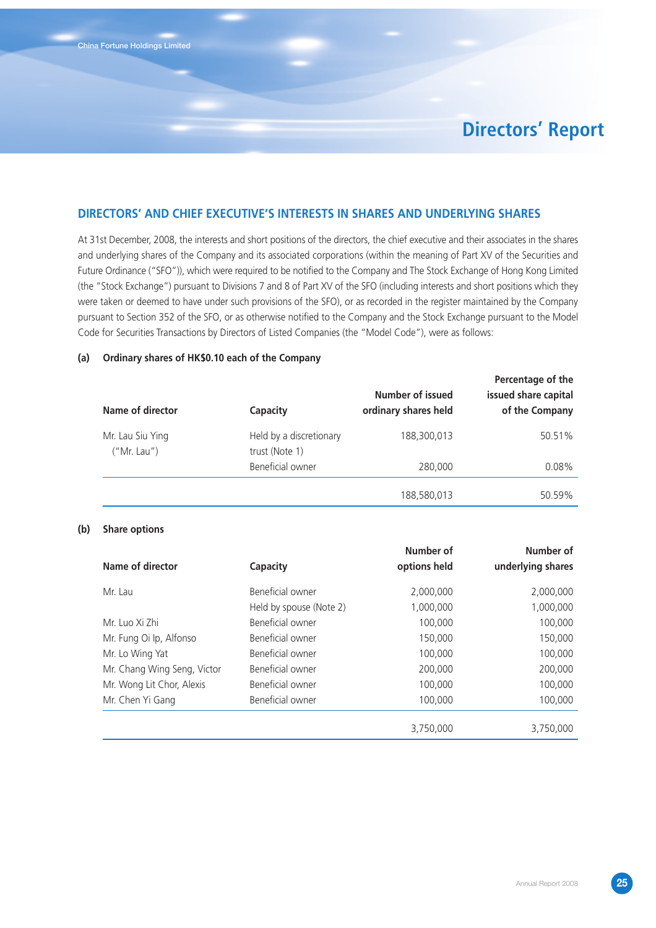**China Fortune Holdings Limited**

# **Directors' Report**

### **DIRECTORS' AND CHIEF EXECUTIVE'S INTERESTS IN SHARES AND UNDERLYING SHARES**

At 31st December, 2008, the interests and short positions of the directors, the chief executive and their associates in the shares and underlying shares of the Company and its associated corporations (within the meaning of Part XV of the Securities and Future Ordinance ("SFO")), which were required to be notified to the Company and The Stock Exchange of Hong Kong Limited (the "Stock Exchange") pursuant to Divisions 7 and 8 of Part XV of the SFO (including interests and short positions which they were taken or deemed to have under such provisions of the SFO), or as recorded in the register maintained by the Company pursuant to Section 352 of the SFO, or as otherwise notified to the Company and the Stock Exchange pursuant to the Model Code for Securities Transactions by Directors of Listed Companies (the "Model Code"), were as follows:

#### **(a) Ordinary shares of HK\$0.10 each of the Company**

| Name of director                | Capacity                                  | Number of issued<br>ordinary shares held | Percentage of the<br>issued share capital<br>of the Company |
|---------------------------------|-------------------------------------------|------------------------------------------|-------------------------------------------------------------|
| Mr. Lau Siu Ying<br>("Mr. Lau") | Held by a discretionary<br>trust (Note 1) | 188,300,013                              | 50.51%                                                      |
|                                 | Beneficial owner                          | 280,000                                  | 0.08%                                                       |
|                                 |                                           | 188,580,013                              | 50.59%                                                      |

#### **(b) Share options**

| Name of director            | <b>Capacity</b>         | Number of<br>options held | Number of<br>underlying shares |
|-----------------------------|-------------------------|---------------------------|--------------------------------|
| Mr. Lau                     | Beneficial owner        | 2,000,000                 | 2,000,000                      |
|                             | Held by spouse (Note 2) | 1,000,000                 | 1,000,000                      |
| Mr. Luo Xi Zhi              | Beneficial owner        | 100,000                   | 100,000                        |
| Mr. Fung Oi Ip, Alfonso     | Beneficial owner        | 150,000                   | 150,000                        |
| Mr. Lo Wing Yat             | Beneficial owner        | 100,000                   | 100,000                        |
| Mr. Chang Wing Seng, Victor | Beneficial owner        | 200,000                   | 200,000                        |
| Mr. Wong Lit Chor, Alexis   | Beneficial owner        | 100,000                   | 100,000                        |
| Mr. Chen Yi Gang            | Beneficial owner        | 100,000                   | 100,000                        |
|                             |                         | 3,750,000                 | 3,750,000                      |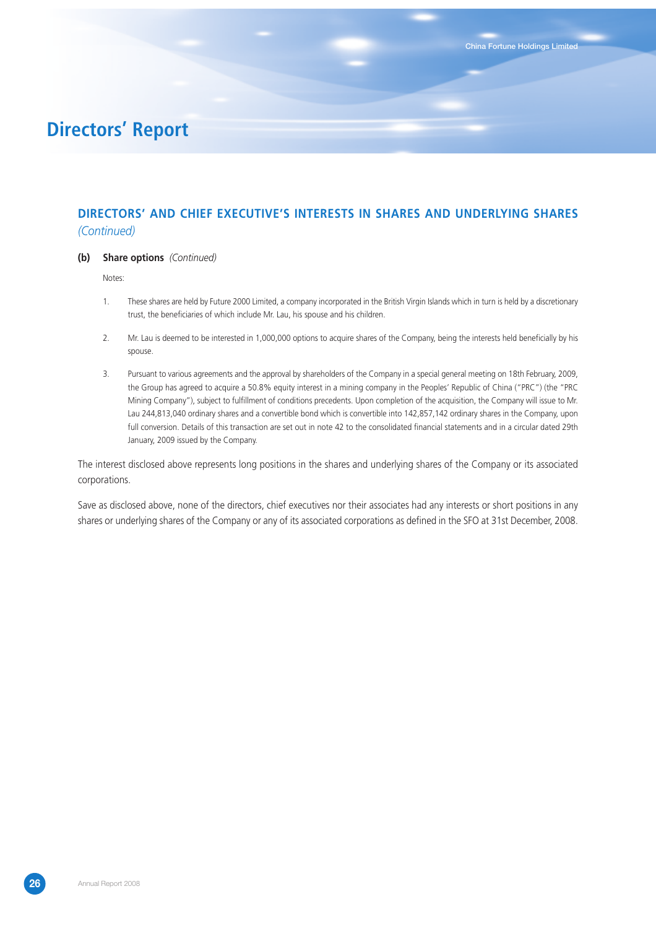# **Directors' Report**

## **DIRECTORS' AND CHIEF EXECUTIVE'S INTERESTS IN SHARES AND UNDERLYING SHARES** *(Continued)*

#### **(b) Share options** *(Continued)*

Notes:

- 1. These shares are held by Future 2000 Limited, a company incorporated in the British Virgin Islands which in turn is held by a discretionary trust, the beneficiaries of which include Mr. Lau, his spouse and his children.
- 2. Mr. Lau is deemed to be interested in 1,000,000 options to acquire shares of the Company, being the interests held beneficially by his spouse.
- 3. Pursuant to various agreements and the approval by shareholders of the Company in a special general meeting on 18th February, 2009, the Group has agreed to acquire a 50.8% equity interest in a mining company in the Peoples' Republic of China ("PRC") (the "PRC Mining Company"), subject to fulfillment of conditions precedents. Upon completion of the acquisition, the Company will issue to Mr. Lau 244,813,040 ordinary shares and a convertible bond which is convertible into 142,857,142 ordinary shares in the Company, upon full conversion. Details of this transaction are set out in note 42 to the consolidated financial statements and in a circular dated 29th January, 2009 issued by the Company.

The interest disclosed above represents long positions in the shares and underlying shares of the Company or its associated corporations.

Save as disclosed above, none of the directors, chief executives nor their associates had any interests or short positions in any shares or underlying shares of the Company or any of its associated corporations as defined in the SFO at 31st December, 2008.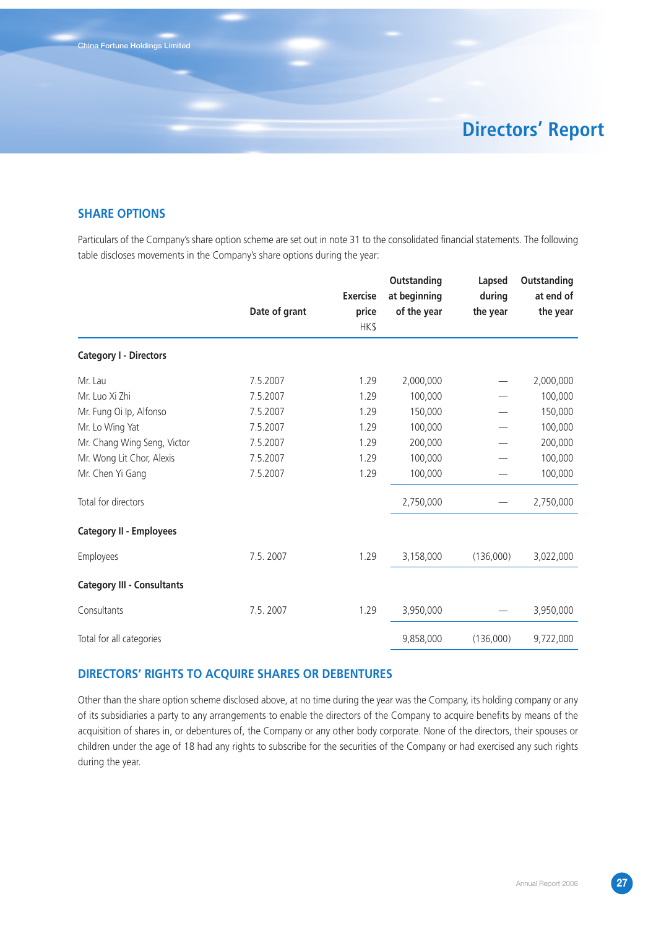**China Fortune Holdings Limited**

# **Directors' Report**

### **SHARE OPTIONS**

Particulars of the Company's share option scheme are set out in note 31 to the consolidated financial statements. The following table discloses movements in the Company's share options during the year:

|                                   | Date of grant | <b>Exercise</b><br>price | Outstanding<br>at beginning<br>of the year | Lapsed<br>during<br>the year | Outstanding<br>at end of<br>the year |
|-----------------------------------|---------------|--------------------------|--------------------------------------------|------------------------------|--------------------------------------|
|                                   |               | HK\$                     |                                            |                              |                                      |
| <b>Category I - Directors</b>     |               |                          |                                            |                              |                                      |
| Mr. Lau                           | 7.5.2007      | 1.29                     | 2,000,000                                  |                              | 2,000,000                            |
| Mr. Luo Xi Zhi                    | 7.5.2007      | 1.29                     | 100,000                                    |                              | 100,000                              |
| Mr. Fung Oi Ip, Alfonso           | 7.5.2007      | 1.29                     | 150,000                                    |                              | 150,000                              |
| Mr. Lo Wing Yat                   | 7.5.2007      | 1.29                     | 100,000                                    |                              | 100,000                              |
| Mr. Chang Wing Seng, Victor       | 7.5.2007      | 1.29                     | 200,000                                    |                              | 200,000                              |
| Mr. Wong Lit Chor, Alexis         | 7.5.2007      | 1.29                     | 100,000                                    |                              | 100,000                              |
| Mr. Chen Yi Gang                  | 7.5.2007      | 1.29                     | 100,000                                    |                              | 100,000                              |
| Total for directors               |               |                          | 2,750,000                                  |                              | 2,750,000                            |
| <b>Category II - Employees</b>    |               |                          |                                            |                              |                                      |
| Employees                         | 7.5.2007      | 1.29                     | 3,158,000                                  | (136,000)                    | 3,022,000                            |
| <b>Category III - Consultants</b> |               |                          |                                            |                              |                                      |
| Consultants                       | 7.5.2007      | 1.29                     | 3,950,000                                  |                              | 3,950,000                            |
| Total for all categories          |               |                          | 9,858,000                                  | (136,000)                    | 9,722,000                            |

### **DIRECTORS' RIGHTS TO ACQUIRE SHARES OR DEBENTURES**

Other than the share option scheme disclosed above, at no time during the year was the Company, its holding company or any of its subsidiaries a party to any arrangements to enable the directors of the Company to acquire benefits by means of the acquisition of shares in, or debentures of, the Company or any other body corporate. None of the directors, their spouses or children under the age of 18 had any rights to subscribe for the securities of the Company or had exercised any such rights during the year.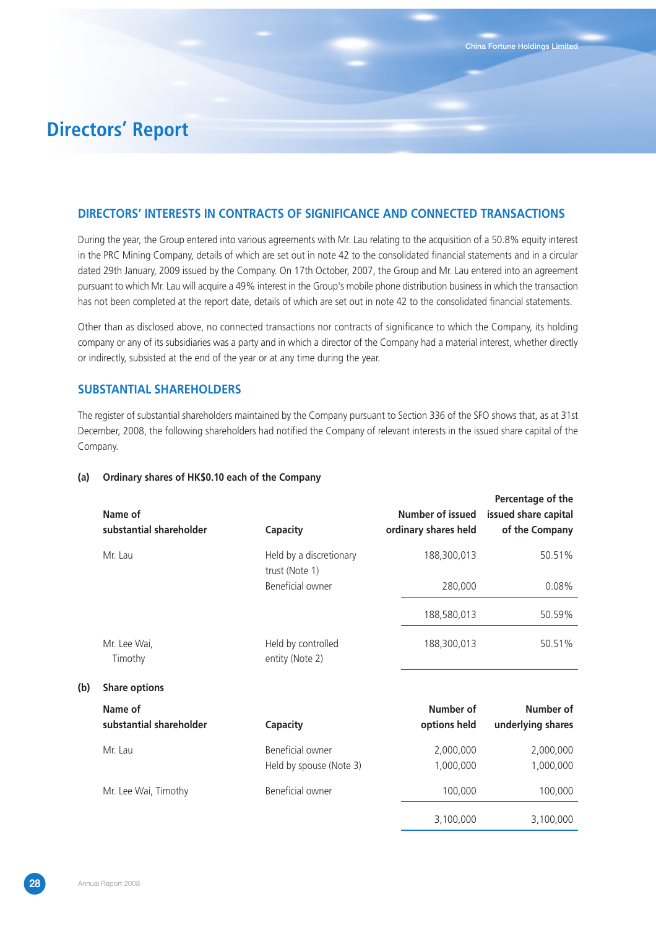# **Directors' Report**

### **DIRECTORS' INTERESTS IN CONTRACTS OF SIGNIFICANCE AND CONNECTED TRANSACTIONS**

During the year, the Group entered into various agreements with Mr. Lau relating to the acquisition of a 50.8% equity interest in the PRC Mining Company, details of which are set out in note 42 to the consolidated financial statements and in a circular dated 29th January, 2009 issued by the Company. On 17th October, 2007, the Group and Mr. Lau entered into an agreement pursuant to which Mr. Lau will acquire a 49% interest in the Group's mobile phone distribution business in which the transaction has not been completed at the report date, details of which are set out in note 42 to the consolidated financial statements.

Other than as disclosed above, no connected transactions nor contracts of significance to which the Company, its holding company or any of its subsidiaries was a party and in which a director of the Company had a material interest, whether directly or indirectly, subsisted at the end of the year or at any time during the year.

### **SUBSTANTIAL SHAREHOLDERS**

The register of substantial shareholders maintained by the Company pursuant to Section 336 of the SFO shows that, as at 31st December, 2008, the following shareholders had notified the Company of relevant interests in the issued share capital of the Company.

#### **(a) Ordinary shares of HK\$0.10 each of the Company**

|     | Name of<br>substantial shareholder | Capacity                                    | Percentage of the<br>Number of issued<br>issued share capital<br>ordinary shares held<br>of the Company |
|-----|------------------------------------|---------------------------------------------|---------------------------------------------------------------------------------------------------------|
|     | Mr. Lau                            | Held by a discretionary<br>trust (Note 1)   | 188,300,013<br>50.51%                                                                                   |
|     |                                    | Beneficial owner                            | 280,000<br>0.08%                                                                                        |
|     |                                    |                                             | 188,580,013<br>50.59%                                                                                   |
|     | Mr. Lee Wai,<br>Timothy            | Held by controlled<br>entity (Note 2)       | 188,300,013<br>50.51%                                                                                   |
| (b) | <b>Share options</b>               |                                             |                                                                                                         |
|     | Name of<br>substantial shareholder | Capacity                                    | Number of<br>Number of<br>options held<br>underlying shares                                             |
|     | Mr. Lau                            | Beneficial owner<br>Held by spouse (Note 3) | 2,000,000<br>2,000,000<br>1,000,000<br>1,000,000                                                        |
|     | Mr. Lee Wai, Timothy               | Beneficial owner                            | 100,000<br>100,000                                                                                      |
|     |                                    |                                             | 3.100.000<br>3.100.000                                                                                  |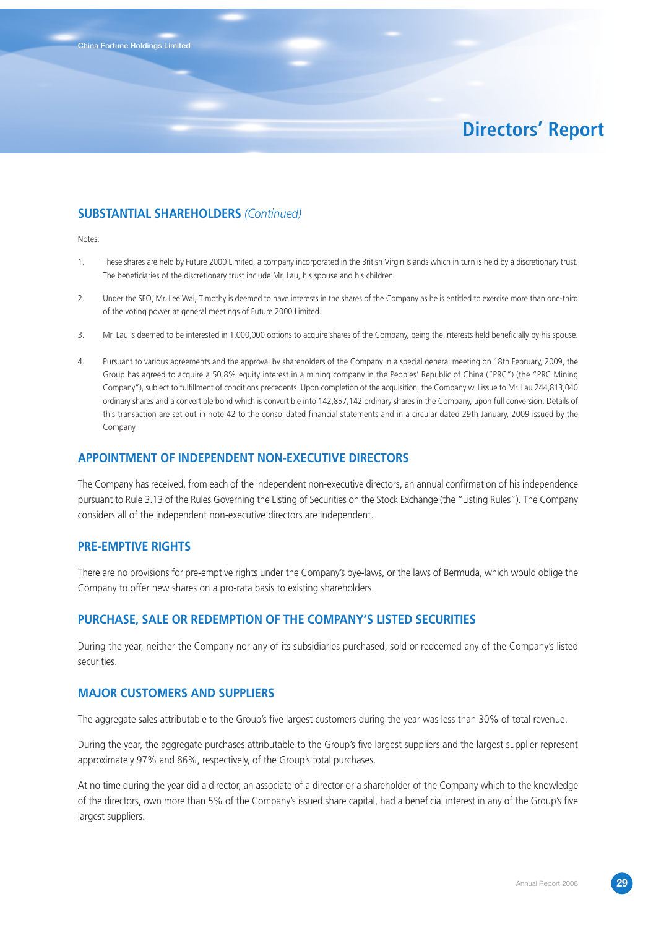# **Directors' Report**

### **SUBSTANTIAL SHAREHOLDERS** *(Continued)*

Notes:

- 1. These shares are held by Future 2000 Limited, a company incorporated in the British Virgin Islands which in turn is held by a discretionary trust. The beneficiaries of the discretionary trust include Mr. Lau, his spouse and his children.
- 2. Under the SFO, Mr. Lee Wai, Timothy is deemed to have interests in the shares of the Company as he is entitled to exercise more than one-third of the voting power at general meetings of Future 2000 Limited.
- 3. Mr. Lau is deemed to be interested in 1,000,000 options to acquire shares of the Company, being the interests held beneficially by his spouse.
- 4. Pursuant to various agreements and the approval by shareholders of the Company in a special general meeting on 18th February, 2009, the Group has agreed to acquire a 50.8% equity interest in a mining company in the Peoples' Republic of China ("PRC") (the "PRC Mining Company"), subject to fulfillment of conditions precedents. Upon completion of the acquisition, the Company will issue to Mr. Lau 244,813,040 ordinary shares and a convertible bond which is convertible into 142,857,142 ordinary shares in the Company, upon full conversion. Details of this transaction are set out in note 42 to the consolidated financial statements and in a circular dated 29th January, 2009 issued by the Company.

#### **APPOINTMENT OF INDEPENDENT NON-EXECUTIVE DIRECTORS**

The Company has received, from each of the independent non-executive directors, an annual confirmation of his independence pursuant to Rule 3.13 of the Rules Governing the Listing of Securities on the Stock Exchange (the "Listing Rules"). The Company considers all of the independent non-executive directors are independent.

#### **PRE-EMPTIVE RIGHTS**

There are no provisions for pre-emptive rights under the Company's bye-laws, or the laws of Bermuda, which would oblige the Company to offer new shares on a pro-rata basis to existing shareholders.

### **PURCHASE, SALE OR REDEMPTION OF THE COMPANY'S LISTED SECURITIES**

During the year, neither the Company nor any of its subsidiaries purchased, sold or redeemed any of the Company's listed securities.

### **MAJOR CUSTOMERS AND SUPPLIERS**

The aggregate sales attributable to the Group's five largest customers during the year was less than 30% of total revenue.

During the year, the aggregate purchases attributable to the Group's five largest suppliers and the largest supplier represent approximately 97% and 86%, respectively, of the Group's total purchases.

At no time during the year did a director, an associate of a director or a shareholder of the Company which to the knowledge of the directors, own more than 5% of the Company's issued share capital, had a beneficial interest in any of the Group's five largest suppliers.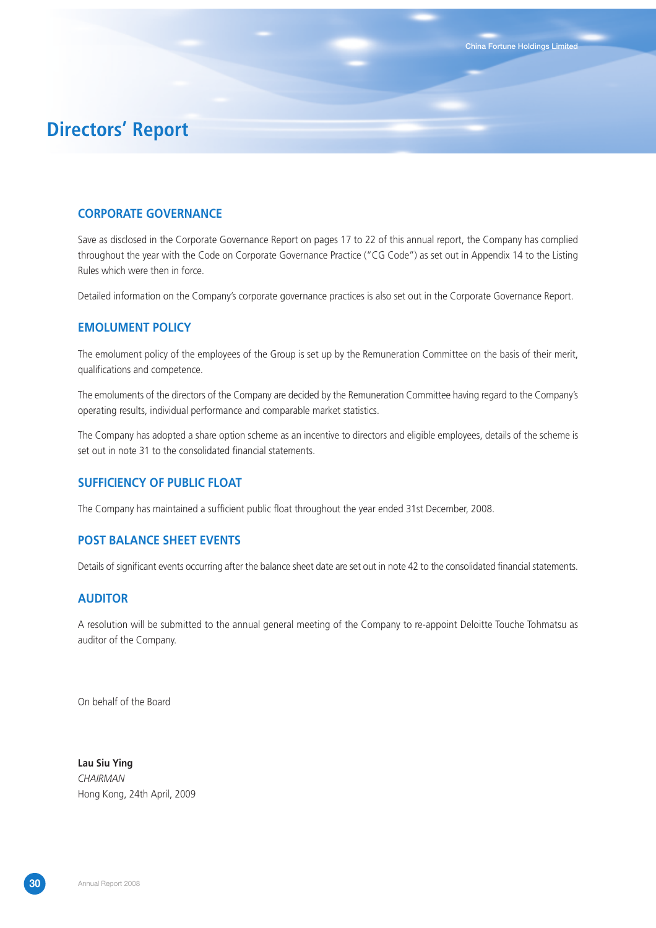### **CORPORATE GOVERNANCE**

Save as disclosed in the Corporate Governance Report on pages 17 to 22 of this annual report, the Company has complied throughout the year with the Code on Corporate Governance Practice ("CG Code") as set out in Appendix 14 to the Listing Rules which were then in force.

**China Fortune Holdings Limited**

Detailed information on the Company's corporate governance practices is also set out in the Corporate Governance Report.

### **EMOLUMENT POLICY**

The emolument policy of the employees of the Group is set up by the Remuneration Committee on the basis of their merit, qualifications and competence.

The emoluments of the directors of the Company are decided by the Remuneration Committee having regard to the Company's operating results, individual performance and comparable market statistics.

The Company has adopted a share option scheme as an incentive to directors and eligible employees, details of the scheme is set out in note 31 to the consolidated financial statements.

### **SUFFICIENCY OF PUBLIC FLOAT**

The Company has maintained a sufficient public float throughout the year ended 31st December, 2008.

### **POST BALANCE SHEET EVENTS**

Details of significant events occurring after the balance sheet date are set out in note 42 to the consolidated financial statements.

### **AUDITOR**

A resolution will be submitted to the annual general meeting of the Company to re-appoint Deloitte Touche Tohmatsu as auditor of the Company.

On behalf of the Board

**Lau Siu Ying** *CHAIRMAN* Hong Kong, 24th April, 2009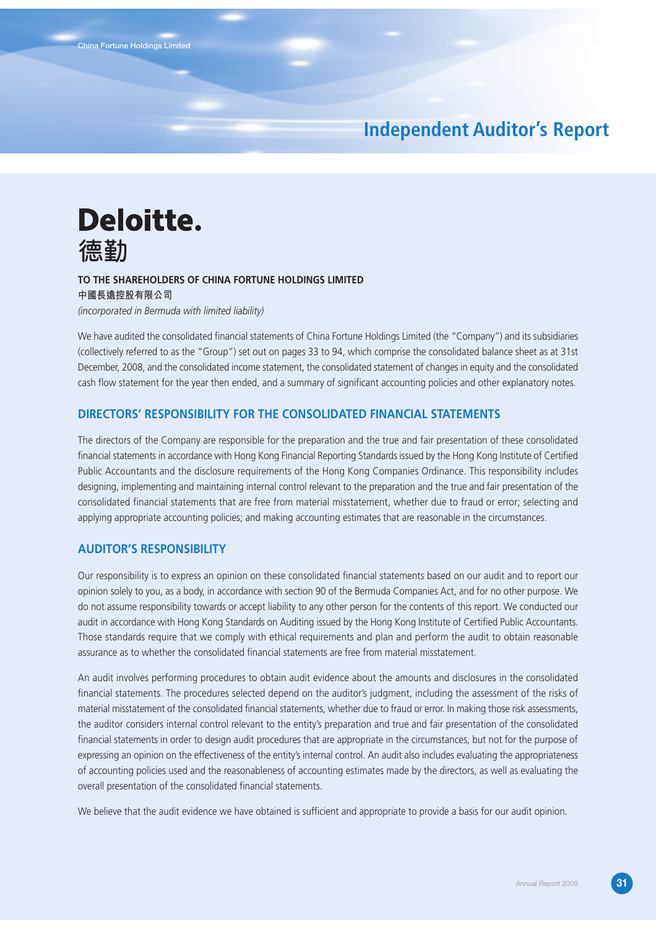# **Independent Auditor's Report**

# Deloitte. 德勤

### **TO THE SHAREHOLDERS OF CHINA FORTUNE HOLDINGS LIMITED 中國長遠控股有限公司**

*(incorporated in Bermuda with limited liability)*

We have audited the consolidated financial statements of China Fortune Holdings Limited (the "Company") and its subsidiaries (collectively referred to as the "Group") set out on pages 33 to 94, which comprise the consolidated balance sheet as at 31st December, 2008, and the consolidated income statement, the consolidated statement of changes in equity and the consolidated cash flow statement for the year then ended, and a summary of significant accounting policies and other explanatory notes.

#### **DIRECTORS' RESPONSIBILITY FOR THE CONSOLIDATED FINANCIAL STATEMENTS**

The directors of the Company are responsible for the preparation and the true and fair presentation of these consolidated financial statements in accordance with Hong Kong Financial Reporting Standards issued by the Hong Kong Institute of Certified Public Accountants and the disclosure requirements of the Hong Kong Companies Ordinance. This responsibility includes designing, implementing and maintaining internal control relevant to the preparation and the true and fair presentation of the consolidated financial statements that are free from material misstatement, whether due to fraud or error; selecting and applying appropriate accounting policies; and making accounting estimates that are reasonable in the circumstances.

### **AUDITOR'S RESPONSIBILITY**

Our responsibility is to express an opinion on these consolidated financial statements based on our audit and to report our opinion solely to you, as a body, in accordance with section 90 of the Bermuda Companies Act, and for no other purpose. We do not assume responsibility towards or accept liability to any other person for the contents of this report. We conducted our audit in accordance with Hong Kong Standards on Auditing issued by the Hong Kong Institute of Certified Public Accountants. Those standards require that we comply with ethical requirements and plan and perform the audit to obtain reasonable assurance as to whether the consolidated financial statements are free from material misstatement.

An audit involves performing procedures to obtain audit evidence about the amounts and disclosures in the consolidated financial statements. The procedures selected depend on the auditor's judgment, including the assessment of the risks of material misstatement of the consolidated financial statements, whether due to fraud or error. In making those risk assessments, the auditor considers internal control relevant to the entity's preparation and true and fair presentation of the consolidated financial statements in order to design audit procedures that are appropriate in the circumstances, but not for the purpose of expressing an opinion on the effectiveness of the entity's internal control. An audit also includes evaluating the appropriateness of accounting policies used and the reasonableness of accounting estimates made by the directors, as well as evaluating the overall presentation of the consolidated financial statements.

We believe that the audit evidence we have obtained is sufficient and appropriate to provide a basis for our audit opinion.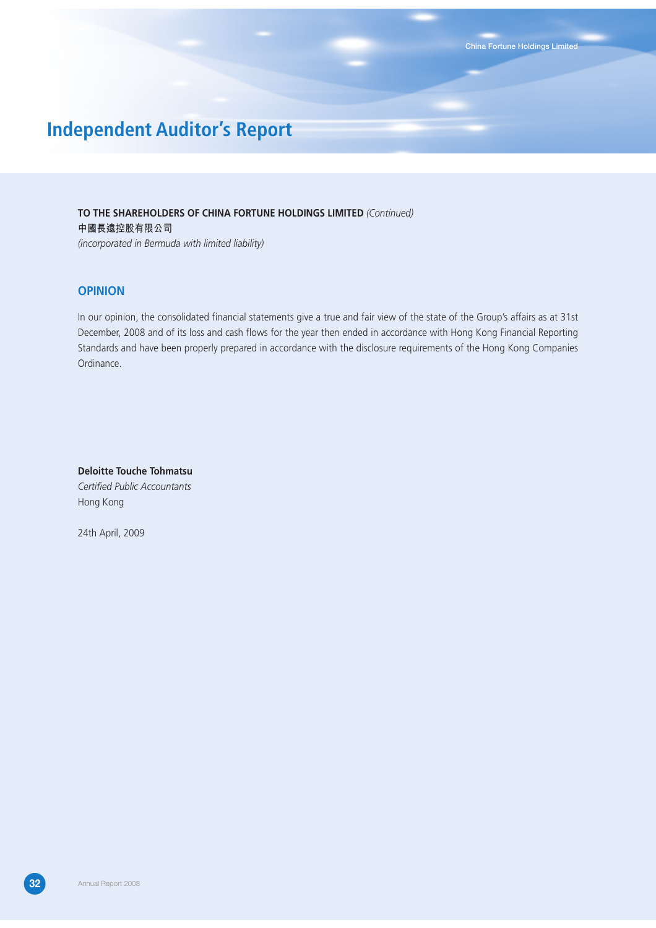# **Independent Auditor's Report**

**TO THE SHAREHOLDERS OF CHINA FORTUNE HOLDINGS LIMITED** *(Continued)* **中國長遠控股有限公司** *(incorporated in Bermuda with limited liability)*

### **OPINION**

In our opinion, the consolidated financial statements give a true and fair view of the state of the Group's affairs as at 31st December, 2008 and of its loss and cash flows for the year then ended in accordance with Hong Kong Financial Reporting Standards and have been properly prepared in accordance with the disclosure requirements of the Hong Kong Companies Ordinance.

**Deloitte Touche Tohmatsu** *Certified Public Accountants* Hong Kong

24th April, 2009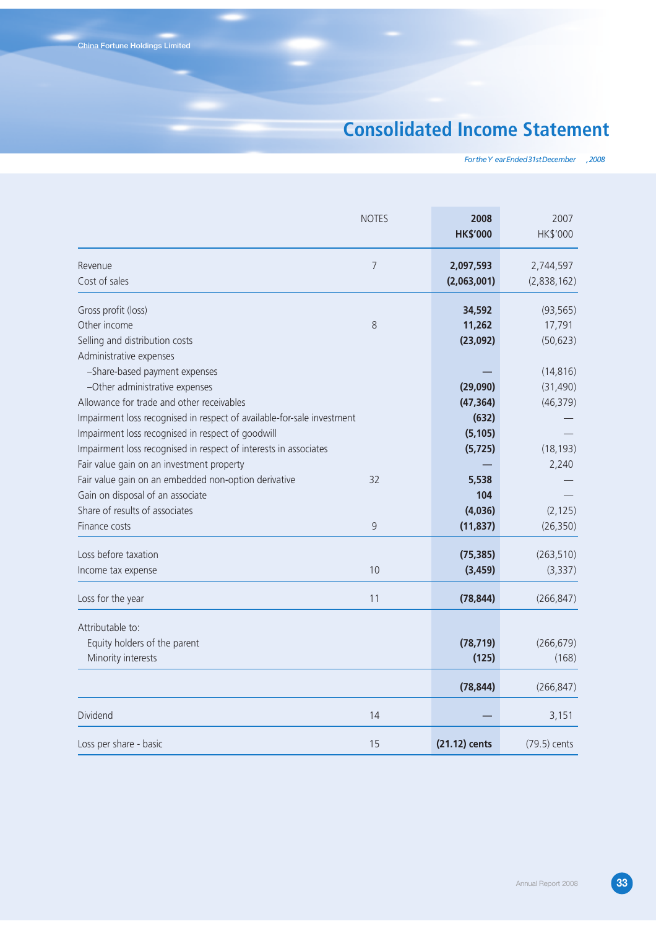# **Consolidated Income Statement**

*For the Y ear Ended 31st December , 2008*

|                                                                                                                                                                                                                                                                                                                 | <b>NOTES</b> | 2008<br><b>HK\$'000</b>                                | 2007<br>HK\$'000                                 |
|-----------------------------------------------------------------------------------------------------------------------------------------------------------------------------------------------------------------------------------------------------------------------------------------------------------------|--------------|--------------------------------------------------------|--------------------------------------------------|
| Revenue<br>Cost of sales                                                                                                                                                                                                                                                                                        | 7            | 2,097,593<br>(2,063,001)                               | 2,744,597<br>(2,838,162)                         |
| Gross profit (loss)<br>Other income<br>Selling and distribution costs<br>Administrative expenses                                                                                                                                                                                                                | 8            | 34,592<br>11,262<br>(23,092)                           | (93, 565)<br>17,791<br>(50, 623)                 |
| -Share-based payment expenses<br>-Other administrative expenses<br>Allowance for trade and other receivables<br>Impairment loss recognised in respect of available-for-sale investment<br>Impairment loss recognised in respect of goodwill<br>Impairment loss recognised in respect of interests in associates |              | (29,090)<br>(47, 364)<br>(632)<br>(5, 105)<br>(5, 725) | (14, 816)<br>(31, 490)<br>(46, 379)<br>(18, 193) |
| Fair value gain on an investment property<br>Fair value gain on an embedded non-option derivative<br>Gain on disposal of an associate<br>Share of results of associates<br>Finance costs                                                                                                                        | 32<br>9      | 5,538<br>104<br>(4,036)<br>(11, 837)                   | 2,240<br>(2, 125)<br>(26, 350)                   |
| Loss before taxation<br>Income tax expense                                                                                                                                                                                                                                                                      | 10           | (75, 385)<br>(3, 459)                                  | (263, 510)<br>(3, 337)                           |
| Loss for the year                                                                                                                                                                                                                                                                                               | 11           | (78, 844)                                              | (266, 847)                                       |
| Attributable to:<br>Equity holders of the parent<br>Minority interests                                                                                                                                                                                                                                          |              | (78, 719)<br>(125)                                     | (266, 679)<br>(168)                              |
| Dividend                                                                                                                                                                                                                                                                                                        | 14           | (78, 844)                                              | (266, 847)<br>3,151                              |
| Loss per share - basic                                                                                                                                                                                                                                                                                          | 15           | (21.12) cents                                          | (79.5) cents                                     |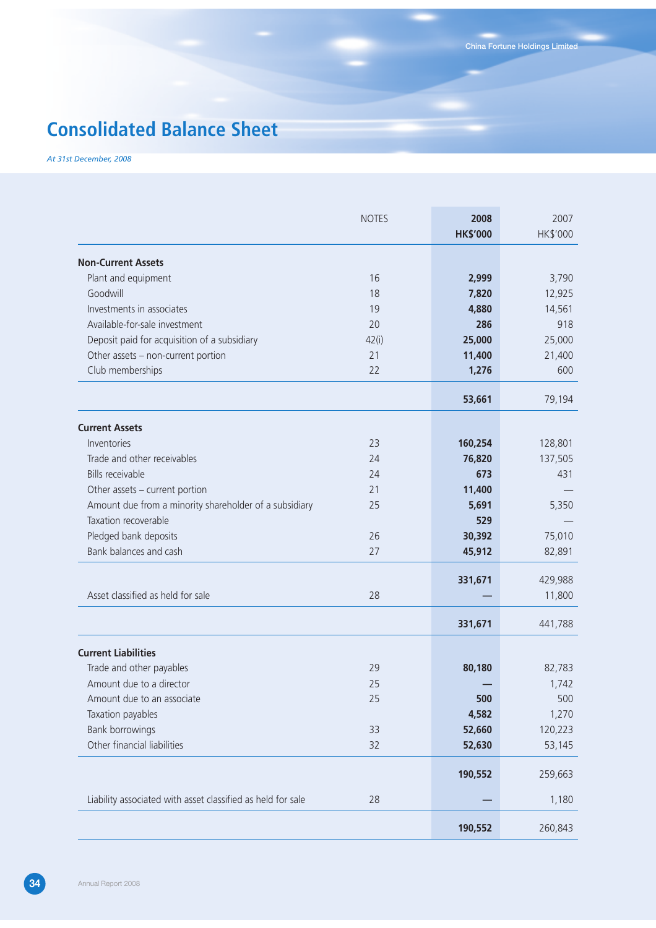# **Consolidated Balance Sheet**

*At 31st December, 2008*

|                                                             | <b>NOTES</b> | 2008            | 2007     |
|-------------------------------------------------------------|--------------|-----------------|----------|
|                                                             |              | <b>HK\$'000</b> | HK\$'000 |
| <b>Non-Current Assets</b>                                   |              |                 |          |
| Plant and equipment                                         | 16           | 2,999           | 3,790    |
| Goodwill                                                    | 18           | 7,820           | 12,925   |
| Investments in associates                                   | 19           | 4,880           | 14,561   |
| Available-for-sale investment                               | 20           | 286             | 918      |
| Deposit paid for acquisition of a subsidiary                | 42(i)        | 25,000          | 25,000   |
| Other assets - non-current portion                          | 21           | 11,400          | 21,400   |
| Club memberships                                            | 22           | 1,276           | 600      |
|                                                             |              | 53,661          | 79,194   |
| <b>Current Assets</b>                                       |              |                 |          |
| Inventories                                                 | 23           | 160,254         | 128,801  |
| Trade and other receivables                                 | 24           | 76,820          | 137,505  |
| <b>Bills receivable</b>                                     | 24           | 673             | 431      |
| Other assets - current portion                              | 21           | 11,400          |          |
| Amount due from a minority shareholder of a subsidiary      | 25           | 5,691           | 5,350    |
| Taxation recoverable                                        |              | 529             |          |
| Pledged bank deposits                                       | 26           | 30,392          | 75,010   |
| Bank balances and cash                                      | 27           | 45,912          | 82,891   |
|                                                             |              | 331,671         | 429,988  |
| Asset classified as held for sale                           | 28           |                 | 11,800   |
|                                                             |              | 331,671         | 441,788  |
| <b>Current Liabilities</b>                                  |              |                 |          |
| Trade and other payables                                    | 29           | 80,180          | 82,783   |
| Amount due to a director                                    | 25           |                 | 1,742    |
| Amount due to an associate                                  | 25           | 500             | 500      |
| Taxation payables                                           |              | 4,582           | 1,270    |
| Bank borrowings                                             | 33           | 52,660          | 120,223  |
| Other financial liabilities                                 | 32           | 52,630          | 53,145   |
|                                                             |              | 190,552         | 259,663  |
| Liability associated with asset classified as held for sale | 28           |                 | 1,180    |
|                                                             |              | 190,552         | 260,843  |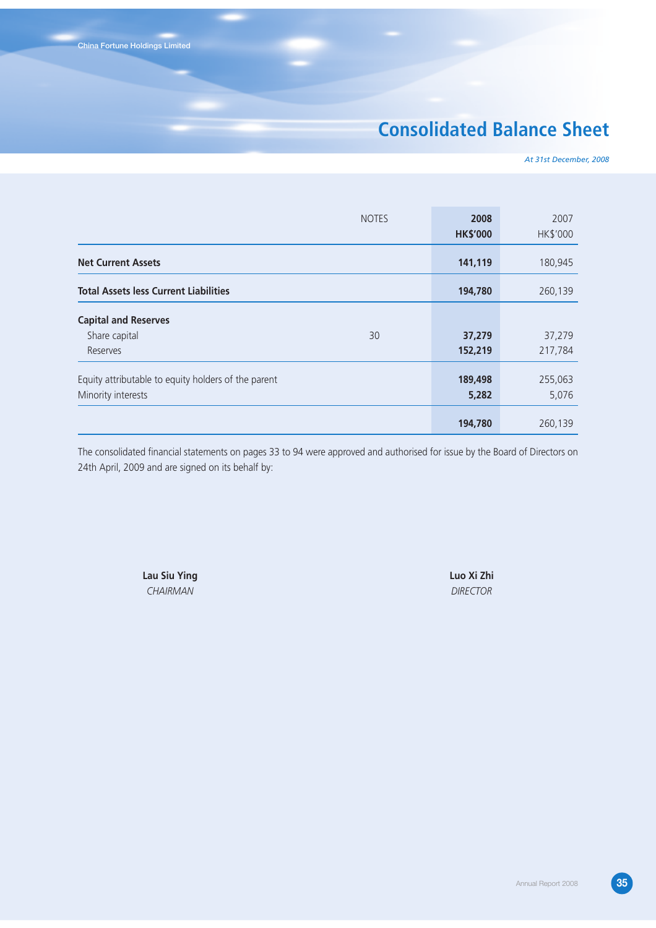# **Consolidated Balance Sheet**

*At 31st December, 2008*

|                                                     | <b>NOTES</b> | 2008<br><b>HK\$'000</b> | 2007<br>HK\$'000 |
|-----------------------------------------------------|--------------|-------------------------|------------------|
| <b>Net Current Assets</b>                           |              | 141,119                 | 180,945          |
| <b>Total Assets less Current Liabilities</b>        |              | 194,780                 | 260,139          |
| <b>Capital and Reserves</b>                         |              |                         |                  |
| Share capital                                       | 30           | 37,279                  | 37,279           |
| Reserves                                            |              | 152,219                 | 217,784          |
| Equity attributable to equity holders of the parent |              | 189,498                 | 255,063          |
| Minority interests                                  |              | 5,282                   | 5,076            |
|                                                     |              | 194,780                 | 260,139          |

The consolidated financial statements on pages 33 to 94 were approved and authorised for issue by the Board of Directors on 24th April, 2009 and are signed on its behalf by:

> **Lau Siu Ying Luo Xi Zhi** *CHAIRMAN DIRECTOR*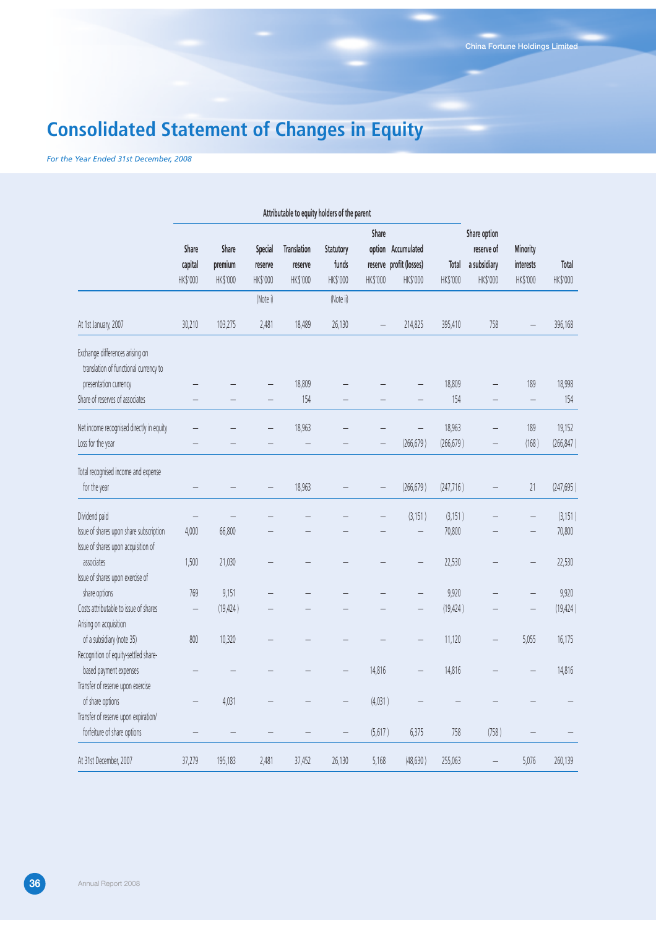# **Consolidated Statement of Changes in Equity**

*For the Year Ended 31st December, 2008*

|                                                                                | Attributable to equity holders of the parent |                              |                                |                                           |                                |                   |                                                           |                   |                                                        |                                   |                   |
|--------------------------------------------------------------------------------|----------------------------------------------|------------------------------|--------------------------------|-------------------------------------------|--------------------------------|-------------------|-----------------------------------------------------------|-------------------|--------------------------------------------------------|-----------------------------------|-------------------|
|                                                                                | Share<br>capital<br>HK\$'000                 | Share<br>premium<br>HK\$'000 | Special<br>reserve<br>HK\$'000 | <b>Translation</b><br>reserve<br>HK\$'000 | Statutory<br>funds<br>HK\$'000 | Share<br>HK\$'000 | option Accumulated<br>reserve profit (losses)<br>HK\$'000 | Total<br>HK\$'000 | Share option<br>reserve of<br>a subsidiary<br>HK\$'000 | Minority<br>interests<br>HK\$'000 | Total<br>HK\$'000 |
|                                                                                |                                              |                              | (Note i)                       |                                           | (Note ii)                      |                   |                                                           |                   |                                                        |                                   |                   |
| At 1st January, 2007                                                           | 30,210                                       | 103,275                      | 2,481                          | 18,489                                    | 26,130                         |                   | 214,825                                                   | 395,410           | 758                                                    |                                   | 396,168           |
| Exchange differences arising on<br>translation of functional currency to       |                                              |                              |                                |                                           |                                |                   |                                                           |                   |                                                        |                                   |                   |
| presentation currency                                                          |                                              |                              |                                | 18,809                                    |                                |                   |                                                           | 18,809            |                                                        | 189                               | 18,998            |
| Share of reserves of associates                                                |                                              |                              |                                | 154                                       |                                |                   |                                                           | 154               |                                                        | $\qquad \qquad -$                 | 154               |
| Net income recognised directly in equity                                       |                                              |                              |                                | 18,963                                    |                                |                   |                                                           | 18,963            |                                                        | 189                               | 19,152            |
| Loss for the year                                                              |                                              |                              |                                | $\overline{\phantom{0}}$                  |                                |                   | (266, 679)                                                | (266, 679)        |                                                        | (168)                             | (266, 847)        |
| Total recognised income and expense<br>for the year                            |                                              |                              |                                | 18,963                                    |                                |                   | (266, 679)                                                | (247, 716)        |                                                        | 21                                | (247, 695)        |
| Dividend paid                                                                  |                                              |                              |                                |                                           |                                |                   | (3, 151)                                                  | (3, 151)          |                                                        |                                   | (3,151)           |
| Issue of shares upon share subscription<br>Issue of shares upon acquisition of | 4,000                                        | 66,800                       |                                |                                           |                                |                   |                                                           | 70,800            |                                                        |                                   | 70,800            |
| associates<br>Issue of shares upon exercise of                                 | 1,500                                        | 21,030                       |                                |                                           |                                |                   |                                                           | 22,530            |                                                        |                                   | 22,530            |
| share options                                                                  | 769                                          | 9,151                        |                                |                                           |                                |                   | $\overline{\phantom{0}}$                                  | 9,920             |                                                        |                                   | 9,920             |
| Costs attributable to issue of shares<br>Arising on acquisition                | $\overline{\phantom{0}}$                     | (19, 424)                    |                                |                                           |                                |                   |                                                           | (19, 424)         |                                                        |                                   | (19, 424)         |
| of a subsidiary (note 35)<br>Recognition of equity-settled share-              | 800                                          | 10,320                       |                                |                                           |                                |                   |                                                           | 11,120            |                                                        | 5,055                             | 16,175            |
| based payment expenses                                                         |                                              |                              |                                |                                           | -                              | 14,816            |                                                           | 14,816            |                                                        |                                   | 14,816            |
| Transfer of reserve upon exercise                                              |                                              |                              |                                |                                           |                                |                   |                                                           |                   |                                                        |                                   |                   |
| of share options                                                               | $\overline{\phantom{0}}$                     | 4,031                        |                                |                                           | $\overline{\phantom{0}}$       | (4,031)           |                                                           |                   |                                                        |                                   |                   |
| Transfer of reserve upon expiration/<br>forfeiture of share options            |                                              |                              |                                |                                           |                                | (5,617)           | 6,375                                                     | 758               | (758)                                                  |                                   |                   |
| At 31st December, 2007                                                         | 37,279                                       | 195,183                      | 2,481                          | 37,452                                    | 26,130                         | 5,168             | (48, 630)                                                 | 255,063           |                                                        | 5,076                             | 260,139           |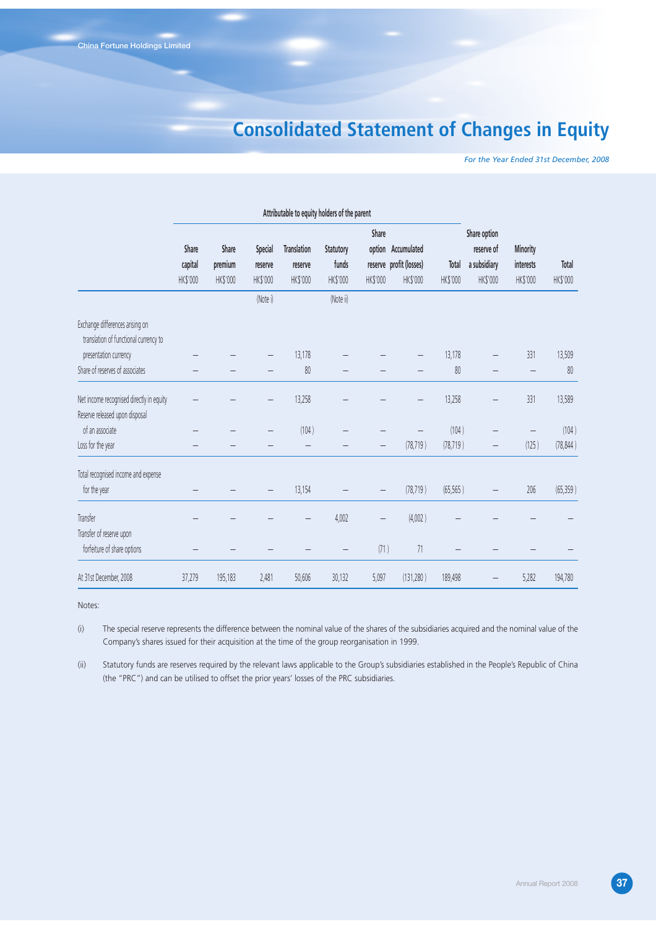# **Consolidated Statement of Changes in Equity**

*For the Year Ended 31st December, 2008*

|                                                                            | Attributable to equity holders of the parent |                              |                                |                                           |                                |                   |                                                           |                   |                                                        |                                          |                   |
|----------------------------------------------------------------------------|----------------------------------------------|------------------------------|--------------------------------|-------------------------------------------|--------------------------------|-------------------|-----------------------------------------------------------|-------------------|--------------------------------------------------------|------------------------------------------|-------------------|
|                                                                            | Share<br>capital<br>HK\$'000                 | Share<br>premium<br>HK\$'000 | Special<br>reserve<br>HK\$'000 | <b>Translation</b><br>reserve<br>HK\$'000 | Statutory<br>funds<br>HK\$'000 | Share<br>HK\$'000 | option Accumulated<br>reserve profit (losses)<br>HK\$'000 | Total<br>HK\$'000 | Share option<br>reserve of<br>a subsidiary<br>HK\$'000 | <b>Minority</b><br>interests<br>HK\$'000 | Total<br>HK\$'000 |
|                                                                            |                                              |                              | (Note i)                       |                                           | (Note ii)                      |                   |                                                           |                   |                                                        |                                          |                   |
| Exchange differences arising on<br>translation of functional currency to   |                                              |                              |                                |                                           |                                |                   |                                                           |                   |                                                        |                                          |                   |
| presentation currency                                                      |                                              |                              |                                | 13,178                                    |                                |                   |                                                           | 13,178            |                                                        | 331                                      | 13,509            |
| Share of reserves of associates                                            |                                              |                              |                                | 80                                        |                                |                   |                                                           | 80                |                                                        |                                          | 80                |
| Net income recognised directly in equity<br>Reserve released upon disposal |                                              |                              |                                | 13,258                                    |                                |                   |                                                           | 13,258            |                                                        | 331                                      | 13,589            |
| of an associate                                                            |                                              |                              |                                | (104)                                     |                                |                   |                                                           | (104)             |                                                        |                                          | (104)             |
| Loss for the year                                                          |                                              |                              |                                |                                           |                                |                   | (78, 719)                                                 | (78, 719)         |                                                        | (125)                                    | (78, 844)         |
| Total recognised income and expense                                        |                                              |                              |                                |                                           |                                |                   |                                                           |                   |                                                        |                                          |                   |
| for the year                                                               |                                              |                              |                                | 13,154                                    |                                | $\qquad \qquad -$ | (78, 719)                                                 | (65, 565)         |                                                        | 206                                      | (65, 359)         |
| Transfer                                                                   |                                              |                              |                                |                                           | 4,002                          |                   | (4,002)                                                   |                   |                                                        |                                          |                   |
| Transfer of reserve upon<br>forfeiture of share options                    |                                              |                              |                                |                                           |                                | (71)              | $71\,$                                                    |                   |                                                        |                                          |                   |
| At 31st December, 2008                                                     | 37,279                                       | 195,183                      | 2,481                          | 50,606                                    | 30,132                         | 5,097             | (131, 280)                                                | 189,498           |                                                        | 5,282                                    | 194,780           |

Notes:

(i) The special reserve represents the difference between the nominal value of the shares of the subsidiaries acquired and the nominal value of the Company's shares issued for their acquisition at the time of the group reorganisation in 1999.

(ii) Statutory funds are reserves required by the relevant laws applicable to the Group's subsidiaries established in the People's Republic of China (the "PRC") and can be utilised to offset the prior years' losses of the PRC subsidiaries.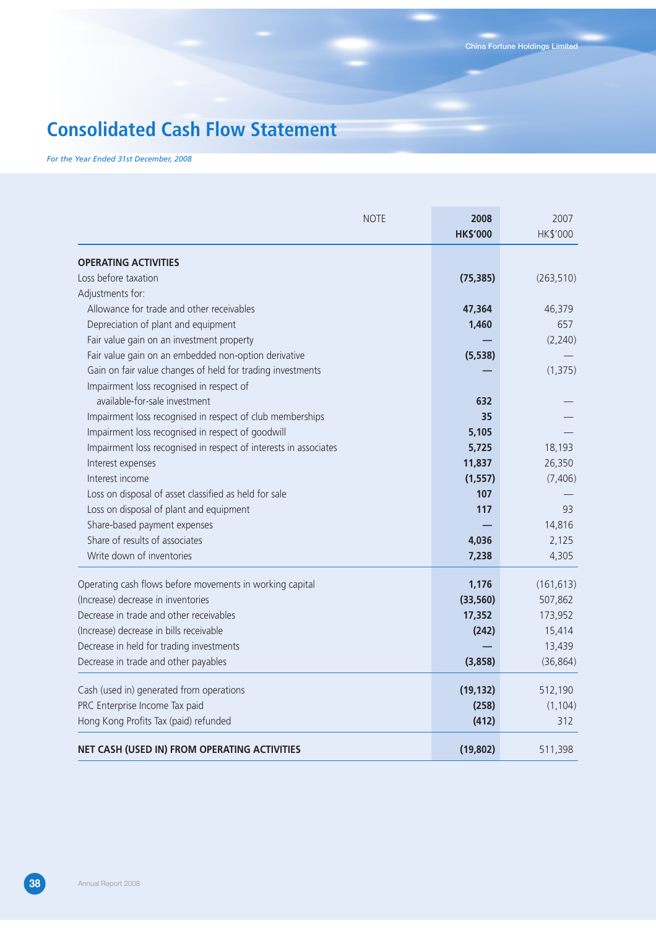# **Consolidated Cash Flow Statement**

*For the Year Ended 31st December, 2008*

| <b>NOTE</b>                                                      | 2008<br><b>HK\$'000</b> | 2007<br>HK\$'000 |
|------------------------------------------------------------------|-------------------------|------------------|
| <b>OPERATING ACTIVITIES</b>                                      |                         |                  |
| Loss before taxation                                             | (75, 385)               | (263, 510)       |
| Adjustments for:                                                 |                         |                  |
| Allowance for trade and other receivables                        | 47,364                  | 46,379           |
| Depreciation of plant and equipment                              | 1,460                   | 657              |
| Fair value gain on an investment property                        |                         | (2, 240)         |
| Fair value gain on an embedded non-option derivative             | (5, 538)                |                  |
| Gain on fair value changes of held for trading investments       |                         | (1, 375)         |
| Impairment loss recognised in respect of                         |                         |                  |
| available-for-sale investment                                    | 632                     |                  |
| Impairment loss recognised in respect of club memberships        | 35                      |                  |
| Impairment loss recognised in respect of goodwill                | 5,105                   |                  |
| Impairment loss recognised in respect of interests in associates | 5,725                   | 18,193           |
| Interest expenses                                                | 11,837                  | 26,350           |
| Interest income                                                  | (1, 557)                | (7, 406)         |
| Loss on disposal of asset classified as held for sale            | 107                     |                  |
| Loss on disposal of plant and equipment                          | 117                     | 93               |
| Share-based payment expenses                                     |                         | 14,816           |
| Share of results of associates                                   | 4,036                   | 2,125            |
| Write down of inventories                                        | 7,238                   | 4,305            |
| Operating cash flows before movements in working capital         | 1,176                   | (161, 613)       |
| (Increase) decrease in inventories                               | (33, 560)               | 507,862          |
| Decrease in trade and other receivables                          | 17,352                  | 173,952          |
| (Increase) decrease in bills receivable                          | (242)                   | 15,414           |
| Decrease in held for trading investments                         |                         | 13,439           |
| Decrease in trade and other payables                             | (3,858)                 | (36, 864)        |
| Cash (used in) generated from operations                         | (19, 132)               | 512,190          |
| PRC Enterprise Income Tax paid                                   | (258)                   | (1, 104)         |
| Hong Kong Profits Tax (paid) refunded                            | (412)                   | 312              |
| NET CASH (USED IN) FROM OPERATING ACTIVITIES                     | (19, 802)               | 511,398          |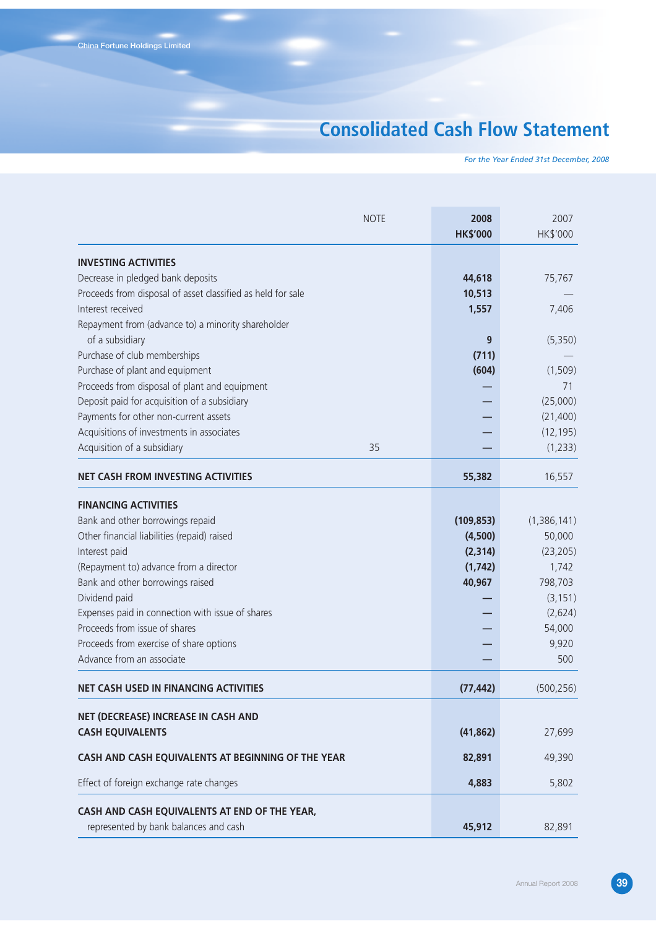# **Consolidated Cash Flow Statement**

*For the Year Ended 31st December, 2008*

| <b>NOTE</b>                                                           | 2008<br><b>HK\$'000</b> | 2007<br>HK\$'000 |
|-----------------------------------------------------------------------|-------------------------|------------------|
| <b>INVESTING ACTIVITIES</b>                                           |                         |                  |
| Decrease in pledged bank deposits                                     | 44,618                  | 75,767           |
| Proceeds from disposal of asset classified as held for sale           | 10,513                  |                  |
| Interest received                                                     | 1,557                   | 7,406            |
| Repayment from (advance to) a minority shareholder<br>of a subsidiary | 9                       | (5,350)          |
| Purchase of club memberships                                          | (711)                   |                  |
| Purchase of plant and equipment                                       | (604)                   | (1,509)          |
| Proceeds from disposal of plant and equipment                         |                         | 71               |
| Deposit paid for acquisition of a subsidiary                          |                         | (25,000)         |
| Payments for other non-current assets                                 |                         | (21,400)         |
| Acquisitions of investments in associates                             |                         | (12, 195)        |
| Acquisition of a subsidiary<br>35                                     |                         | (1,233)          |
| <b>NET CASH FROM INVESTING ACTIVITIES</b>                             | 55,382                  | 16,557           |
| <b>FINANCING ACTIVITIES</b>                                           |                         |                  |
| Bank and other borrowings repaid                                      | (109, 853)              | (1,386,141)      |
| Other financial liabilities (repaid) raised                           | (4,500)                 | 50,000           |
| Interest paid                                                         | (2, 314)                | (23, 205)        |
| (Repayment to) advance from a director                                | (1, 742)                | 1,742            |
| Bank and other borrowings raised                                      | 40,967                  | 798,703          |
| Dividend paid                                                         |                         | (3, 151)         |
| Expenses paid in connection with issue of shares                      |                         | (2,624)          |
| Proceeds from issue of shares                                         |                         | 54,000           |
| Proceeds from exercise of share options                               |                         | 9,920            |
| Advance from an associate                                             |                         | 500              |
| <b>NET CASH USED IN FINANCING ACTIVITIES</b>                          | (77, 442)               | (500, 256)       |
| NET (DECREASE) INCREASE IN CASH AND                                   |                         |                  |
| <b>CASH EQUIVALENTS</b>                                               | (41, 862)               | 27,699           |
| CASH AND CASH EQUIVALENTS AT BEGINNING OF THE YEAR                    | 82,891                  | 49,390           |
| Effect of foreign exchange rate changes                               | 4,883                   | 5,802            |
| CASH AND CASH EQUIVALENTS AT END OF THE YEAR,                         |                         |                  |
| represented by bank balances and cash                                 | 45,912                  | 82,891           |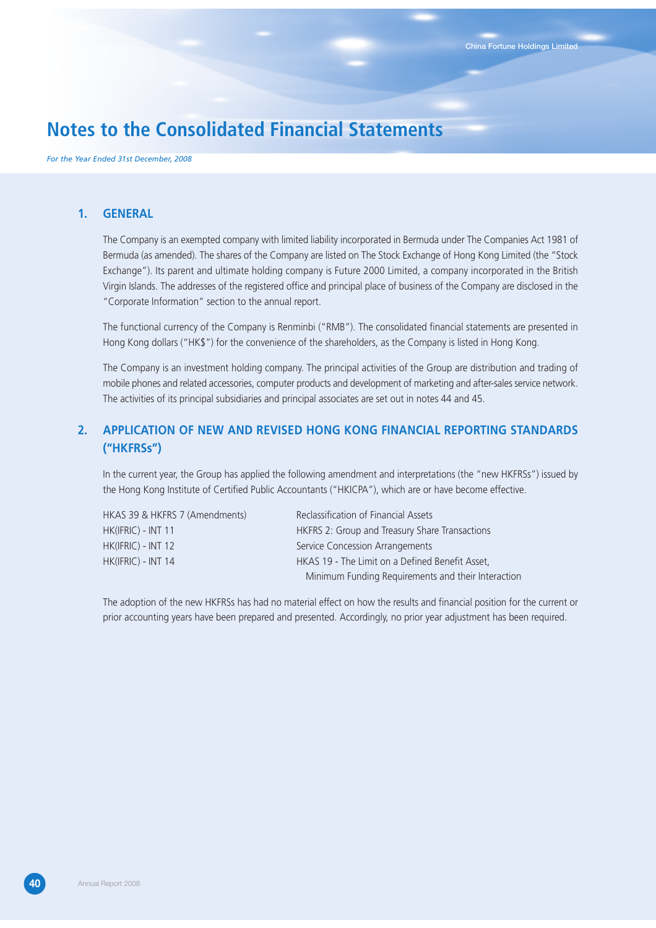*For the Year Ended 31st December, 2008*

### **1. GENERAL**

The Company is an exempted company with limited liability incorporated in Bermuda under The Companies Act 1981 of Bermuda (as amended). The shares of the Company are listed on The Stock Exchange of Hong Kong Limited (the "Stock Exchange"). Its parent and ultimate holding company is Future 2000 Limited, a company incorporated in the British Virgin Islands. The addresses of the registered office and principal place of business of the Company are disclosed in the "Corporate Information" section to the annual report.

The functional currency of the Company is Renminbi ("RMB"). The consolidated financial statements are presented in Hong Kong dollars ("HK\$") for the convenience of the shareholders, as the Company is listed in Hong Kong.

The Company is an investment holding company. The principal activities of the Group are distribution and trading of mobile phones and related accessories, computer products and development of marketing and after-sales service network. The activities of its principal subsidiaries and principal associates are set out in notes 44 and 45.

## **2. APPLICATION OF NEW AND REVISED HONG KONG FINANCIAL REPORTING STANDARDS ("HKFRSs")**

In the current year, the Group has applied the following amendment and interpretations (the "new HKFRSs") issued by the Hong Kong Institute of Certified Public Accountants ("HKICPA"), which are or have become effective.

| HKAS 39 & HKFRS 7 (Amendments) | Reclassification of Financial Assets               |
|--------------------------------|----------------------------------------------------|
| HK(IFRIC) - INT 11             | HKFRS 2: Group and Treasury Share Transactions     |
| HK(IFRIC) - INT 12             | Service Concession Arrangements                    |
| HK(IFRIC) - INT 14             | HKAS 19 - The Limit on a Defined Benefit Asset,    |
|                                | Minimum Funding Requirements and their Interaction |

The adoption of the new HKFRSs has had no material effect on how the results and financial position for the current or prior accounting years have been prepared and presented. Accordingly, no prior year adjustment has been required.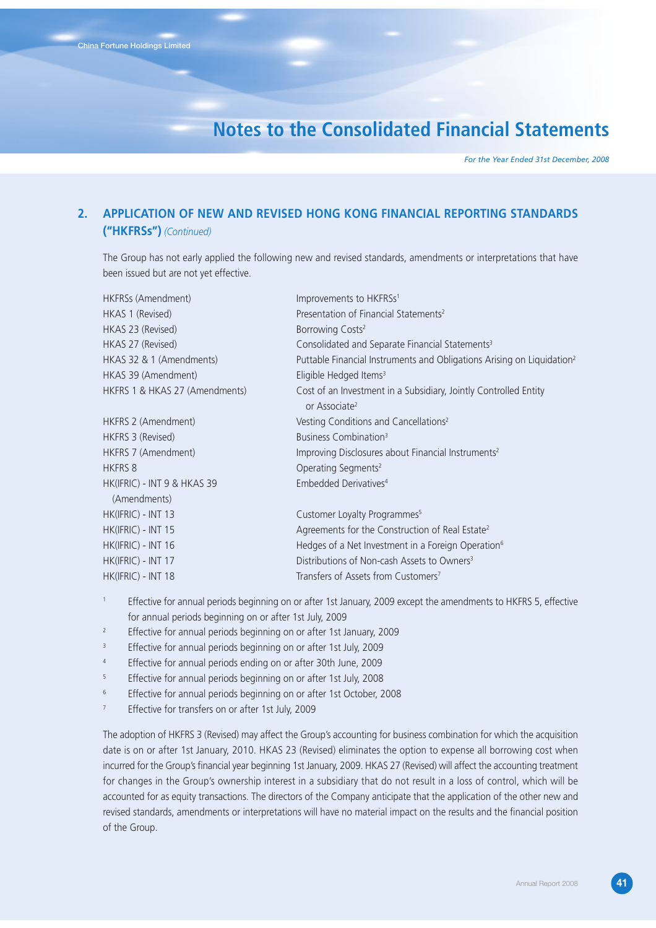*For the Year Ended 31st December, 2008*

## **2. APPLICATION OF NEW AND REVISED HONG KONG FINANCIAL REPORTING STANDARDS ("HKFRSs")** *(Continued)*

The Group has not early applied the following new and revised standards, amendments or interpretations that have been issued but are not yet effective.

| HKFRSs (Amendment)             | Improvements to HKFRSs <sup>1</sup>                                                           |
|--------------------------------|-----------------------------------------------------------------------------------------------|
| HKAS 1 (Revised)               | Presentation of Financial Statements <sup>2</sup>                                             |
| HKAS 23 (Revised)              | Borrowing Costs <sup>2</sup>                                                                  |
| HKAS 27 (Revised)              | Consolidated and Separate Financial Statements <sup>3</sup>                                   |
| HKAS 32 & 1 (Amendments)       | Puttable Financial Instruments and Obligations Arising on Liquidation <sup>2</sup>            |
| HKAS 39 (Amendment)            | Eligible Hedged Items <sup>3</sup>                                                            |
| HKFRS 1 & HKAS 27 (Amendments) | Cost of an Investment in a Subsidiary, Jointly Controlled Entity<br>or Associate <sup>2</sup> |
| HKFRS 2 (Amendment)            | Vesting Conditions and Cancellations <sup>2</sup>                                             |
| HKFRS 3 (Revised)              | Business Combination <sup>3</sup>                                                             |
| HKFRS 7 (Amendment)            | Improving Disclosures about Financial Instruments <sup>2</sup>                                |
| <b>HKFRS 8</b>                 | Operating Segments <sup>2</sup>                                                               |
| HK(IFRIC) - INT 9 & HKAS 39    | Embedded Derivatives <sup>4</sup>                                                             |
| (Amendments)                   |                                                                                               |
| HK(IFRIC) - INT 13             | Customer Loyalty Programmes <sup>5</sup>                                                      |
| HK(IFRIC) - INT 15             | Agreements for the Construction of Real Estate <sup>2</sup>                                   |
| HK(IFRIC) - INT 16             | Hedges of a Net Investment in a Foreign Operation <sup>6</sup>                                |
| HK(IFRIC) - INT 17             | Distributions of Non-cash Assets to Owners <sup>3</sup>                                       |
| HK(IFRIC) - INT 18             | Transfers of Assets from Customers <sup>7</sup>                                               |
|                                |                                                                                               |

- <sup>1</sup> Effective for annual periods beginning on or after 1st January, 2009 except the amendments to HKFRS 5, effective for annual periods beginning on or after 1st July, 2009
- <sup>2</sup> Effective for annual periods beginning on or after 1st January, 2009
- Effective for annual periods beginning on or after 1st July, 2009
- <sup>4</sup> Effective for annual periods ending on or after 30th June, 2009
- <sup>5</sup> Effective for annual periods beginning on or after 1st July, 2008
- <sup>6</sup> Effective for annual periods beginning on or after 1st October, 2008
- <sup>7</sup> Effective for transfers on or after 1st July, 2009

The adoption of HKFRS 3 (Revised) may affect the Group's accounting for business combination for which the acquisition date is on or after 1st January, 2010. HKAS 23 (Revised) eliminates the option to expense all borrowing cost when incurred for the Group's financial year beginning 1st January, 2009. HKAS 27 (Revised) will affect the accounting treatment for changes in the Group's ownership interest in a subsidiary that do not result in a loss of control, which will be accounted for as equity transactions. The directors of the Company anticipate that the application of the other new and revised standards, amendments or interpretations will have no material impact on the results and the financial position of the Group.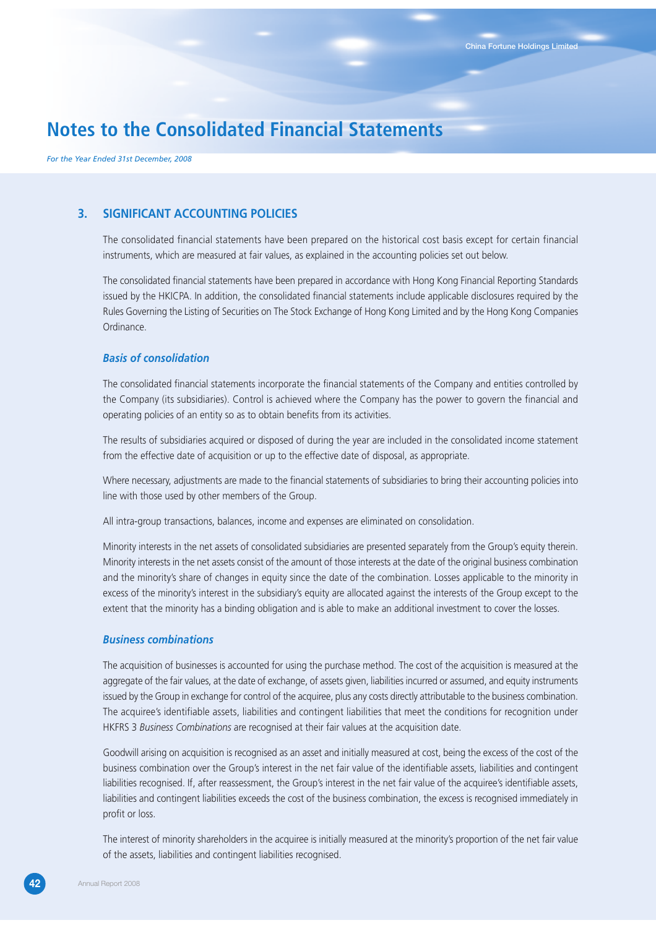*For the Year Ended 31st December, 2008*

## **3. SIGNIFICANT ACCOUNTING POLICIES**

The consolidated financial statements have been prepared on the historical cost basis except for certain financial instruments, which are measured at fair values, as explained in the accounting policies set out below.

The consolidated financial statements have been prepared in accordance with Hong Kong Financial Reporting Standards issued by the HKICPA. In addition, the consolidated financial statements include applicable disclosures required by the Rules Governing the Listing of Securities on The Stock Exchange of Hong Kong Limited and by the Hong Kong Companies Ordinance.

## *Basis of consolidation*

The consolidated financial statements incorporate the financial statements of the Company and entities controlled by the Company (its subsidiaries). Control is achieved where the Company has the power to govern the financial and operating policies of an entity so as to obtain benefits from its activities.

The results of subsidiaries acquired or disposed of during the year are included in the consolidated income statement from the effective date of acquisition or up to the effective date of disposal, as appropriate.

Where necessary, adjustments are made to the financial statements of subsidiaries to bring their accounting policies into line with those used by other members of the Group.

All intra-group transactions, balances, income and expenses are eliminated on consolidation.

Minority interests in the net assets of consolidated subsidiaries are presented separately from the Group's equity therein. Minority interests in the net assets consist of the amount of those interests at the date of the original business combination and the minority's share of changes in equity since the date of the combination. Losses applicable to the minority in excess of the minority's interest in the subsidiary's equity are allocated against the interests of the Group except to the extent that the minority has a binding obligation and is able to make an additional investment to cover the losses.

### *Business combinations*

The acquisition of businesses is accounted for using the purchase method. The cost of the acquisition is measured at the aggregate of the fair values, at the date of exchange, of assets given, liabilities incurred or assumed, and equity instruments issued by the Group in exchange for control of the acquiree, plus any costs directly attributable to the business combination. The acquiree's identifiable assets, liabilities and contingent liabilities that meet the conditions for recognition under HKFRS 3 *Business Combinations* are recognised at their fair values at the acquisition date.

Goodwill arising on acquisition is recognised as an asset and initially measured at cost, being the excess of the cost of the business combination over the Group's interest in the net fair value of the identifiable assets, liabilities and contingent liabilities recognised. If, after reassessment, the Group's interest in the net fair value of the acquiree's identifiable assets, liabilities and contingent liabilities exceeds the cost of the business combination, the excess is recognised immediately in profit or loss.

The interest of minority shareholders in the acquiree is initially measured at the minority's proportion of the net fair value of the assets, liabilities and contingent liabilities recognised.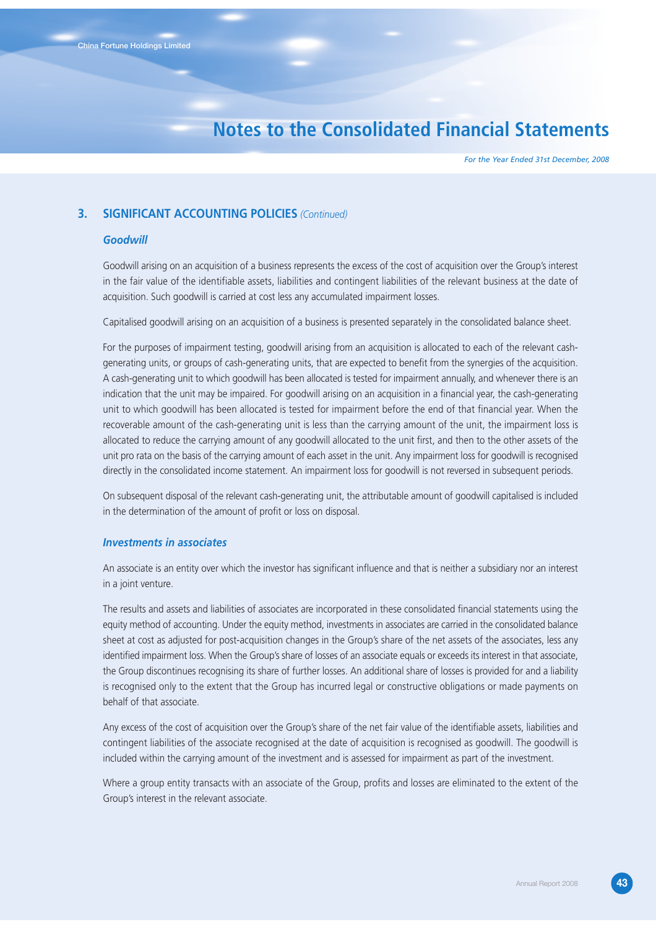*For the Year Ended 31st December, 2008*

## **3. SIGNIFICANT ACCOUNTING POLICIES** *(Continued)*

### *Goodwill*

Goodwill arising on an acquisition of a business represents the excess of the cost of acquisition over the Group's interest in the fair value of the identifiable assets, liabilities and contingent liabilities of the relevant business at the date of acquisition. Such goodwill is carried at cost less any accumulated impairment losses.

Capitalised goodwill arising on an acquisition of a business is presented separately in the consolidated balance sheet.

For the purposes of impairment testing, goodwill arising from an acquisition is allocated to each of the relevant cashgenerating units, or groups of cash-generating units, that are expected to benefit from the synergies of the acquisition. A cash-generating unit to which goodwill has been allocated is tested for impairment annually, and whenever there is an indication that the unit may be impaired. For goodwill arising on an acquisition in a financial year, the cash-generating unit to which goodwill has been allocated is tested for impairment before the end of that financial year. When the recoverable amount of the cash-generating unit is less than the carrying amount of the unit, the impairment loss is allocated to reduce the carrying amount of any goodwill allocated to the unit first, and then to the other assets of the unit pro rata on the basis of the carrying amount of each asset in the unit. Any impairment loss for goodwill is recognised directly in the consolidated income statement. An impairment loss for goodwill is not reversed in subsequent periods.

On subsequent disposal of the relevant cash-generating unit, the attributable amount of goodwill capitalised is included in the determination of the amount of profit or loss on disposal.

### *Investments in associates*

An associate is an entity over which the investor has significant influence and that is neither a subsidiary nor an interest in a joint venture.

The results and assets and liabilities of associates are incorporated in these consolidated financial statements using the equity method of accounting. Under the equity method, investments in associates are carried in the consolidated balance sheet at cost as adjusted for post-acquisition changes in the Group's share of the net assets of the associates, less any identified impairment loss. When the Group's share of losses of an associate equals or exceeds its interest in that associate, the Group discontinues recognising its share of further losses. An additional share of losses is provided for and a liability is recognised only to the extent that the Group has incurred legal or constructive obligations or made payments on behalf of that associate.

Any excess of the cost of acquisition over the Group's share of the net fair value of the identifiable assets, liabilities and contingent liabilities of the associate recognised at the date of acquisition is recognised as goodwill. The goodwill is included within the carrying amount of the investment and is assessed for impairment as part of the investment.

Where a group entity transacts with an associate of the Group, profits and losses are eliminated to the extent of the Group's interest in the relevant associate.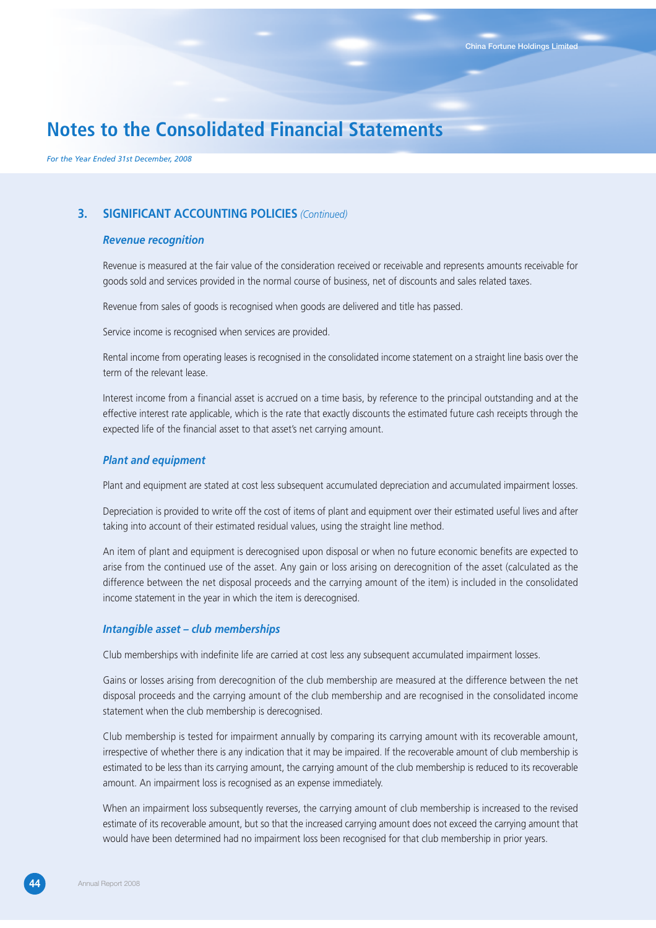*For the Year Ended 31st December, 2008*

## **3. SIGNIFICANT ACCOUNTING POLICIES** *(Continued)*

## *Revenue recognition*

Revenue is measured at the fair value of the consideration received or receivable and represents amounts receivable for goods sold and services provided in the normal course of business, net of discounts and sales related taxes.

Revenue from sales of goods is recognised when goods are delivered and title has passed.

Service income is recognised when services are provided.

Rental income from operating leases is recognised in the consolidated income statement on a straight line basis over the term of the relevant lease.

Interest income from a financial asset is accrued on a time basis, by reference to the principal outstanding and at the effective interest rate applicable, which is the rate that exactly discounts the estimated future cash receipts through the expected life of the financial asset to that asset's net carrying amount.

### *Plant and equipment*

Plant and equipment are stated at cost less subsequent accumulated depreciation and accumulated impairment losses.

Depreciation is provided to write off the cost of items of plant and equipment over their estimated useful lives and after taking into account of their estimated residual values, using the straight line method.

An item of plant and equipment is derecognised upon disposal or when no future economic benefits are expected to arise from the continued use of the asset. Any gain or loss arising on derecognition of the asset (calculated as the difference between the net disposal proceeds and the carrying amount of the item) is included in the consolidated income statement in the year in which the item is derecognised.

### *Intangible asset – club memberships*

Club memberships with indefinite life are carried at cost less any subsequent accumulated impairment losses.

Gains or losses arising from derecognition of the club membership are measured at the difference between the net disposal proceeds and the carrying amount of the club membership and are recognised in the consolidated income statement when the club membership is derecognised.

Club membership is tested for impairment annually by comparing its carrying amount with its recoverable amount, irrespective of whether there is any indication that it may be impaired. If the recoverable amount of club membership is estimated to be less than its carrying amount, the carrying amount of the club membership is reduced to its recoverable amount. An impairment loss is recognised as an expense immediately.

When an impairment loss subsequently reverses, the carrying amount of club membership is increased to the revised estimate of its recoverable amount, but so that the increased carrying amount does not exceed the carrying amount that would have been determined had no impairment loss been recognised for that club membership in prior years.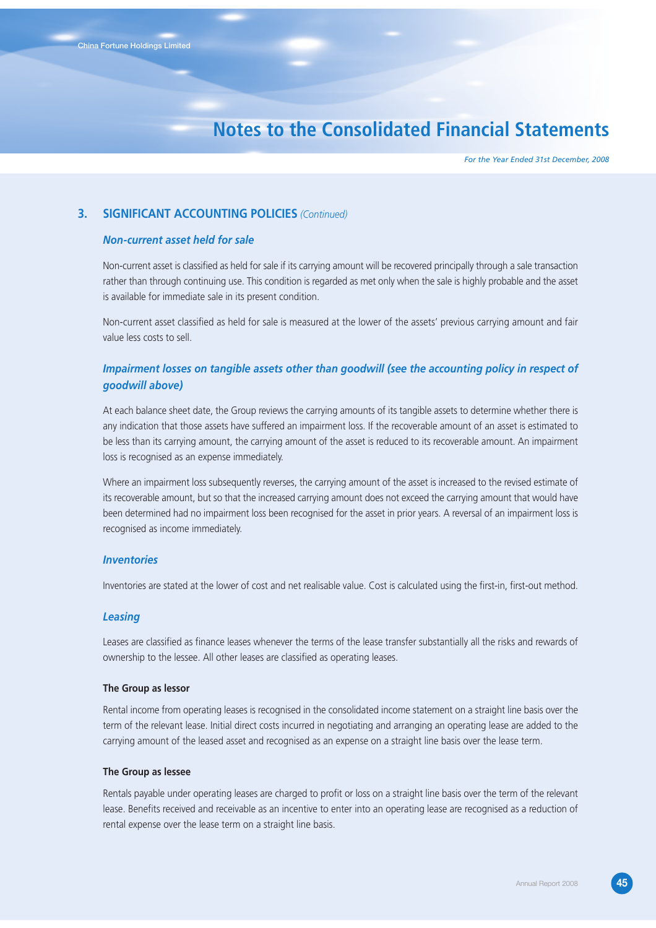*For the Year Ended 31st December, 2008*

## **3. SIGNIFICANT ACCOUNTING POLICIES** *(Continued)*

### *Non-current asset held for sale*

Non-current asset is classified as held for sale if its carrying amount will be recovered principally through a sale transaction rather than through continuing use. This condition is regarded as met only when the sale is highly probable and the asset is available for immediate sale in its present condition.

Non-current asset classified as held for sale is measured at the lower of the assets' previous carrying amount and fair value less costs to sell.

## *Impairment losses on tangible assets other than goodwill (see the accounting policy in respect of goodwill above)*

At each balance sheet date, the Group reviews the carrying amounts of its tangible assets to determine whether there is any indication that those assets have suffered an impairment loss. If the recoverable amount of an asset is estimated to be less than its carrying amount, the carrying amount of the asset is reduced to its recoverable amount. An impairment loss is recognised as an expense immediately.

Where an impairment loss subsequently reverses, the carrying amount of the asset is increased to the revised estimate of its recoverable amount, but so that the increased carrying amount does not exceed the carrying amount that would have been determined had no impairment loss been recognised for the asset in prior years. A reversal of an impairment loss is recognised as income immediately.

#### *Inventories*

Inventories are stated at the lower of cost and net realisable value. Cost is calculated using the first-in, first-out method.

#### *Leasing*

Leases are classified as finance leases whenever the terms of the lease transfer substantially all the risks and rewards of ownership to the lessee. All other leases are classified as operating leases.

#### **The Group as lessor**

Rental income from operating leases is recognised in the consolidated income statement on a straight line basis over the term of the relevant lease. Initial direct costs incurred in negotiating and arranging an operating lease are added to the carrying amount of the leased asset and recognised as an expense on a straight line basis over the lease term.

#### **The Group as lessee**

Rentals payable under operating leases are charged to profit or loss on a straight line basis over the term of the relevant lease. Benefits received and receivable as an incentive to enter into an operating lease are recognised as a reduction of rental expense over the lease term on a straight line basis.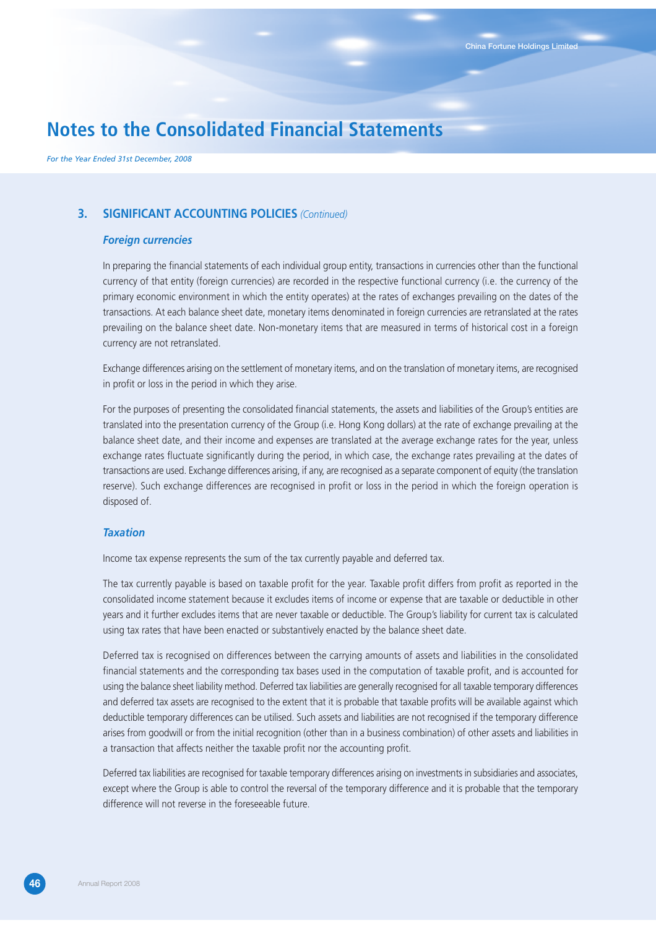*For the Year Ended 31st December, 2008*

## **3. SIGNIFICANT ACCOUNTING POLICIES** *(Continued)*

### *Foreign currencies*

In preparing the financial statements of each individual group entity, transactions in currencies other than the functional currency of that entity (foreign currencies) are recorded in the respective functional currency (i.e. the currency of the primary economic environment in which the entity operates) at the rates of exchanges prevailing on the dates of the transactions. At each balance sheet date, monetary items denominated in foreign currencies are retranslated at the rates prevailing on the balance sheet date. Non-monetary items that are measured in terms of historical cost in a foreign currency are not retranslated.

Exchange differences arising on the settlement of monetary items, and on the translation of monetary items, are recognised in profit or loss in the period in which they arise.

For the purposes of presenting the consolidated financial statements, the assets and liabilities of the Group's entities are translated into the presentation currency of the Group (i.e. Hong Kong dollars) at the rate of exchange prevailing at the balance sheet date, and their income and expenses are translated at the average exchange rates for the year, unless exchange rates fluctuate significantly during the period, in which case, the exchange rates prevailing at the dates of transactions are used. Exchange differences arising, if any, are recognised as a separate component of equity (the translation reserve). Such exchange differences are recognised in profit or loss in the period in which the foreign operation is disposed of.

### *Taxation*

Income tax expense represents the sum of the tax currently payable and deferred tax.

The tax currently payable is based on taxable profit for the year. Taxable profit differs from profit as reported in the consolidated income statement because it excludes items of income or expense that are taxable or deductible in other years and it further excludes items that are never taxable or deductible. The Group's liability for current tax is calculated using tax rates that have been enacted or substantively enacted by the balance sheet date.

Deferred tax is recognised on differences between the carrying amounts of assets and liabilities in the consolidated financial statements and the corresponding tax bases used in the computation of taxable profit, and is accounted for using the balance sheet liability method. Deferred tax liabilities are generally recognised for all taxable temporary differences and deferred tax assets are recognised to the extent that it is probable that taxable profits will be available against which deductible temporary differences can be utilised. Such assets and liabilities are not recognised if the temporary difference arises from goodwill or from the initial recognition (other than in a business combination) of other assets and liabilities in a transaction that affects neither the taxable profit nor the accounting profit.

Deferred tax liabilities are recognised for taxable temporary differences arising on investments in subsidiaries and associates, except where the Group is able to control the reversal of the temporary difference and it is probable that the temporary difference will not reverse in the foreseeable future.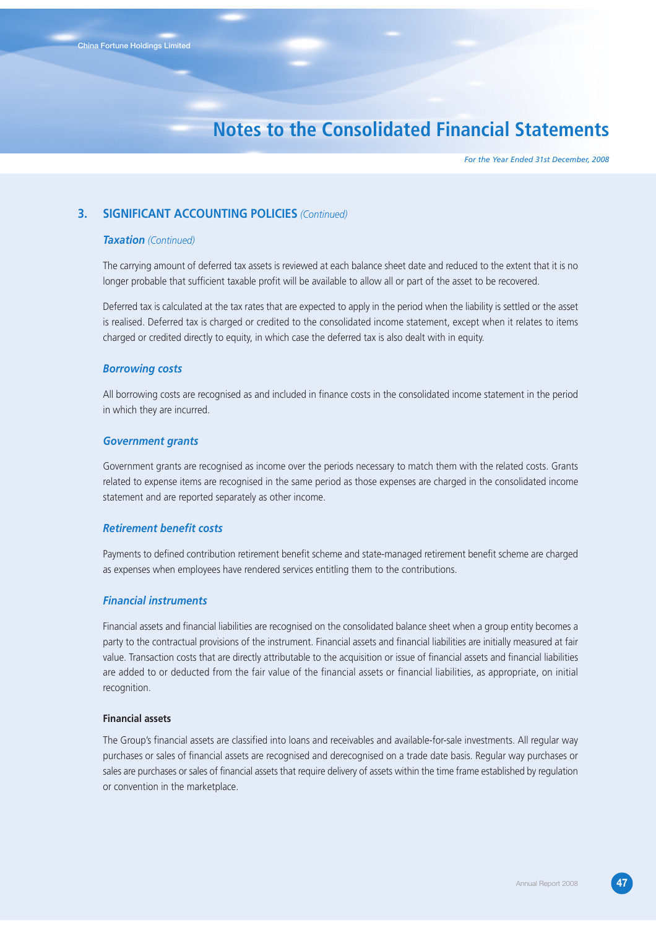*For the Year Ended 31st December, 2008*

### **3. SIGNIFICANT ACCOUNTING POLICIES** *(Continued)*

### *Taxation (Continued)*

The carrying amount of deferred tax assets is reviewed at each balance sheet date and reduced to the extent that it is no longer probable that sufficient taxable profit will be available to allow all or part of the asset to be recovered.

Deferred tax is calculated at the tax rates that are expected to apply in the period when the liability is settled or the asset is realised. Deferred tax is charged or credited to the consolidated income statement, except when it relates to items charged or credited directly to equity, in which case the deferred tax is also dealt with in equity.

### *Borrowing costs*

All borrowing costs are recognised as and included in finance costs in the consolidated income statement in the period in which they are incurred.

### *Government grants*

Government grants are recognised as income over the periods necessary to match them with the related costs. Grants related to expense items are recognised in the same period as those expenses are charged in the consolidated income statement and are reported separately as other income.

### *Retirement benefit costs*

Payments to defined contribution retirement benefit scheme and state-managed retirement benefit scheme are charged as expenses when employees have rendered services entitling them to the contributions.

### *Financial instruments*

Financial assets and financial liabilities are recognised on the consolidated balance sheet when a group entity becomes a party to the contractual provisions of the instrument. Financial assets and financial liabilities are initially measured at fair value. Transaction costs that are directly attributable to the acquisition or issue of financial assets and financial liabilities are added to or deducted from the fair value of the financial assets or financial liabilities, as appropriate, on initial recognition.

### **Financial assets**

The Group's financial assets are classified into loans and receivables and available-for-sale investments. All regular way purchases or sales of financial assets are recognised and derecognised on a trade date basis. Regular way purchases or sales are purchases or sales of financial assets that require delivery of assets within the time frame established by regulation or convention in the marketplace.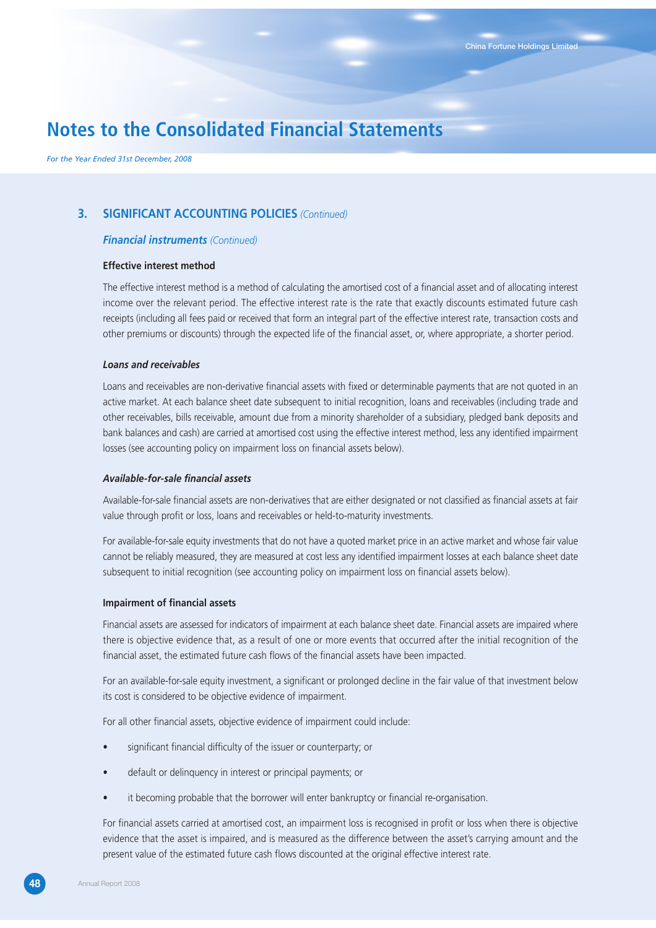*For the Year Ended 31st December, 2008*

## **3. SIGNIFICANT ACCOUNTING POLICIES** *(Continued)*

### *Financial instruments (Continued)*

#### **Effective interest method**

The effective interest method is a method of calculating the amortised cost of a financial asset and of allocating interest income over the relevant period. The effective interest rate is the rate that exactly discounts estimated future cash receipts (including all fees paid or received that form an integral part of the effective interest rate, transaction costs and other premiums or discounts) through the expected life of the financial asset, or, where appropriate, a shorter period.

#### *Loans and receivables*

Loans and receivables are non-derivative financial assets with fixed or determinable payments that are not quoted in an active market. At each balance sheet date subsequent to initial recognition, loans and receivables (including trade and other receivables, bills receivable, amount due from a minority shareholder of a subsidiary, pledged bank deposits and bank balances and cash) are carried at amortised cost using the effective interest method, less any identified impairment losses (see accounting policy on impairment loss on financial assets below).

#### *Available-for-sale financial assets*

Available-for-sale financial assets are non-derivatives that are either designated or not classified as financial assets at fair value through profit or loss, loans and receivables or held-to-maturity investments.

For available-for-sale equity investments that do not have a quoted market price in an active market and whose fair value cannot be reliably measured, they are measured at cost less any identified impairment losses at each balance sheet date subsequent to initial recognition (see accounting policy on impairment loss on financial assets below).

#### **Impairment of financial assets**

Financial assets are assessed for indicators of impairment at each balance sheet date. Financial assets are impaired where there is objective evidence that, as a result of one or more events that occurred after the initial recognition of the financial asset, the estimated future cash flows of the financial assets have been impacted.

For an available-for-sale equity investment, a significant or prolonged decline in the fair value of that investment below its cost is considered to be objective evidence of impairment.

For all other financial assets, objective evidence of impairment could include:

- significant financial difficulty of the issuer or counterparty; or
- default or delinquency in interest or principal payments; or
- it becoming probable that the borrower will enter bankruptcy or financial re-organisation.

For financial assets carried at amortised cost, an impairment loss is recognised in profit or loss when there is objective evidence that the asset is impaired, and is measured as the difference between the asset's carrying amount and the present value of the estimated future cash flows discounted at the original effective interest rate.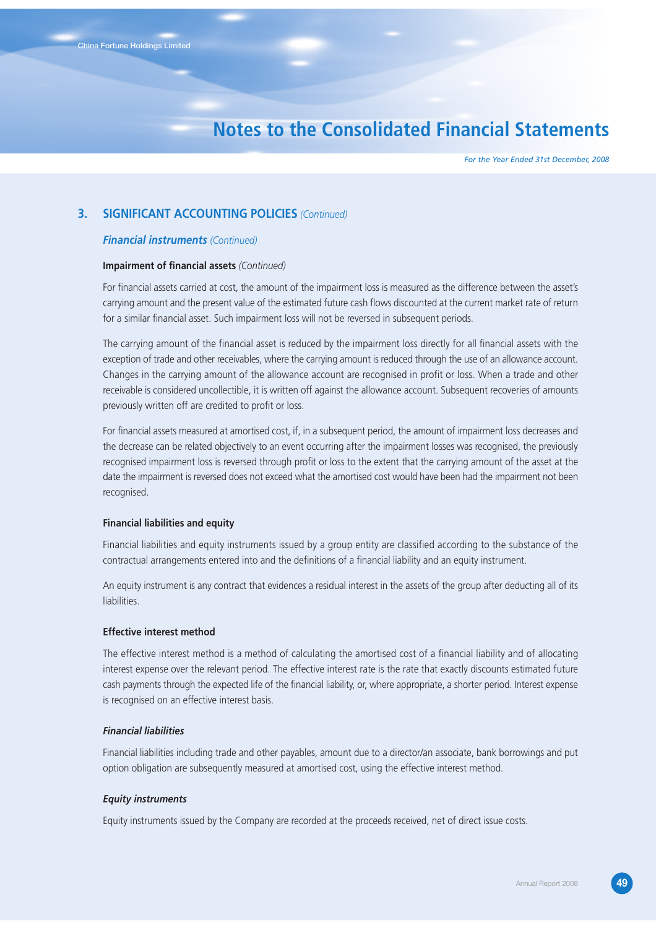*For the Year Ended 31st December, 2008*

## **3. SIGNIFICANT ACCOUNTING POLICIES** *(Continued)*

### *Financial instruments (Continued)*

#### **Impairment of financial assets** *(Continued)*

For financial assets carried at cost, the amount of the impairment loss is measured as the difference between the asset's carrying amount and the present value of the estimated future cash flows discounted at the current market rate of return for a similar financial asset. Such impairment loss will not be reversed in subsequent periods.

The carrying amount of the financial asset is reduced by the impairment loss directly for all financial assets with the exception of trade and other receivables, where the carrying amount is reduced through the use of an allowance account. Changes in the carrying amount of the allowance account are recognised in profit or loss. When a trade and other receivable is considered uncollectible, it is written off against the allowance account. Subsequent recoveries of amounts previously written off are credited to profit or loss.

For financial assets measured at amortised cost, if, in a subsequent period, the amount of impairment loss decreases and the decrease can be related objectively to an event occurring after the impairment losses was recognised, the previously recognised impairment loss is reversed through profit or loss to the extent that the carrying amount of the asset at the date the impairment is reversed does not exceed what the amortised cost would have been had the impairment not been recognised.

### **Financial liabilities and equity**

Financial liabilities and equity instruments issued by a group entity are classified according to the substance of the contractual arrangements entered into and the definitions of a financial liability and an equity instrument.

An equity instrument is any contract that evidences a residual interest in the assets of the group after deducting all of its liabilities.

### **Effective interest method**

The effective interest method is a method of calculating the amortised cost of a financial liability and of allocating interest expense over the relevant period. The effective interest rate is the rate that exactly discounts estimated future cash payments through the expected life of the financial liability, or, where appropriate, a shorter period. Interest expense is recognised on an effective interest basis.

## *Financial liabilities*

Financial liabilities including trade and other payables, amount due to a director/an associate, bank borrowings and put option obligation are subsequently measured at amortised cost, using the effective interest method.

#### *Equity instruments*

Equity instruments issued by the Company are recorded at the proceeds received, net of direct issue costs.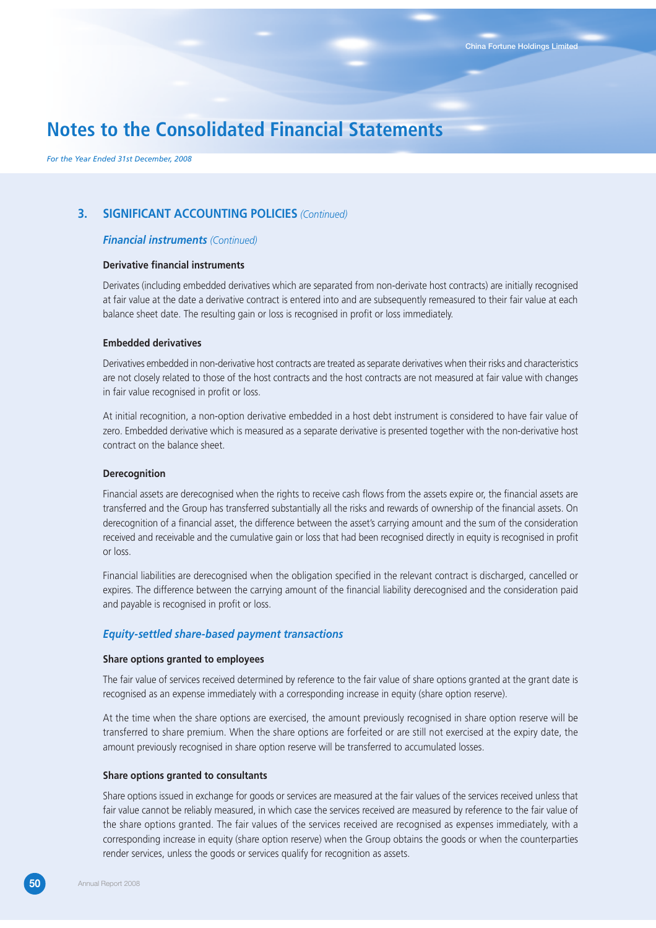*For the Year Ended 31st December, 2008*

## **3. SIGNIFICANT ACCOUNTING POLICIES** *(Continued)*

### *Financial instruments (Continued)*

### **Derivative financial instruments**

Derivates (including embedded derivatives which are separated from non-derivate host contracts) are initially recognised at fair value at the date a derivative contract is entered into and are subsequently remeasured to their fair value at each balance sheet date. The resulting gain or loss is recognised in profit or loss immediately.

#### **Embedded derivatives**

Derivatives embedded in non-derivative host contracts are treated as separate derivatives when their risks and characteristics are not closely related to those of the host contracts and the host contracts are not measured at fair value with changes in fair value recognised in profit or loss.

At initial recognition, a non-option derivative embedded in a host debt instrument is considered to have fair value of zero. Embedded derivative which is measured as a separate derivative is presented together with the non-derivative host contract on the balance sheet.

#### **Derecognition**

Financial assets are derecognised when the rights to receive cash flows from the assets expire or, the financial assets are transferred and the Group has transferred substantially all the risks and rewards of ownership of the financial assets. On derecognition of a financial asset, the difference between the asset's carrying amount and the sum of the consideration received and receivable and the cumulative gain or loss that had been recognised directly in equity is recognised in profit or loss.

Financial liabilities are derecognised when the obligation specified in the relevant contract is discharged, cancelled or expires. The difference between the carrying amount of the financial liability derecognised and the consideration paid and payable is recognised in profit or loss.

### *Equity-settled share-based payment transactions*

#### **Share options granted to employees**

The fair value of services received determined by reference to the fair value of share options granted at the grant date is recognised as an expense immediately with a corresponding increase in equity (share option reserve).

At the time when the share options are exercised, the amount previously recognised in share option reserve will be transferred to share premium. When the share options are forfeited or are still not exercised at the expiry date, the amount previously recognised in share option reserve will be transferred to accumulated losses.

#### **Share options granted to consultants**

Share options issued in exchange for goods or services are measured at the fair values of the services received unless that fair value cannot be reliably measured, in which case the services received are measured by reference to the fair value of the share options granted. The fair values of the services received are recognised as expenses immediately, with a corresponding increase in equity (share option reserve) when the Group obtains the goods or when the counterparties render services, unless the goods or services qualify for recognition as assets.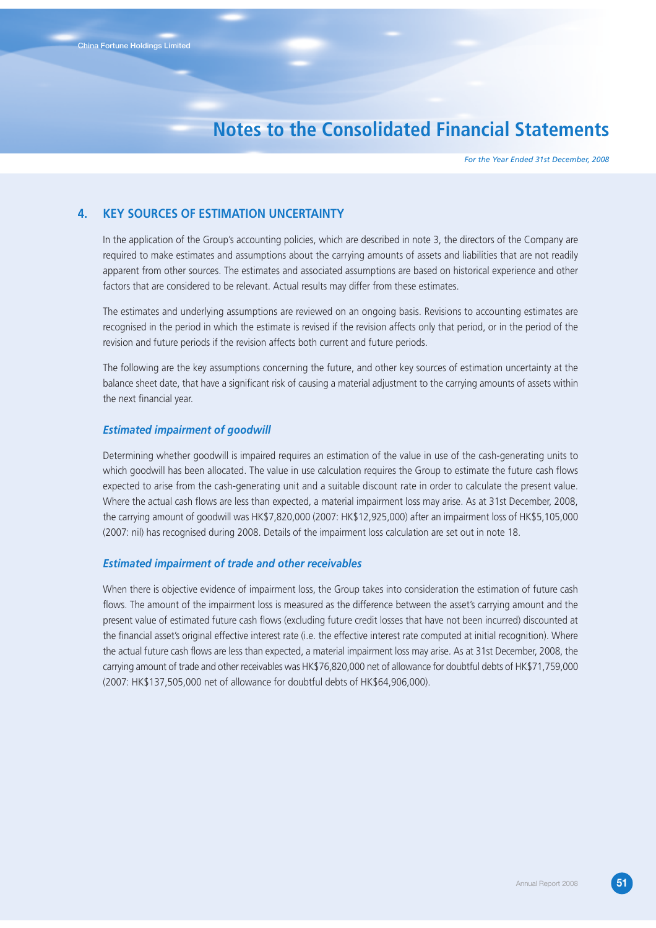*For the Year Ended 31st December, 2008*

## **4. KEY SOURCES OF ESTIMATION UNCERTAINTY**

In the application of the Group's accounting policies, which are described in note 3, the directors of the Company are required to make estimates and assumptions about the carrying amounts of assets and liabilities that are not readily apparent from other sources. The estimates and associated assumptions are based on historical experience and other factors that are considered to be relevant. Actual results may differ from these estimates.

The estimates and underlying assumptions are reviewed on an ongoing basis. Revisions to accounting estimates are recognised in the period in which the estimate is revised if the revision affects only that period, or in the period of the revision and future periods if the revision affects both current and future periods.

The following are the key assumptions concerning the future, and other key sources of estimation uncertainty at the balance sheet date, that have a significant risk of causing a material adjustment to the carrying amounts of assets within the next financial year.

#### *Estimated impairment of goodwill*

Determining whether goodwill is impaired requires an estimation of the value in use of the cash-generating units to which goodwill has been allocated. The value in use calculation requires the Group to estimate the future cash flows expected to arise from the cash-generating unit and a suitable discount rate in order to calculate the present value. Where the actual cash flows are less than expected, a material impairment loss may arise. As at 31st December, 2008, the carrying amount of goodwill was HK\$7,820,000 (2007: HK\$12,925,000) after an impairment loss of HK\$5,105,000 (2007: nil) has recognised during 2008. Details of the impairment loss calculation are set out in note 18.

### *Estimated impairment of trade and other receivables*

When there is objective evidence of impairment loss, the Group takes into consideration the estimation of future cash flows. The amount of the impairment loss is measured as the difference between the asset's carrying amount and the present value of estimated future cash flows (excluding future credit losses that have not been incurred) discounted at the financial asset's original effective interest rate (i.e. the effective interest rate computed at initial recognition). Where the actual future cash flows are less than expected, a material impairment loss may arise. As at 31st December, 2008, the carrying amount of trade and other receivables was HK\$76,820,000 net of allowance for doubtful debts of HK\$71,759,000 (2007: HK\$137,505,000 net of allowance for doubtful debts of HK\$64,906,000).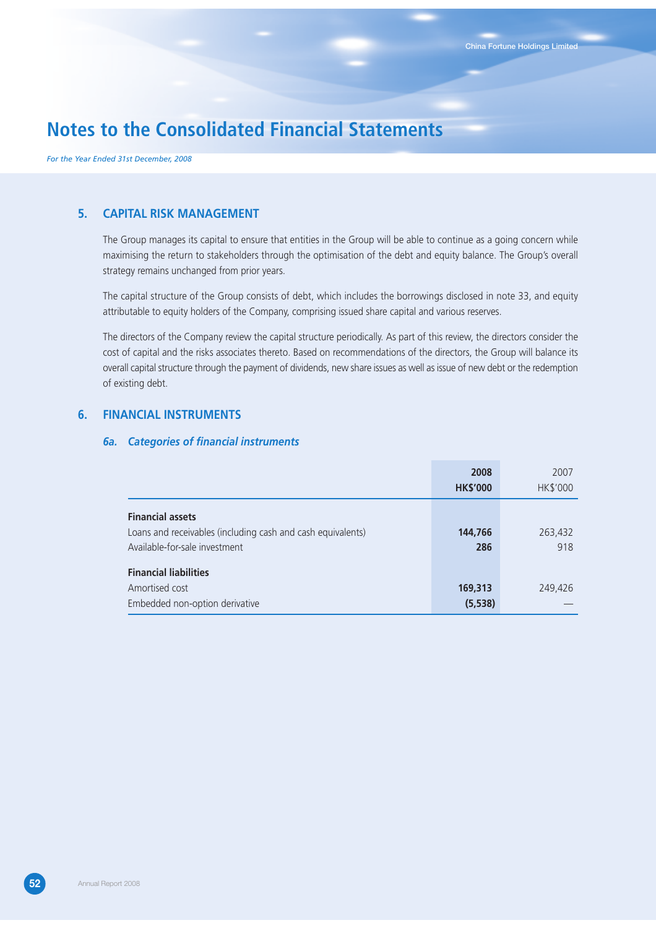*For the Year Ended 31st December, 2008*

## **5. CAPITAL RISK MANAGEMENT**

The Group manages its capital to ensure that entities in the Group will be able to continue as a going concern while maximising the return to stakeholders through the optimisation of the debt and equity balance. The Group's overall strategy remains unchanged from prior years.

The capital structure of the Group consists of debt, which includes the borrowings disclosed in note 33, and equity attributable to equity holders of the Company, comprising issued share capital and various reserves.

The directors of the Company review the capital structure periodically. As part of this review, the directors consider the cost of capital and the risks associates thereto. Based on recommendations of the directors, the Group will balance its overall capital structure through the payment of dividends, new share issues as well as issue of new debt or the redemption of existing debt.

## **6. FINANCIAL INSTRUMENTS**

### *6a. Categories of financial instruments*

|                                                             | 2008            | 2007     |
|-------------------------------------------------------------|-----------------|----------|
|                                                             | <b>HK\$'000</b> | HK\$'000 |
| <b>Financial assets</b>                                     |                 |          |
| Loans and receivables (including cash and cash equivalents) | 144,766         | 263,432  |
| Available-for-sale investment                               | 286             | 918      |
| <b>Financial liabilities</b>                                |                 |          |
| Amortised cost                                              | 169,313         | 249,426  |
| Embedded non-option derivative                              | (5, 538)        |          |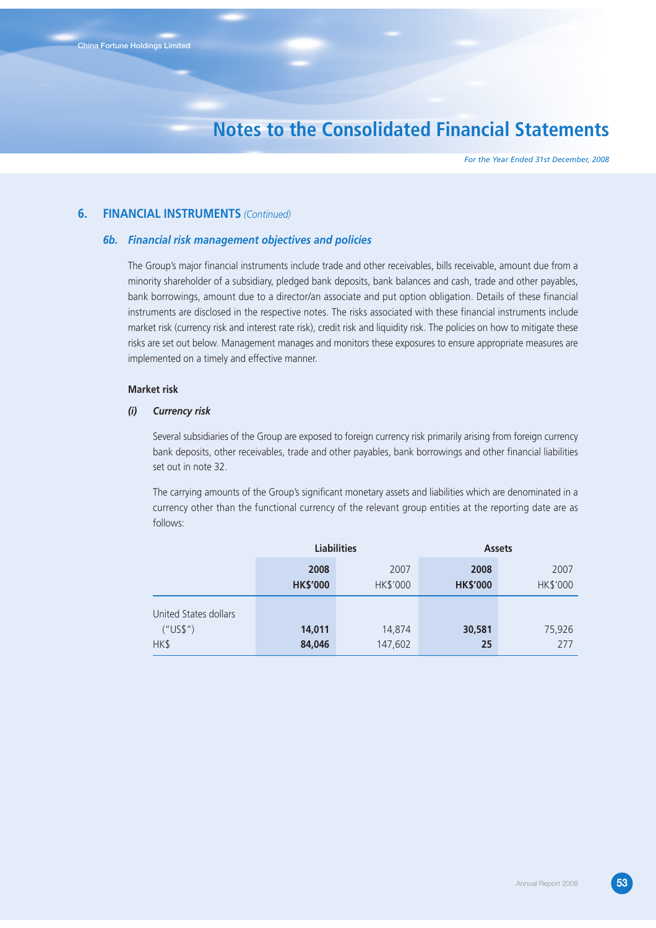*For the Year Ended 31st December, 2008*

### **6. FINANCIAL INSTRUMENTS** *(Continued)*

#### *6b. Financial risk management objectives and policies*

The Group's major financial instruments include trade and other receivables, bills receivable, amount due from a minority shareholder of a subsidiary, pledged bank deposits, bank balances and cash, trade and other payables, bank borrowings, amount due to a director/an associate and put option obligation. Details of these financial instruments are disclosed in the respective notes. The risks associated with these financial instruments include market risk (currency risk and interest rate risk), credit risk and liquidity risk. The policies on how to mitigate these risks are set out below. Management manages and monitors these exposures to ensure appropriate measures are implemented on a timely and effective manner.

#### **Market risk**

#### *(i) Currency risk*

Several subsidiaries of the Group are exposed to foreign currency risk primarily arising from foreign currency bank deposits, other receivables, trade and other payables, bank borrowings and other financial liabilities set out in note 32.

The carrying amounts of the Group's significant monetary assets and liabilities which are denominated in a currency other than the functional currency of the relevant group entities at the reporting date are as follows:

|                       |                 | <b>Liabilities</b> | <b>Assets</b>   |          |  |
|-----------------------|-----------------|--------------------|-----------------|----------|--|
|                       | 2008            | 2007               | 2008            | 2007     |  |
|                       | <b>HK\$'000</b> | HK\$'000           | <b>HK\$'000</b> | HK\$'000 |  |
| United States dollars |                 |                    |                 |          |  |
| ("US\$")              | 14,011          | 14,874             | 30,581          | 75,926   |  |
| HK\$                  | 84,046          | 147,602            | 25              | 277      |  |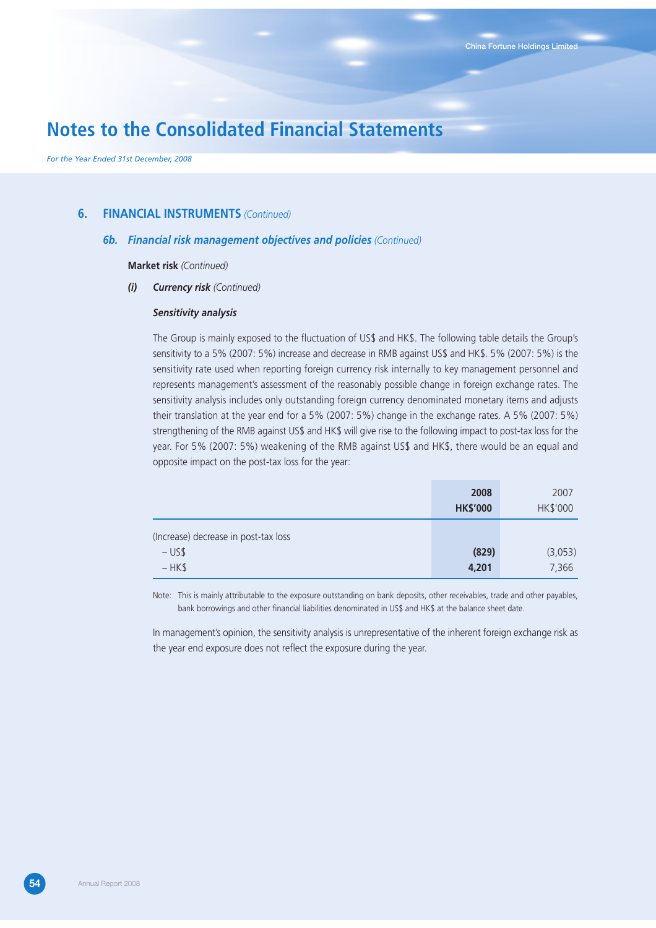*For the Year Ended 31st December, 2008*

### **6. FINANCIAL INSTRUMENTS** *(Continued)*

### *6b. Financial risk management objectives and policies (Continued)*

**Market risk** *(Continued)*

### *(i) Currency risk (Continued)*

#### *Sensitivity analysis*

The Group is mainly exposed to the fluctuation of US\$ and HK\$. The following table details the Group's sensitivity to a 5% (2007: 5%) increase and decrease in RMB against US\$ and HK\$. 5% (2007: 5%) is the sensitivity rate used when reporting foreign currency risk internally to key management personnel and represents management's assessment of the reasonably possible change in foreign exchange rates. The sensitivity analysis includes only outstanding foreign currency denominated monetary items and adjusts their translation at the year end for a 5% (2007: 5%) change in the exchange rates. A 5% (2007: 5%) strengthening of the RMB against US\$ and HK\$ will give rise to the following impact to post-tax loss for the year. For 5% (2007: 5%) weakening of the RMB against US\$ and HK\$, there would be an equal and opposite impact on the post-tax loss for the year:

|                                      | 2008<br><b>HK\$'000</b> | 2007<br>HK\$'000 |
|--------------------------------------|-------------------------|------------------|
| (Increase) decrease in post-tax loss |                         |                  |
| $-US$$                               | (829)                   | (3,053)          |
| $-HK$$                               | 4,201                   | 7,366            |

Note: This is mainly attributable to the exposure outstanding on bank deposits, other receivables, trade and other payables, bank borrowings and other financial liabilities denominated in US\$ and HK\$ at the balance sheet date.

In management's opinion, the sensitivity analysis is unrepresentative of the inherent foreign exchange risk as the year end exposure does not reflect the exposure during the year.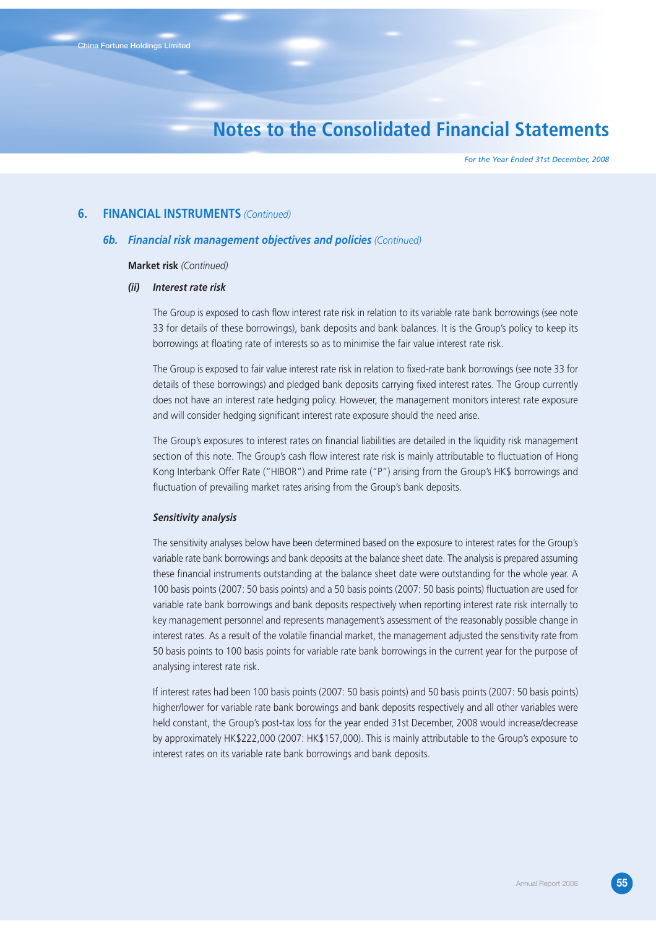*For the Year Ended 31st December, 2008*

### **6. FINANCIAL INSTRUMENTS** *(Continued)*

#### *6b. Financial risk management objectives and policies (Continued)*

#### **Market risk** *(Continued)*

#### *(ii) Interest rate risk*

The Group is exposed to cash flow interest rate risk in relation to its variable rate bank borrowings (see note 33 for details of these borrowings), bank deposits and bank balances. It is the Group's policy to keep its borrowings at floating rate of interests so as to minimise the fair value interest rate risk.

The Group is exposed to fair value interest rate risk in relation to fixed-rate bank borrowings (see note 33 for details of these borrowings) and pledged bank deposits carrying fixed interest rates. The Group currently does not have an interest rate hedging policy. However, the management monitors interest rate exposure and will consider hedging significant interest rate exposure should the need arise.

The Group's exposures to interest rates on financial liabilities are detailed in the liquidity risk management section of this note. The Group's cash flow interest rate risk is mainly attributable to fluctuation of Hong Kong Interbank Offer Rate ("HIBOR") and Prime rate ("P") arising from the Group's HK\$ borrowings and fluctuation of prevailing market rates arising from the Group's bank deposits.

#### *Sensitivity analysis*

The sensitivity analyses below have been determined based on the exposure to interest rates for the Group's variable rate bank borrowings and bank deposits at the balance sheet date. The analysis is prepared assuming these financial instruments outstanding at the balance sheet date were outstanding for the whole year. A 100 basis points (2007: 50 basis points) and a 50 basis points (2007: 50 basis points) fluctuation are used for variable rate bank borrowings and bank deposits respectively when reporting interest rate risk internally to key management personnel and represents management's assessment of the reasonably possible change in interest rates. As a result of the volatile financial market, the management adjusted the sensitivity rate from 50 basis points to 100 basis points for variable rate bank borrowings in the current year for the purpose of analysing interest rate risk.

If interest rates had been 100 basis points (2007: 50 basis points) and 50 basis points (2007: 50 basis points) higher/lower for variable rate bank borowings and bank deposits respectively and all other variables were held constant, the Group's post-tax loss for the year ended 31st December, 2008 would increase/decrease by approximately HK\$222,000 (2007: HK\$157,000). This is mainly attributable to the Group's exposure to interest rates on its variable rate bank borrowings and bank deposits.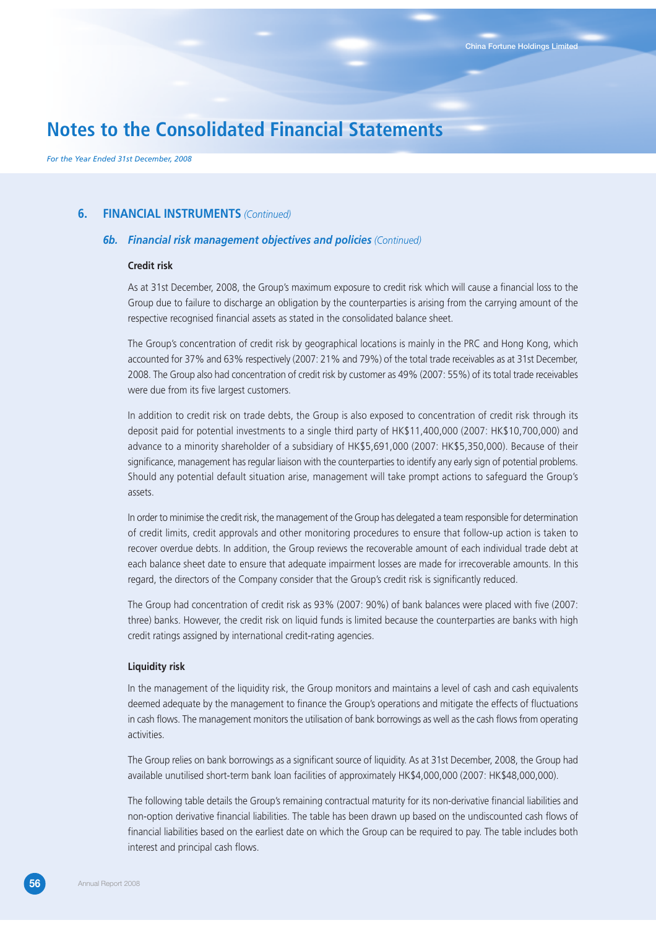*For the Year Ended 31st December, 2008*

### **6. FINANCIAL INSTRUMENTS** *(Continued)*

#### *6b. Financial risk management objectives and policies (Continued)*

#### **Credit risk**

As at 31st December, 2008, the Group's maximum exposure to credit risk which will cause a financial loss to the Group due to failure to discharge an obligation by the counterparties is arising from the carrying amount of the respective recognised financial assets as stated in the consolidated balance sheet.

The Group's concentration of credit risk by geographical locations is mainly in the PRC and Hong Kong, which accounted for 37% and 63% respectively (2007: 21% and 79%) of the total trade receivables as at 31st December, 2008. The Group also had concentration of credit risk by customer as 49% (2007: 55%) of its total trade receivables were due from its five largest customers.

In addition to credit risk on trade debts, the Group is also exposed to concentration of credit risk through its deposit paid for potential investments to a single third party of HK\$11,400,000 (2007: HK\$10,700,000) and advance to a minority shareholder of a subsidiary of HK\$5,691,000 (2007: HK\$5,350,000). Because of their significance, management has regular liaison with the counterparties to identify any early sign of potential problems. Should any potential default situation arise, management will take prompt actions to safeguard the Group's assets.

In order to minimise the credit risk, the management of the Group has delegated a team responsible for determination of credit limits, credit approvals and other monitoring procedures to ensure that follow-up action is taken to recover overdue debts. In addition, the Group reviews the recoverable amount of each individual trade debt at each balance sheet date to ensure that adequate impairment losses are made for irrecoverable amounts. In this regard, the directors of the Company consider that the Group's credit risk is significantly reduced.

The Group had concentration of credit risk as 93% (2007: 90%) of bank balances were placed with five (2007: three) banks. However, the credit risk on liquid funds is limited because the counterparties are banks with high credit ratings assigned by international credit-rating agencies.

#### **Liquidity risk**

In the management of the liquidity risk, the Group monitors and maintains a level of cash and cash equivalents deemed adequate by the management to finance the Group's operations and mitigate the effects of fluctuations in cash flows. The management monitors the utilisation of bank borrowings as well as the cash flows from operating activities.

The Group relies on bank borrowings as a significant source of liquidity. As at 31st December, 2008, the Group had available unutilised short-term bank loan facilities of approximately HK\$4,000,000 (2007: HK\$48,000,000).

The following table details the Group's remaining contractual maturity for its non-derivative financial liabilities and non-option derivative financial liabilities. The table has been drawn up based on the undiscounted cash flows of financial liabilities based on the earliest date on which the Group can be required to pay. The table includes both interest and principal cash flows.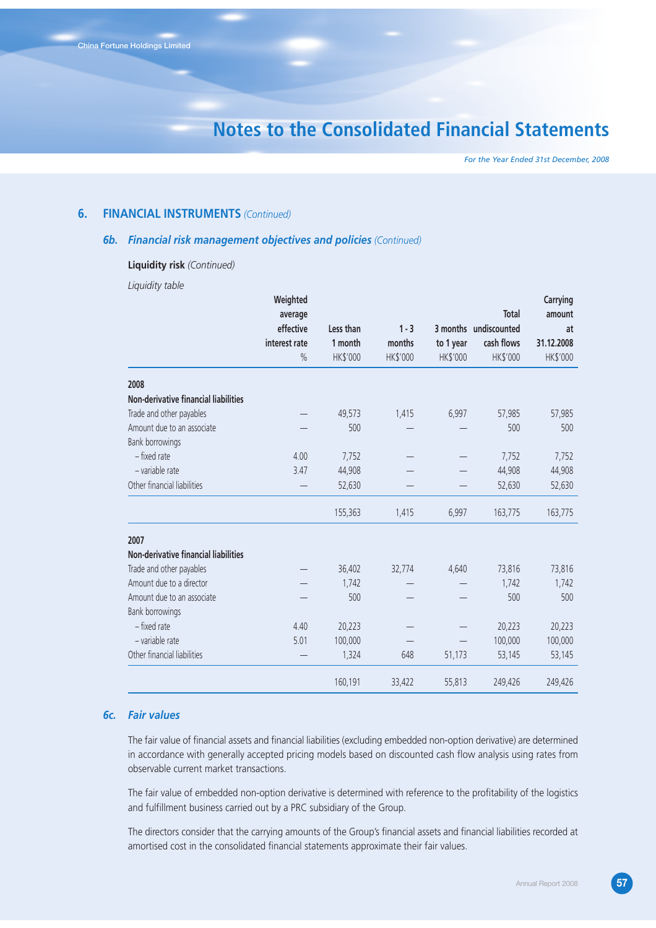*For the Year Ended 31st December, 2008*

### **6. FINANCIAL INSTRUMENTS** *(Continued)*

### *6b. Financial risk management objectives and policies (Continued)*

#### **Liquidity risk** *(Continued)*

*Liquidity table*

|                                      | Weighted             |           |          |           |                                | Carrying     |
|--------------------------------------|----------------------|-----------|----------|-----------|--------------------------------|--------------|
|                                      | average<br>effective | Less than | $1 - 3$  |           | Total<br>3 months undiscounted | amount<br>at |
|                                      | interest rate        | 1 month   | months   | to 1 year | cash flows                     | 31.12.2008   |
|                                      | $\%$                 | HK\$'000  | HK\$'000 | HK\$'000  | HK\$'000                       | HK\$'000     |
| 2008                                 |                      |           |          |           |                                |              |
| Non-derivative financial liabilities |                      |           |          |           |                                |              |
| Trade and other payables             |                      | 49,573    | 1,415    | 6,997     | 57,985                         | 57,985       |
| Amount due to an associate           |                      | 500       |          |           | 500                            | 500          |
| Bank borrowings                      |                      |           |          |           |                                |              |
| - fixed rate                         | 4.00                 | 7,752     |          |           | 7,752                          | 7,752        |
| - variable rate                      | 3.47                 | 44,908    |          |           | 44,908                         | 44,908       |
| Other financial liabilities          |                      | 52,630    |          |           | 52,630                         | 52,630       |
|                                      |                      | 155,363   | 1,415    | 6,997     | 163,775                        | 163,775      |
| 2007                                 |                      |           |          |           |                                |              |
| Non-derivative financial liabilities |                      |           |          |           |                                |              |
| Trade and other payables             |                      | 36,402    | 32,774   | 4,640     | 73,816                         | 73,816       |
| Amount due to a director             |                      | 1,742     |          |           | 1,742                          | 1,742        |
| Amount due to an associate           |                      | 500       |          |           | 500                            | 500          |
| Bank borrowings                      |                      |           |          |           |                                |              |
| - fixed rate                         | 4.40                 | 20,223    |          |           | 20,223                         | 20,223       |
| - variable rate                      | 5.01                 | 100,000   |          |           | 100,000                        | 100,000      |
| Other financial liabilities          |                      | 1,324     | 648      | 51,173    | 53,145                         | 53,145       |
|                                      |                      | 160,191   | 33,422   | 55,813    | 249,426                        | 249,426      |

## *6c. Fair values*

The fair value of financial assets and financial liabilities (excluding embedded non-option derivative) are determined in accordance with generally accepted pricing models based on discounted cash flow analysis using rates from observable current market transactions.

The fair value of embedded non-option derivative is determined with reference to the profitability of the logistics and fulfillment business carried out by a PRC subsidiary of the Group.

The directors consider that the carrying amounts of the Group's financial assets and financial liabilities recorded at amortised cost in the consolidated financial statements approximate their fair values.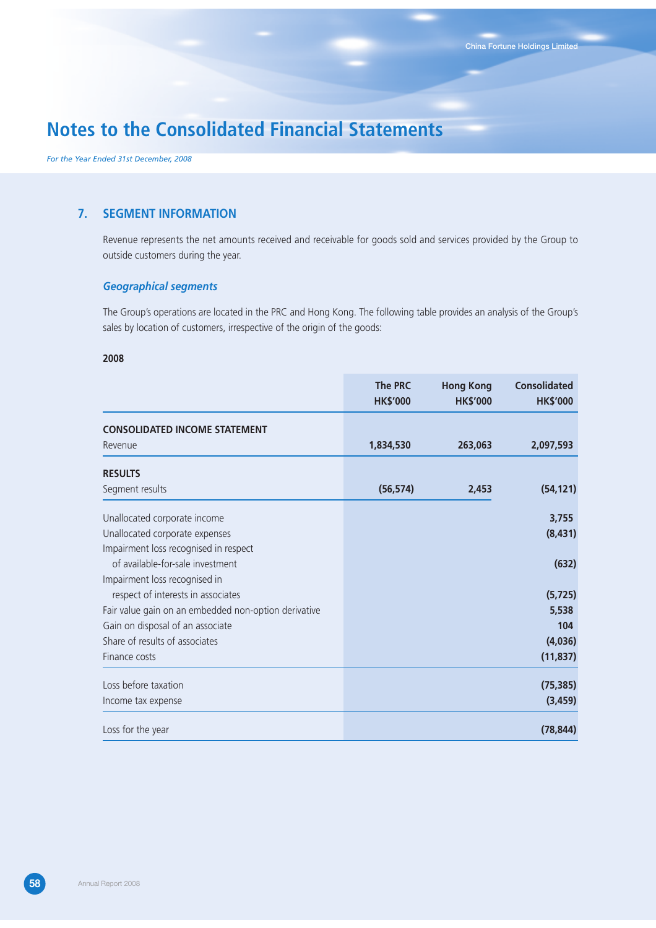*For the Year Ended 31st December, 2008*

## **7. SEGMENT INFORMATION**

Revenue represents the net amounts received and receivable for goods sold and services provided by the Group to outside customers during the year.

### *Geographical segments*

The Group's operations are located in the PRC and Hong Kong. The following table provides an analysis of the Group's sales by location of customers, irrespective of the origin of the goods:

### **2008**

|                                                      | <b>The PRC</b><br><b>HK\$'000</b> | <b>Hong Kong</b><br><b>HK\$'000</b> | <b>Consolidated</b><br><b>HK\$'000</b> |
|------------------------------------------------------|-----------------------------------|-------------------------------------|----------------------------------------|
| <b>CONSOLIDATED INCOME STATEMENT</b>                 |                                   |                                     |                                        |
| Revenue                                              | 1,834,530                         | 263,063                             | 2,097,593                              |
| <b>RESULTS</b>                                       |                                   |                                     |                                        |
| Segment results                                      | (56, 574)                         | 2,453                               | (54, 121)                              |
| Unallocated corporate income                         |                                   |                                     | 3,755                                  |
| Unallocated corporate expenses                       |                                   |                                     | (8, 431)                               |
| Impairment loss recognised in respect                |                                   |                                     |                                        |
| of available-for-sale investment                     |                                   |                                     | (632)                                  |
| Impairment loss recognised in                        |                                   |                                     |                                        |
| respect of interests in associates                   |                                   |                                     | (5, 725)                               |
| Fair value gain on an embedded non-option derivative |                                   |                                     | 5,538                                  |
| Gain on disposal of an associate                     |                                   |                                     | 104                                    |
| Share of results of associates                       |                                   |                                     | (4,036)                                |
| Finance costs                                        |                                   |                                     | (11, 837)                              |
| Loss before taxation                                 |                                   |                                     | (75, 385)                              |
| Income tax expense                                   |                                   |                                     | (3, 459)                               |
| Loss for the year                                    |                                   |                                     | (78, 844)                              |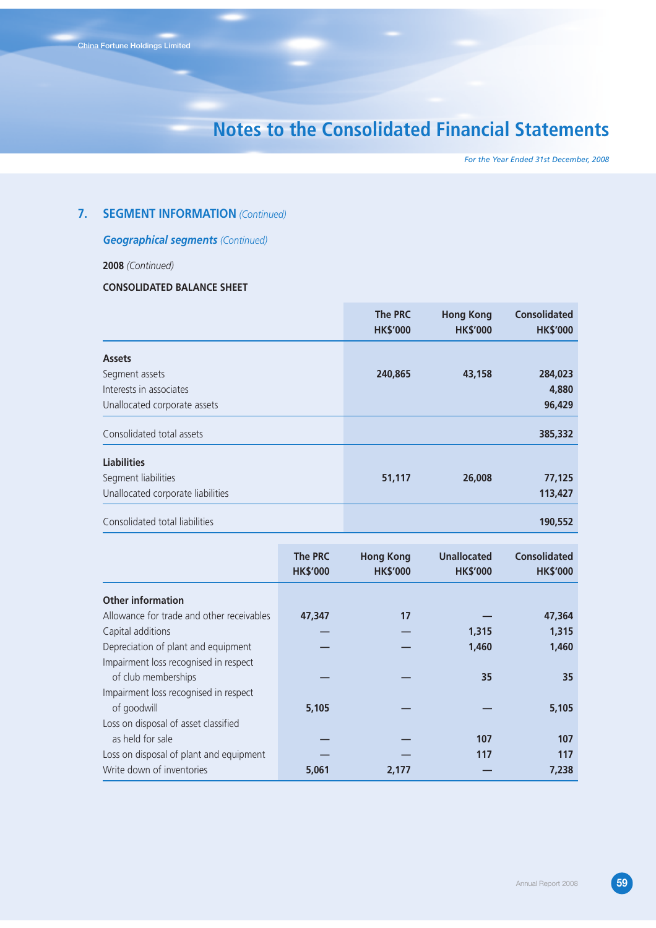*For the Year Ended 31st December, 2008*

## **7. SEGMENT INFORMATION** *(Continued)*

## *Geographical segments (Continued)*

## **2008** *(Continued)*

## **CONSOLIDATED BALANCE SHEET**

|                                   | The PRC<br><b>HK\$'000</b> | <b>Hong Kong</b><br><b>HK\$'000</b> | <b>Consolidated</b><br><b>HK\$'000</b> |
|-----------------------------------|----------------------------|-------------------------------------|----------------------------------------|
| <b>Assets</b>                     |                            |                                     |                                        |
| Segment assets                    | 240,865                    | 43,158                              | 284,023                                |
| Interests in associates           |                            |                                     | 4,880                                  |
| Unallocated corporate assets      |                            |                                     | 96,429                                 |
| Consolidated total assets         |                            |                                     | 385,332                                |
| <b>Liabilities</b>                |                            |                                     |                                        |
| Segment liabilities               | 51,117                     | 26,008                              | 77,125                                 |
| Unallocated corporate liabilities |                            |                                     | 113,427                                |
| Consolidated total liabilities    |                            |                                     | 190,552                                |

|                                           | <b>The PRC</b><br><b>HK\$'000</b> | <b>Hong Kong</b><br><b>HK\$'000</b> | <b>Unallocated</b><br><b>HK\$'000</b> | <b>Consolidated</b><br><b>HK\$'000</b> |
|-------------------------------------------|-----------------------------------|-------------------------------------|---------------------------------------|----------------------------------------|
| <b>Other information</b>                  |                                   |                                     |                                       |                                        |
| Allowance for trade and other receivables | 47,347                            | 17                                  |                                       | 47,364                                 |
| Capital additions                         |                                   |                                     | 1,315                                 | 1,315                                  |
| Depreciation of plant and equipment       |                                   |                                     | 1,460                                 | 1,460                                  |
| Impairment loss recognised in respect     |                                   |                                     |                                       |                                        |
| of club memberships                       |                                   |                                     | 35                                    | 35                                     |
| Impairment loss recognised in respect     |                                   |                                     |                                       |                                        |
| of goodwill                               | 5,105                             |                                     |                                       | 5,105                                  |
| Loss on disposal of asset classified      |                                   |                                     |                                       |                                        |
| as held for sale                          |                                   |                                     | 107                                   | 107                                    |
| Loss on disposal of plant and equipment   |                                   |                                     | 117                                   | 117                                    |
| Write down of inventories                 | 5,061                             | 2,177                               |                                       | 7,238                                  |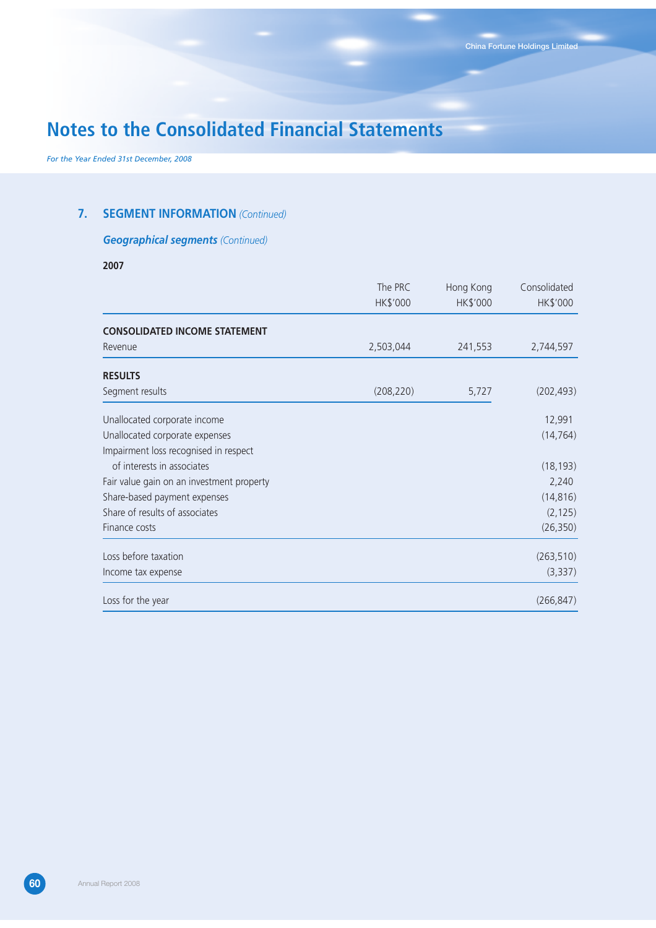*For the Year Ended 31st December, 2008*

## **7. SEGMENT INFORMATION** *(Continued)*

## *Geographical segments (Continued)*

**2007**

|                                           | The PRC<br>HK\$'000 | Hong Kong<br>HK\$'000 | Consolidated<br>HK\$'000 |
|-------------------------------------------|---------------------|-----------------------|--------------------------|
| <b>CONSOLIDATED INCOME STATEMENT</b>      |                     |                       |                          |
| Revenue                                   | 2,503,044           | 241,553               | 2,744,597                |
| <b>RESULTS</b>                            |                     |                       |                          |
| Segment results                           | (208, 220)          | 5,727                 | (202, 493)               |
| Unallocated corporate income              |                     |                       | 12,991                   |
| Unallocated corporate expenses            |                     |                       | (14, 764)                |
| Impairment loss recognised in respect     |                     |                       |                          |
| of interests in associates                |                     |                       | (18, 193)                |
| Fair value gain on an investment property |                     |                       | 2,240                    |
| Share-based payment expenses              |                     |                       | (14, 816)                |
| Share of results of associates            |                     |                       | (2, 125)                 |
| Finance costs                             |                     |                       | (26, 350)                |
| Loss before taxation                      |                     |                       | (263, 510)               |
| Income tax expense                        |                     |                       | (3, 337)                 |
| Loss for the year                         |                     |                       | (266, 847)               |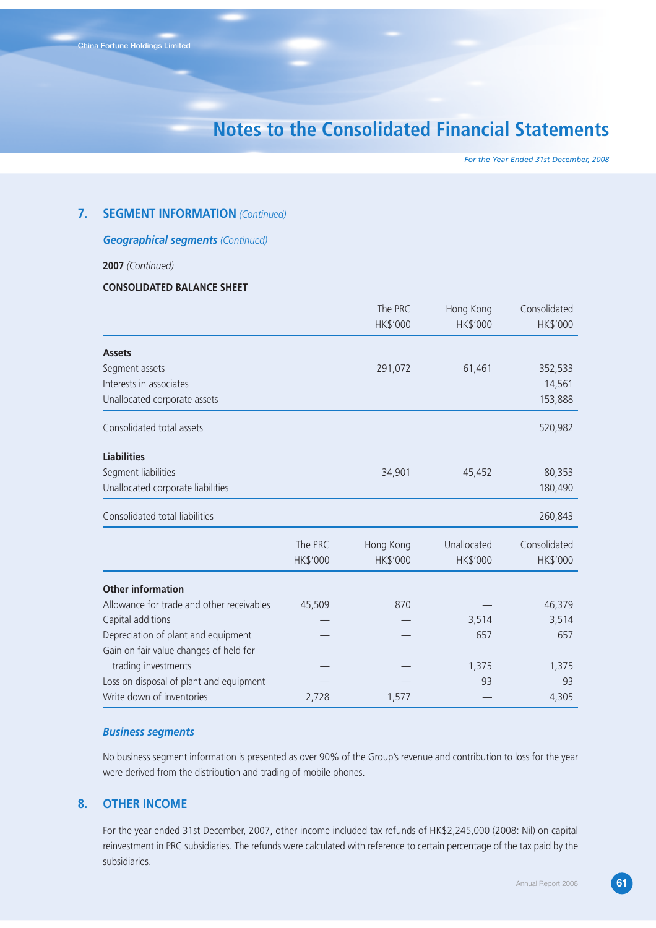*For the Year Ended 31st December, 2008*

### **7. SEGMENT INFORMATION** *(Continued)*

### *Geographical segments (Continued)*

**2007** *(Continued)*

## **CONSOLIDATED BALANCE SHEET**

|                                           |          | The PRC   | Hong Kong   | Consolidated |
|-------------------------------------------|----------|-----------|-------------|--------------|
|                                           |          | HK\$'000  | HK\$'000    | HK\$'000     |
| <b>Assets</b>                             |          |           |             |              |
| Segment assets                            |          | 291,072   | 61,461      | 352,533      |
| Interests in associates                   |          |           |             | 14,561       |
| Unallocated corporate assets              |          |           |             | 153,888      |
| Consolidated total assets                 |          |           |             | 520,982      |
| <b>Liabilities</b>                        |          |           |             |              |
| Segment liabilities                       |          | 34,901    | 45,452      | 80,353       |
| Unallocated corporate liabilities         |          |           |             | 180,490      |
| Consolidated total liabilities            |          |           |             | 260,843      |
|                                           | The PRC  | Hong Kong | Unallocated | Consolidated |
|                                           | HK\$'000 | HK\$'000  | HK\$'000    | HK\$'000     |
| <b>Other information</b>                  |          |           |             |              |
| Allowance for trade and other receivables | 45,509   | 870       |             | 46,379       |
| Capital additions                         |          |           | 3,514       | 3,514        |
| Depreciation of plant and equipment       |          |           | 657         | 657          |
| Gain on fair value changes of held for    |          |           |             |              |
| trading investments                       |          |           | 1,375       | 1,375        |
| Loss on disposal of plant and equipment   |          |           | 93          | 93           |
| Write down of inventories                 | 2,728    | 1,577     |             | 4,305        |

## *Business segments*

No business segment information is presented as over 90% of the Group's revenue and contribution to loss for the year were derived from the distribution and trading of mobile phones.

## **8. OTHER INCOME**

For the year ended 31st December, 2007, other income included tax refunds of HK\$2,245,000 (2008: Nil) on capital reinvestment in PRC subsidiaries. The refunds were calculated with reference to certain percentage of the tax paid by the subsidiaries.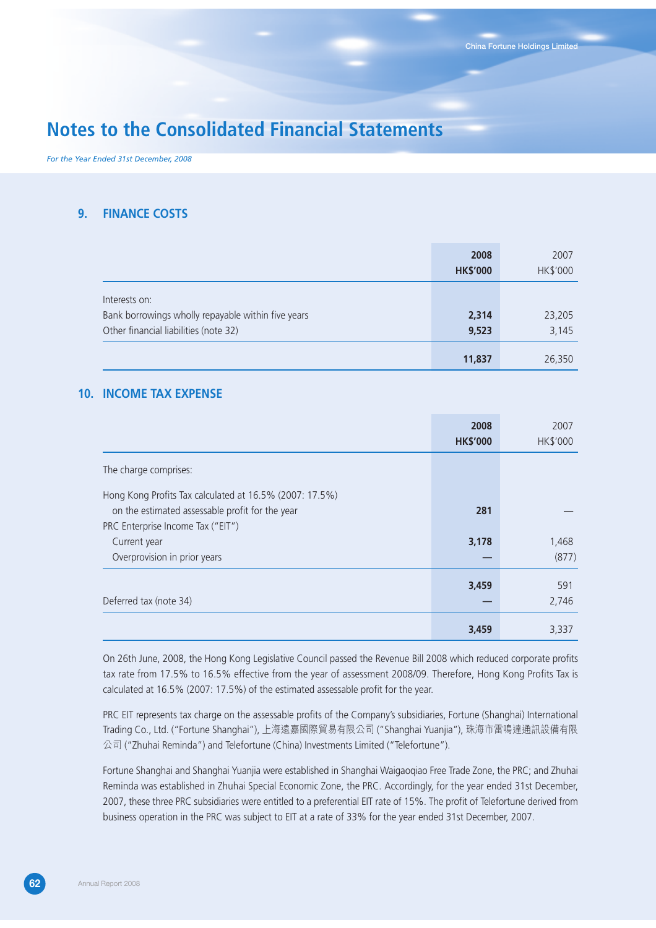*For the Year Ended 31st December, 2008*

## **9. FINANCE COSTS**

|                                                    | 2008            | 2007     |
|----------------------------------------------------|-----------------|----------|
|                                                    | <b>HK\$'000</b> | HK\$'000 |
| Interests on:                                      |                 |          |
|                                                    |                 |          |
| Bank borrowings wholly repayable within five years | 2,314           | 23,205   |
| Other financial liabilities (note 32)              | 9,523           | 3,145    |
|                                                    |                 |          |
|                                                    | 11,837          | 26,350   |

## **10. INCOME TAX EXPENSE**

|                                                                                                                                                 | 2008<br><b>HK\$'000</b> | 2007<br>HK\$'000 |
|-------------------------------------------------------------------------------------------------------------------------------------------------|-------------------------|------------------|
| The charge comprises:                                                                                                                           |                         |                  |
| Hong Kong Profits Tax calculated at 16.5% (2007: 17.5%)<br>on the estimated assessable profit for the year<br>PRC Enterprise Income Tax ("EIT") | 281                     |                  |
| Current year<br>Overprovision in prior years                                                                                                    | 3,178                   | 1,468<br>(877)   |
| Deferred tax (note 34)                                                                                                                          | 3,459                   | 591<br>2,746     |
|                                                                                                                                                 | 3,459                   | 3,337            |

On 26th June, 2008, the Hong Kong Legislative Council passed the Revenue Bill 2008 which reduced corporate profits tax rate from 17.5% to 16.5% effective from the year of assessment 2008/09. Therefore, Hong Kong Profits Tax is calculated at 16.5% (2007: 17.5%) of the estimated assessable profit for the year.

PRC EIT represents tax charge on the assessable profits of the Company's subsidiaries, Fortune (Shanghai) International Trading Co., Ltd. ("Fortune Shanghai"), 上海遠嘉國際貿易有限公司 ("Shanghai Yuanjia"), 珠海市雷鳴達通訊設備有限 公司 ("Zhuhai Reminda") and Telefortune (China) Investments Limited ("Telefortune").

Fortune Shanghai and Shanghai Yuanjia were established in Shanghai Waigaoqiao Free Trade Zone, the PRC; and Zhuhai Reminda was established in Zhuhai Special Economic Zone, the PRC. Accordingly, for the year ended 31st December, 2007, these three PRC subsidiaries were entitled to a preferential EIT rate of 15%. The profit of Telefortune derived from business operation in the PRC was subject to EIT at a rate of 33% for the year ended 31st December, 2007.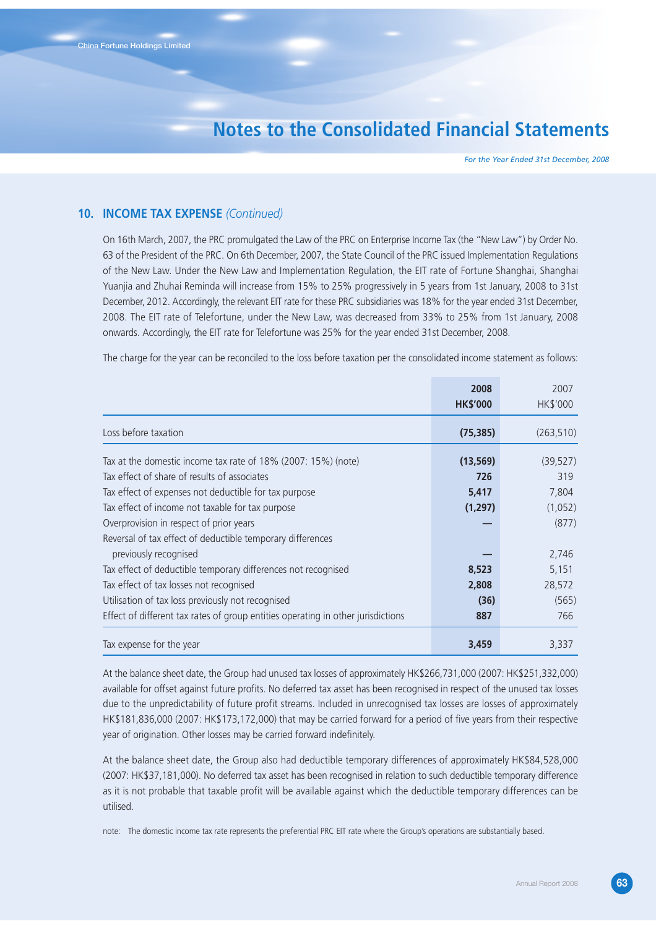*For the Year Ended 31st December, 2008*

### **10. INCOME TAX EXPENSE** *(Continued)*

On 16th March, 2007, the PRC promulgated the Law of the PRC on Enterprise Income Tax (the "New Law") by Order No. 63 of the President of the PRC. On 6th December, 2007, the State Council of the PRC issued Implementation Regulations of the New Law. Under the New Law and Implementation Regulation, the EIT rate of Fortune Shanghai, Shanghai Yuanjia and Zhuhai Reminda will increase from 15% to 25% progressively in 5 years from 1st January, 2008 to 31st December, 2012. Accordingly, the relevant EIT rate for these PRC subsidiaries was 18% for the year ended 31st December, 2008. The EIT rate of Telefortune, under the New Law, was decreased from 33% to 25% from 1st January, 2008 onwards. Accordingly, the EIT rate for Telefortune was 25% for the year ended 31st December, 2008.

The charge for the year can be reconciled to the loss before taxation per the consolidated income statement as follows:

|                                                                                                                                       | 2008<br><b>HK\$'000</b> | 2007<br>HK\$'000 |
|---------------------------------------------------------------------------------------------------------------------------------------|-------------------------|------------------|
| Loss before taxation                                                                                                                  | (75, 385)               | (263, 510)       |
| Tax at the domestic income tax rate of 18% (2007: 15%) (note)<br>Tax effect of share of results of associates                         | (13, 569)<br>726        | (39, 527)<br>319 |
| Tax effect of expenses not deductible for tax purpose                                                                                 | 5,417                   | 7,804            |
| Tax effect of income not taxable for tax purpose<br>Overprovision in respect of prior years                                           | (1, 297)                | (1,052)<br>(877) |
| Reversal of tax effect of deductible temporary differences<br>previously recognised                                                   |                         | 2,746            |
| Tax effect of deductible temporary differences not recognised<br>Tax effect of tax losses not recognised                              | 8,523<br>2,808          | 5,151<br>28,572  |
| Utilisation of tax loss previously not recognised<br>Effect of different tax rates of group entities operating in other jurisdictions | (36)<br>887             | (565)<br>766     |
| Tax expense for the year                                                                                                              | 3,459                   | 3,337            |

At the balance sheet date, the Group had unused tax losses of approximately HK\$266,731,000 (2007: HK\$251,332,000) available for offset against future profits. No deferred tax asset has been recognised in respect of the unused tax losses due to the unpredictability of future profit streams. Included in unrecognised tax losses are losses of approximately HK\$181,836,000 (2007: HK\$173,172,000) that may be carried forward for a period of five years from their respective year of origination. Other losses may be carried forward indefinitely.

At the balance sheet date, the Group also had deductible temporary differences of approximately HK\$84,528,000 (2007: HK\$37,181,000). No deferred tax asset has been recognised in relation to such deductible temporary difference as it is not probable that taxable profit will be available against which the deductible temporary differences can be utilised.

note: The domestic income tax rate represents the preferential PRC EIT rate where the Group's operations are substantially based.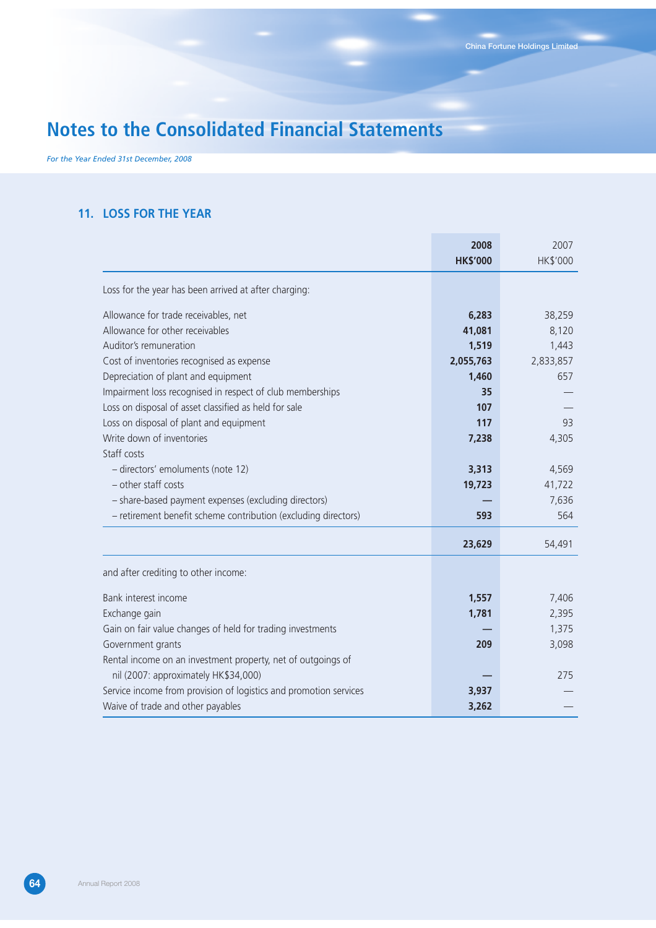*For the Year Ended 31st December, 2008*

## **11. LOSS FOR THE YEAR**

|                                                                   | 2008<br><b>HK\$'000</b> | 2007<br>HK\$'000 |
|-------------------------------------------------------------------|-------------------------|------------------|
|                                                                   |                         |                  |
| Loss for the year has been arrived at after charging:             |                         |                  |
| Allowance for trade receivables, net                              | 6,283                   | 38,259           |
| Allowance for other receivables                                   | 41,081                  | 8,120            |
| Auditor's remuneration                                            | 1,519                   | 1,443            |
| Cost of inventories recognised as expense                         | 2,055,763               | 2,833,857        |
| Depreciation of plant and equipment                               | 1,460                   | 657              |
| Impairment loss recognised in respect of club memberships         | 35                      |                  |
| Loss on disposal of asset classified as held for sale             | 107                     |                  |
| Loss on disposal of plant and equipment                           | 117                     | 93               |
| Write down of inventories                                         | 7,238                   | 4,305            |
| Staff costs                                                       |                         |                  |
| - directors' emoluments (note 12)                                 | 3,313                   | 4,569            |
| - other staff costs                                               | 19,723                  | 41,722           |
| - share-based payment expenses (excluding directors)              |                         | 7,636            |
| - retirement benefit scheme contribution (excluding directors)    | 593                     | 564              |
|                                                                   | 23,629                  | 54,491           |
| and after crediting to other income:                              |                         |                  |
| Bank interest income                                              | 1,557                   | 7,406            |
| Exchange gain                                                     | 1,781                   | 2,395            |
| Gain on fair value changes of held for trading investments        |                         | 1,375            |
| Government grants                                                 | 209                     | 3,098            |
| Rental income on an investment property, net of outgoings of      |                         |                  |
| nil (2007: approximately HK\$34,000)                              |                         | 275              |
| Service income from provision of logistics and promotion services | 3,937                   |                  |
| Waive of trade and other payables                                 | 3,262                   |                  |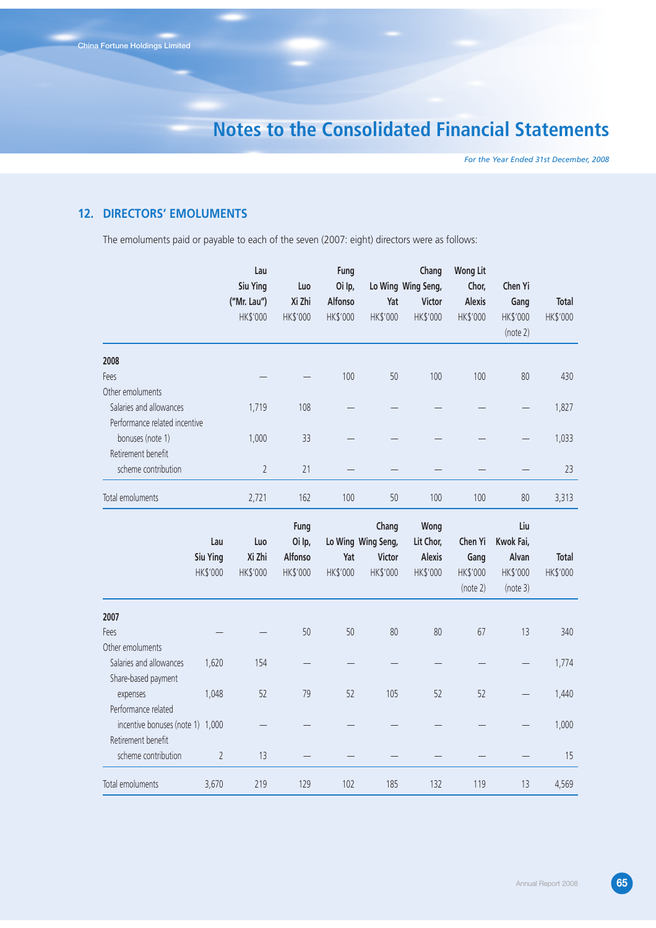*For the Year Ended 31st December, 2008*

## **12. DIRECTORS' EMOLUMENTS**

The emoluments paid or payable to each of the seven (2007: eight) directors were as follows:

|                                  |                | Lau            |          | Fung     |                    | Chang              | <b>Wong Lit</b> |           |          |
|----------------------------------|----------------|----------------|----------|----------|--------------------|--------------------|-----------------|-----------|----------|
|                                  |                | Siu Ying       | Luo      | Oi Ip,   |                    | Lo Wing Wing Seng, | Chor,           | Chen Yi   |          |
|                                  |                | ("Mr. Lau")    | Xi Zhi   | Alfonso  | Yat                | <b>Victor</b>      | Alexis          | Gang      | Total    |
|                                  |                | HK\$'000       | HK\$'000 | HK\$'000 | HK\$'000           | HK\$'000           | HK\$'000        | HK\$'000  | HK\$'000 |
|                                  |                |                |          |          |                    |                    |                 | (note 2)  |          |
| 2008                             |                |                |          |          |                    |                    |                 |           |          |
| Fees                             |                |                |          | 100      | 50                 | 100                | 100             | 80        | 430      |
| Other emoluments                 |                |                |          |          |                    |                    |                 |           |          |
| Salaries and allowances          |                | 1,719          | 108      |          |                    |                    |                 |           | 1,827    |
| Performance related incentive    |                |                |          |          |                    |                    |                 |           |          |
| bonuses (note 1)                 |                | 1,000          | 33       |          |                    |                    |                 |           | 1,033    |
| Retirement benefit               |                |                |          |          |                    |                    |                 |           |          |
| scheme contribution              |                | $\overline{2}$ | 21       |          |                    |                    |                 |           | 23       |
| Total emoluments                 |                | 2,721          | 162      | 100      | 50                 | 100                | 100             | 80        | 3,313    |
|                                  |                |                | Fung     |          | Chang              | Wong               |                 | Liu       |          |
|                                  | Lau            | Luo            | Oi Ip,   |          | Lo Wing Wing Seng, | Lit Chor,          | Chen Yi         | Kwok Fai, |          |
|                                  | Siu Ying       | Xi Zhi         | Alfonso  | Yat      | <b>Victor</b>      | <b>Alexis</b>      | Gang            | Alvan     | Total    |
|                                  | HK\$'000       | HK\$'000       | HK\$'000 | HK\$'000 | HK\$'000           | HK\$'000           | HK\$'000        | HK\$'000  | HK\$'000 |
|                                  |                |                |          |          |                    |                    | (note 2)        | (note 3)  |          |
| 2007                             |                |                |          |          |                    |                    |                 |           |          |
| Fees                             |                |                | 50       | 50       | 80                 | 80                 | 67              | 13        | 340      |
| Other emoluments                 |                |                |          |          |                    |                    |                 |           |          |
| Salaries and allowances          | 1,620          | 154            |          |          |                    |                    |                 |           | 1,774    |
| Share-based payment              |                |                |          |          |                    |                    |                 |           |          |
| expenses                         | 1,048          | 52             | 79       | 52       | 105                | 52                 | 52              |           | 1,440    |
| Performance related              |                |                |          |          |                    |                    |                 |           |          |
| incentive bonuses (note 1) 1,000 |                |                |          |          |                    |                    |                 |           | 1,000    |
| Retirement benefit               |                |                |          |          |                    |                    |                 |           |          |
| scheme contribution              | $\overline{2}$ | 13             |          |          |                    |                    |                 |           | 15       |
| Total emoluments                 | 3,670          | 219            | 129      | 102      | 185                | 132                | 119             | 13        | 4,569    |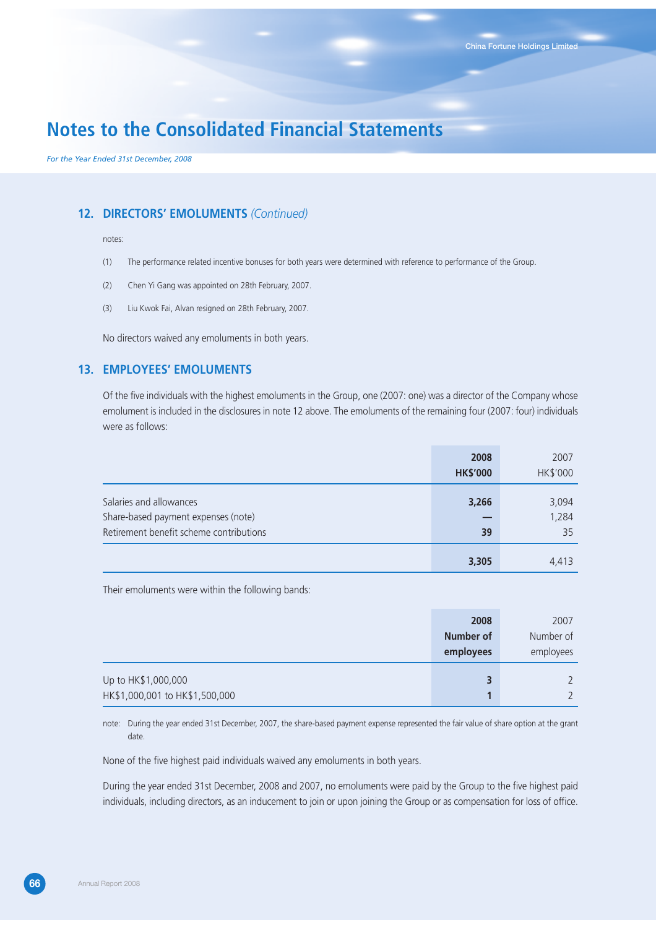*For the Year Ended 31st December, 2008*

## **12. DIRECTORS' EMOLUMENTS** *(Continued)*

#### notes:

- (1) The performance related incentive bonuses for both years were determined with reference to performance of the Group.
- (2) Chen Yi Gang was appointed on 28th February, 2007.
- (3) Liu Kwok Fai, Alvan resigned on 28th February, 2007.

No directors waived any emoluments in both years.

## **13. EMPLOYEES' EMOLUMENTS**

Of the five individuals with the highest emoluments in the Group, one (2007: one) was a director of the Company whose emolument is included in the disclosures in note 12 above. The emoluments of the remaining four (2007: four) individuals were as follows:

|                                         | 2008            | 2007     |
|-----------------------------------------|-----------------|----------|
|                                         | <b>HK\$'000</b> | HK\$'000 |
|                                         |                 |          |
| Salaries and allowances                 | 3,266           | 3,094    |
| Share-based payment expenses (note)     |                 | 1,284    |
| Retirement benefit scheme contributions | 39              | 35       |
|                                         | 3,305           | 4.413    |

Their emoluments were within the following bands:

|                                | 2008             | 2007      |
|--------------------------------|------------------|-----------|
|                                | <b>Number of</b> | Number of |
|                                | employees        | employees |
| Up to HK\$1,000,000            | 3                |           |
| HK\$1,000,001 to HK\$1,500,000 |                  |           |

note: During the year ended 31st December, 2007, the share-based payment expense represented the fair value of share option at the grant date.

None of the five highest paid individuals waived any emoluments in both years.

During the year ended 31st December, 2008 and 2007, no emoluments were paid by the Group to the five highest paid individuals, including directors, as an inducement to join or upon joining the Group or as compensation for loss of office.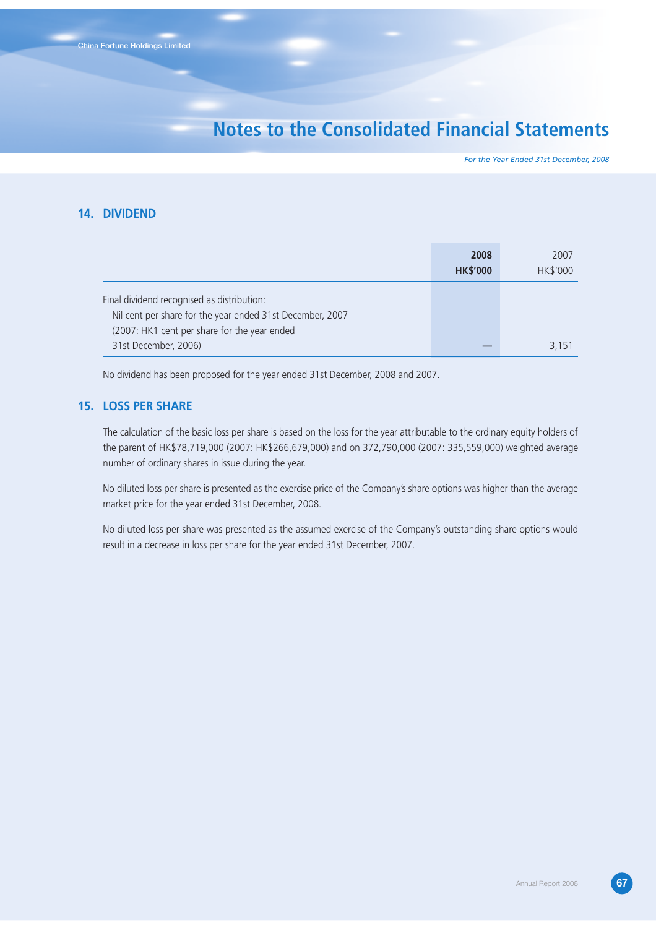*For the Year Ended 31st December, 2008*

## **14. DIVIDEND**

|                                                                                                                                                         | 2008            | 2007     |
|---------------------------------------------------------------------------------------------------------------------------------------------------------|-----------------|----------|
|                                                                                                                                                         | <b>HK\$'000</b> | HK\$'000 |
| Final dividend recognised as distribution:<br>Nil cent per share for the year ended 31st December, 2007<br>(2007: HK1 cent per share for the year ended |                 |          |
| 31st December, 2006)                                                                                                                                    |                 | 3,151    |

No dividend has been proposed for the year ended 31st December, 2008 and 2007.

## **15. LOSS PER SHARE**

The calculation of the basic loss per share is based on the loss for the year attributable to the ordinary equity holders of the parent of HK\$78,719,000 (2007: HK\$266,679,000) and on 372,790,000 (2007: 335,559,000) weighted average number of ordinary shares in issue during the year.

No diluted loss per share is presented as the exercise price of the Company's share options was higher than the average market price for the year ended 31st December, 2008.

No diluted loss per share was presented as the assumed exercise of the Company's outstanding share options would result in a decrease in loss per share for the year ended 31st December, 2007.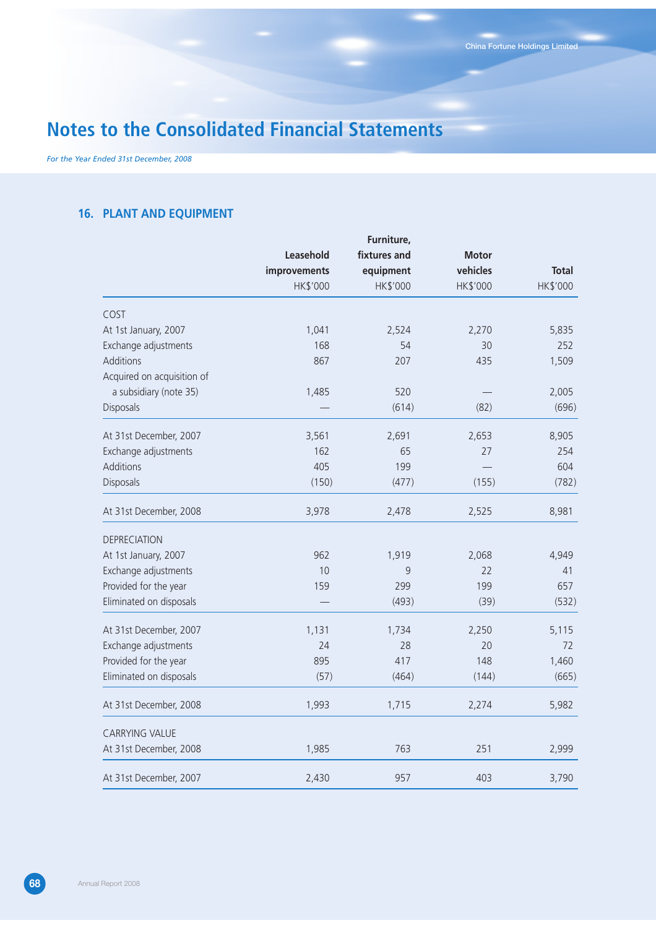*For the Year Ended 31st December, 2008*

## **16. PLANT AND EQUIPMENT**

|                            |              | Furniture,   |              |              |
|----------------------------|--------------|--------------|--------------|--------------|
|                            | Leasehold    | fixtures and | <b>Motor</b> |              |
|                            | improvements | equipment    | vehicles     | <b>Total</b> |
|                            | HK\$'000     | HK\$'000     | HK\$'000     | HK\$'000     |
| COST                       |              |              |              |              |
| At 1st January, 2007       | 1,041        | 2,524        | 2,270        | 5,835        |
| Exchange adjustments       | 168          | 54           | 30           | 252          |
| Additions                  | 867          | 207          | 435          | 1,509        |
| Acquired on acquisition of |              |              |              |              |
| a subsidiary (note 35)     | 1,485        | 520          |              | 2,005        |
| Disposals                  |              | (614)        | (82)         | (696)        |
| At 31st December, 2007     | 3,561        | 2,691        | 2,653        | 8,905        |
| Exchange adjustments       | 162          | 65           | 27           | 254          |
| Additions                  | 405          | 199          |              | 604          |
| Disposals                  | (150)        | (477)        | (155)        | (782)        |
| At 31st December, 2008     | 3,978        | 2,478        | 2,525        | 8,981        |
| <b>DEPRECIATION</b>        |              |              |              |              |
| At 1st January, 2007       | 962          | 1,919        | 2,068        | 4,949        |
| Exchange adjustments       | 10           | 9            | 22           | 41           |
| Provided for the year      | 159          | 299          | 199          | 657          |
| Eliminated on disposals    |              | (493)        | (39)         | (532)        |
| At 31st December, 2007     | 1,131        | 1,734        | 2,250        | 5,115        |
| Exchange adjustments       | 24           | 28           | 20           | 72           |
| Provided for the year      | 895          | 417          | 148          | 1,460        |
| Eliminated on disposals    | (57)         | (464)        | (144)        | (665)        |
| At 31st December, 2008     | 1,993        | 1,715        | 2,274        | 5,982        |
| <b>CARRYING VALUE</b>      |              |              |              |              |
| At 31st December, 2008     | 1,985        | 763          | 251          | 2,999        |
| At 31st December, 2007     | 2,430        | 957          | 403          | 3,790        |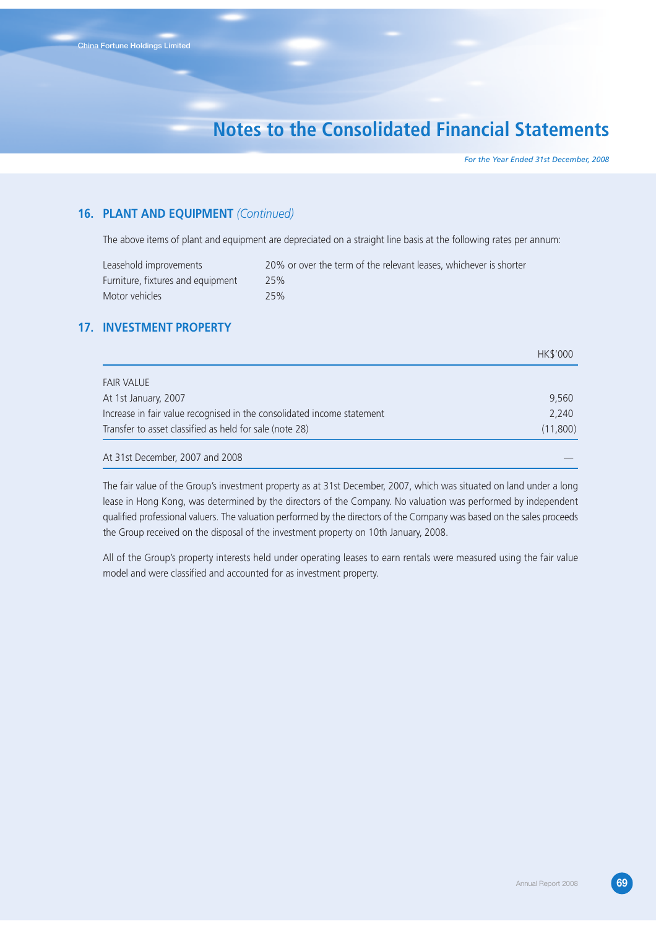*For the Year Ended 31st December, 2008*

## **16. PLANT AND EQUIPMENT** *(Continued)*

The above items of plant and equipment are depreciated on a straight line basis at the following rates per annum:

| Leasehold improvements            | 20% or over the term of the relevant leases, whichever is shorter |
|-----------------------------------|-------------------------------------------------------------------|
| Furniture, fixtures and equipment | 25%                                                               |
| Motor vehicles                    | 25%                                                               |

## **17. INVESTMENT PROPERTY**

|                                                                        | HK\$'000 |
|------------------------------------------------------------------------|----------|
| <b>FAIR VALUE</b>                                                      |          |
| At 1st January, 2007                                                   | 9,560    |
| Increase in fair value recognised in the consolidated income statement | 2,240    |
| Transfer to asset classified as held for sale (note 28)                | (11,800) |
| At 31st December, 2007 and 2008                                        |          |

The fair value of the Group's investment property as at 31st December, 2007, which was situated on land under a long lease in Hong Kong, was determined by the directors of the Company. No valuation was performed by independent qualified professional valuers. The valuation performed by the directors of the Company was based on the sales proceeds the Group received on the disposal of the investment property on 10th January, 2008.

All of the Group's property interests held under operating leases to earn rentals were measured using the fair value model and were classified and accounted for as investment property.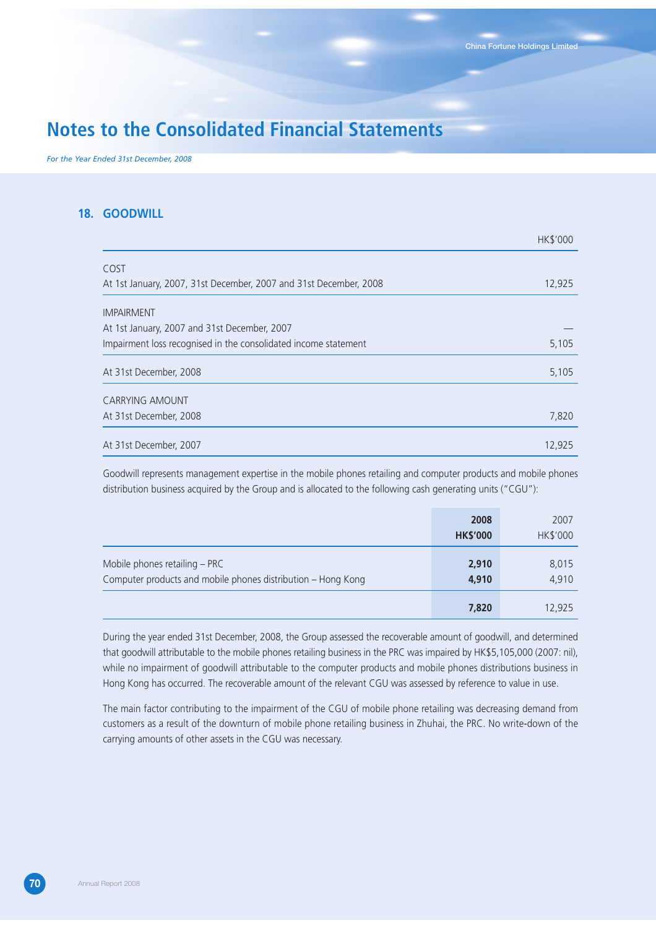*For the Year Ended 31st December, 2008*

## **18. GOODWILL**

|                                                                   | <b>HKS'000</b> |
|-------------------------------------------------------------------|----------------|
| COST                                                              |                |
| At 1st January, 2007, 31st December, 2007 and 31st December, 2008 | 12,925         |
| <b>IMPAIRMENT</b>                                                 |                |
| At 1st January, 2007 and 31st December, 2007                      |                |
| Impairment loss recognised in the consolidated income statement   | 5,105          |
| At 31st December, 2008                                            | 5,105          |
| <b>CARRYING AMOUNT</b>                                            |                |
| At 31st December, 2008                                            | 7,820          |
| At 31st December, 2007                                            | 12,925         |

Goodwill represents management expertise in the mobile phones retailing and computer products and mobile phones distribution business acquired by the Group and is allocated to the following cash generating units ("CGU"):

|                                                                                               | 2008<br><b>HK\$'000</b> | 2007<br>HK\$'000 |
|-----------------------------------------------------------------------------------------------|-------------------------|------------------|
| Mobile phones retailing – PRC<br>Computer products and mobile phones distribution - Hong Kong | 2,910<br>4,910          | 8,015<br>4,910   |
|                                                                                               | 7,820                   | 12,925           |

During the year ended 31st December, 2008, the Group assessed the recoverable amount of goodwill, and determined that goodwill attributable to the mobile phones retailing business in the PRC was impaired by HK\$5,105,000 (2007: nil), while no impairment of goodwill attributable to the computer products and mobile phones distributions business in Hong Kong has occurred. The recoverable amount of the relevant CGU was assessed by reference to value in use.

The main factor contributing to the impairment of the CGU of mobile phone retailing was decreasing demand from customers as a result of the downturn of mobile phone retailing business in Zhuhai, the PRC. No write-down of the carrying amounts of other assets in the CGU was necessary.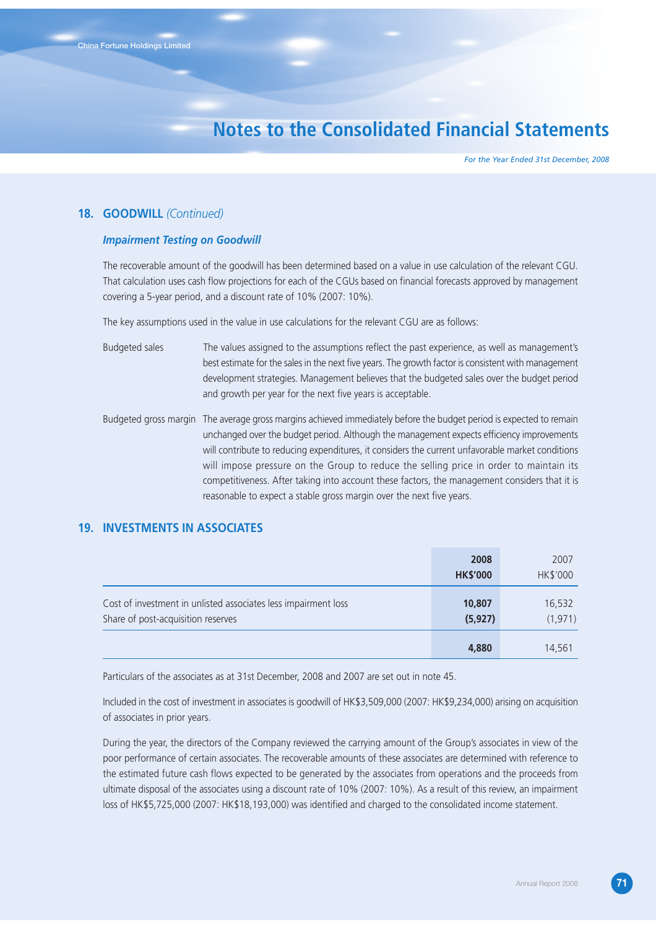*For the Year Ended 31st December, 2008*

## **18. GOODWILL** *(Continued)*

### *Impairment Testing on Goodwill*

The recoverable amount of the goodwill has been determined based on a value in use calculation of the relevant CGU. That calculation uses cash flow projections for each of the CGUs based on financial forecasts approved by management covering a 5-year period, and a discount rate of 10% (2007: 10%).

The key assumptions used in the value in use calculations for the relevant CGU are as follows:

| Budgeted sales | The values assigned to the assumptions reflect the past experience, as well as management's         |
|----------------|-----------------------------------------------------------------------------------------------------|
|                | best estimate for the sales in the next five years. The growth factor is consistent with management |
|                | development strategies. Management believes that the budgeted sales over the budget period          |
|                | and growth per year for the next five years is acceptable.                                          |

Budgeted gross margin The average gross margins achieved immediately before the budget period is expected to remain unchanged over the budget period. Although the management expects efficiency improvements will contribute to reducing expenditures, it considers the current unfavorable market conditions will impose pressure on the Group to reduce the selling price in order to maintain its competitiveness. After taking into account these factors, the management considers that it is reasonable to expect a stable gross margin over the next five years.

## **19. INVESTMENTS IN ASSOCIATES**

|                                                                                                                            | 2008<br><b>HK\$'000</b> | 2007<br>HK\$'000 |
|----------------------------------------------------------------------------------------------------------------------------|-------------------------|------------------|
| Cost of investment in unlisted associates less impairment loss<br>10,807<br>(5, 927)<br>Share of post-acquisition reserves | 16,532<br>(1, 971)      |                  |
|                                                                                                                            | 4,880                   | 14,561           |

Particulars of the associates as at 31st December, 2008 and 2007 are set out in note 45.

Included in the cost of investment in associates is goodwill of HK\$3,509,000 (2007: HK\$9,234,000) arising on acquisition of associates in prior years.

During the year, the directors of the Company reviewed the carrying amount of the Group's associates in view of the poor performance of certain associates. The recoverable amounts of these associates are determined with reference to the estimated future cash flows expected to be generated by the associates from operations and the proceeds from ultimate disposal of the associates using a discount rate of 10% (2007: 10%). As a result of this review, an impairment loss of HK\$5,725,000 (2007: HK\$18,193,000) was identified and charged to the consolidated income statement.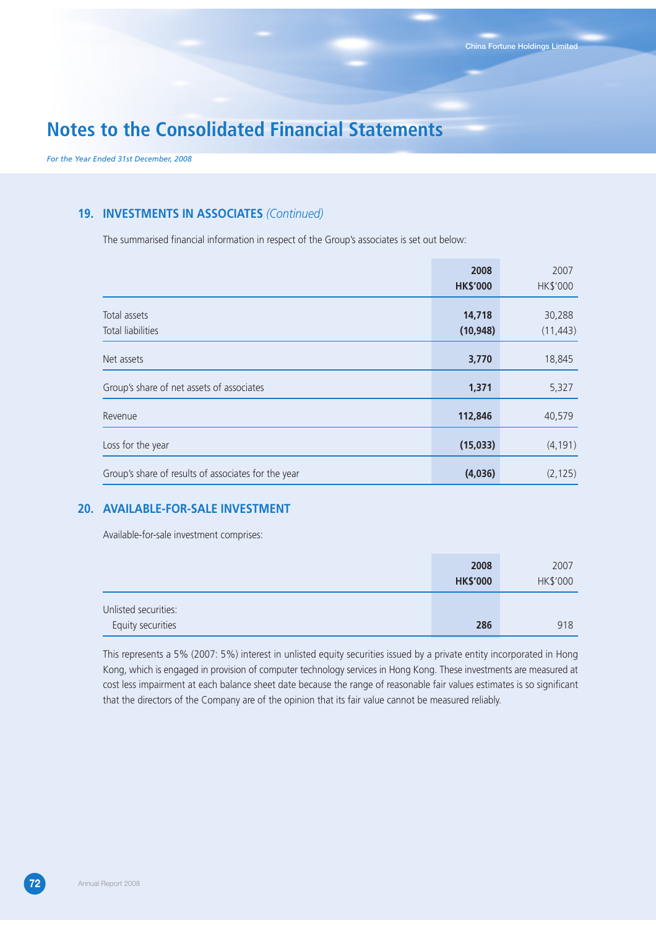*For the Year Ended 31st December, 2008*

### **19. INVESTMENTS IN ASSOCIATES** *(Continued)*

The summarised financial information in respect of the Group's associates is set out below:

|                                                     | 2008<br><b>HK\$'000</b> | 2007<br>HK\$'000    |
|-----------------------------------------------------|-------------------------|---------------------|
| Total assets<br>Total liabilities                   | 14,718<br>(10, 948)     | 30,288<br>(11, 443) |
| Net assets                                          | 3,770                   | 18,845              |
| Group's share of net assets of associates           | 1,371                   | 5,327               |
| Revenue                                             | 112,846                 | 40,579              |
| Loss for the year                                   | (15,033)                | (4, 191)            |
| Group's share of results of associates for the year | (4,036)                 | (2, 125)            |

### **20. AVAILABLE-FOR-SALE INVESTMENT**

Available-for-sale investment comprises:

|                      | 2008            | 2007     |
|----------------------|-----------------|----------|
|                      | <b>HK\$'000</b> | HK\$'000 |
| Unlisted securities: |                 |          |
| Equity securities    | 286             | 918      |

This represents a 5% (2007: 5%) interest in unlisted equity securities issued by a private entity incorporated in Hong Kong, which is engaged in provision of computer technology services in Hong Kong. These investments are measured at cost less impairment at each balance sheet date because the range of reasonable fair values estimates is so significant that the directors of the Company are of the opinion that its fair value cannot be measured reliably.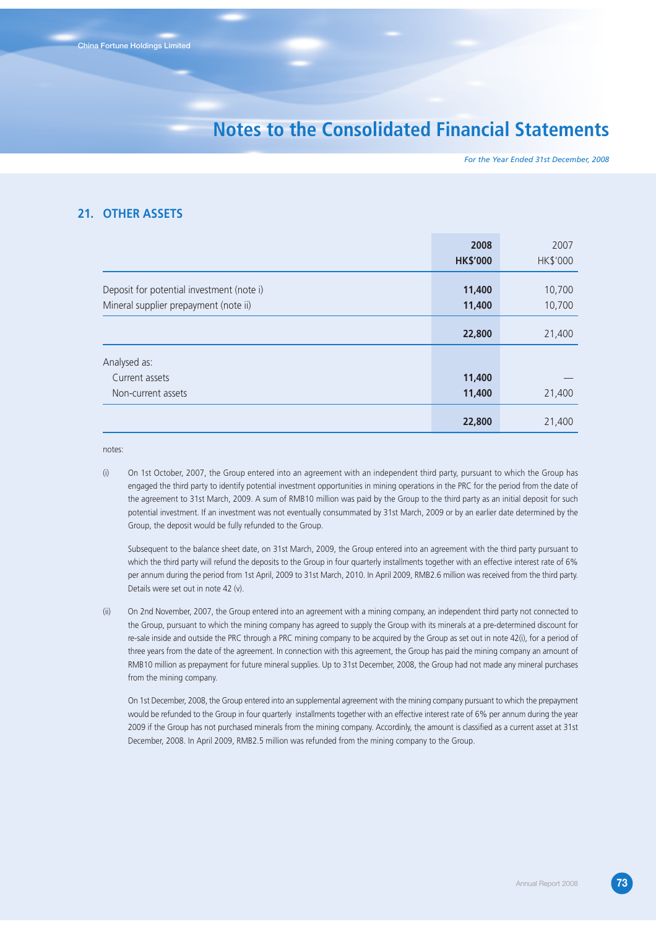*For the Year Ended 31st December, 2008*

#### **21. OTHER ASSETS**

|                                           | 2008            | 2007     |
|-------------------------------------------|-----------------|----------|
|                                           | <b>HK\$'000</b> | HK\$'000 |
| Deposit for potential investment (note i) | 11,400          | 10,700   |
|                                           |                 |          |
| Mineral supplier prepayment (note ii)     | 11,400          | 10,700   |
|                                           |                 |          |
|                                           | 22,800          | 21,400   |
|                                           |                 |          |
| Analysed as:                              |                 |          |
| Current assets                            | 11,400          |          |
| Non-current assets                        | 11,400          | 21,400   |
|                                           | 22,800          | 21,400   |

notes:

(i) On 1st October, 2007, the Group entered into an agreement with an independent third party, pursuant to which the Group has engaged the third party to identify potential investment opportunities in mining operations in the PRC for the period from the date of the agreement to 31st March, 2009. A sum of RMB10 million was paid by the Group to the third party as an initial deposit for such potential investment. If an investment was not eventually consummated by 31st March, 2009 or by an earlier date determined by the Group, the deposit would be fully refunded to the Group.

Subsequent to the balance sheet date, on 31st March, 2009, the Group entered into an agreement with the third party pursuant to which the third party will refund the deposits to the Group in four quarterly installments together with an effective interest rate of 6% per annum during the period from 1st April, 2009 to 31st March, 2010. In April 2009, RMB2.6 million was received from the third party. Details were set out in note 42 (v).

(ii) On 2nd November, 2007, the Group entered into an agreement with a mining company, an independent third party not connected to the Group, pursuant to which the mining company has agreed to supply the Group with its minerals at a pre-determined discount for re-sale inside and outside the PRC through a PRC mining company to be acquired by the Group as set out in note 42(i), for a period of three years from the date of the agreement. In connection with this agreement, the Group has paid the mining company an amount of RMB10 million as prepayment for future mineral supplies. Up to 31st December, 2008, the Group had not made any mineral purchases from the mining company.

On 1st December, 2008, the Group entered into an supplemental agreement with the mining company pursuant to which the prepayment would be refunded to the Group in four quarterly installments together with an effective interest rate of 6% per annum during the year 2009 if the Group has not purchased minerals from the mining company. Accordinly, the amount is classified as a current asset at 31st December, 2008. In April 2009, RMB2.5 million was refunded from the mining company to the Group.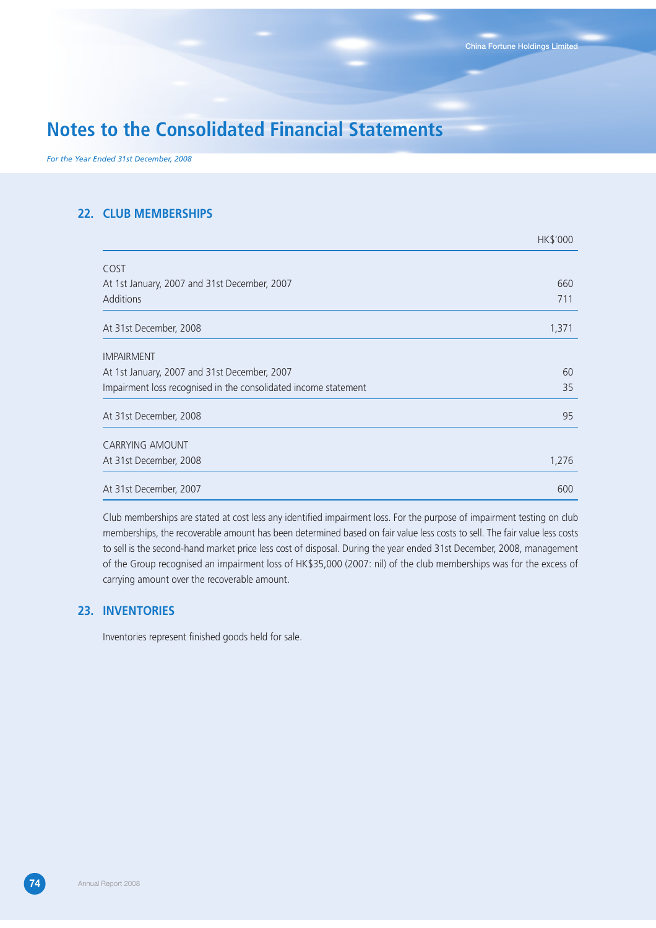$H/K'0000$ 

# **Notes to the Consolidated Financial Statements**

*For the Year Ended 31st December, 2008*

### **22. CLUB MEMBERSHIPS**

|                                                                 | <b>HILD UUU</b> |
|-----------------------------------------------------------------|-----------------|
| COST                                                            |                 |
| At 1st January, 2007 and 31st December, 2007                    | 660             |
| Additions                                                       | 711             |
| At 31st December, 2008                                          | 1,371           |
| <b>IMPAIRMENT</b>                                               |                 |
| At 1st January, 2007 and 31st December, 2007                    | 60              |
| Impairment loss recognised in the consolidated income statement | 35              |
| At 31st December, 2008                                          | 95              |
| <b>CARRYING AMOUNT</b>                                          |                 |
| At 31st December, 2008                                          | 1,276           |
| At 31st December, 2007                                          | 600             |

Club memberships are stated at cost less any identified impairment loss. For the purpose of impairment testing on club memberships, the recoverable amount has been determined based on fair value less costs to sell. The fair value less costs to sell is the second-hand market price less cost of disposal. During the year ended 31st December, 2008, management of the Group recognised an impairment loss of HK\$35,000 (2007: nil) of the club memberships was for the excess of carrying amount over the recoverable amount.

#### **23. INVENTORIES**

Inventories represent finished goods held for sale.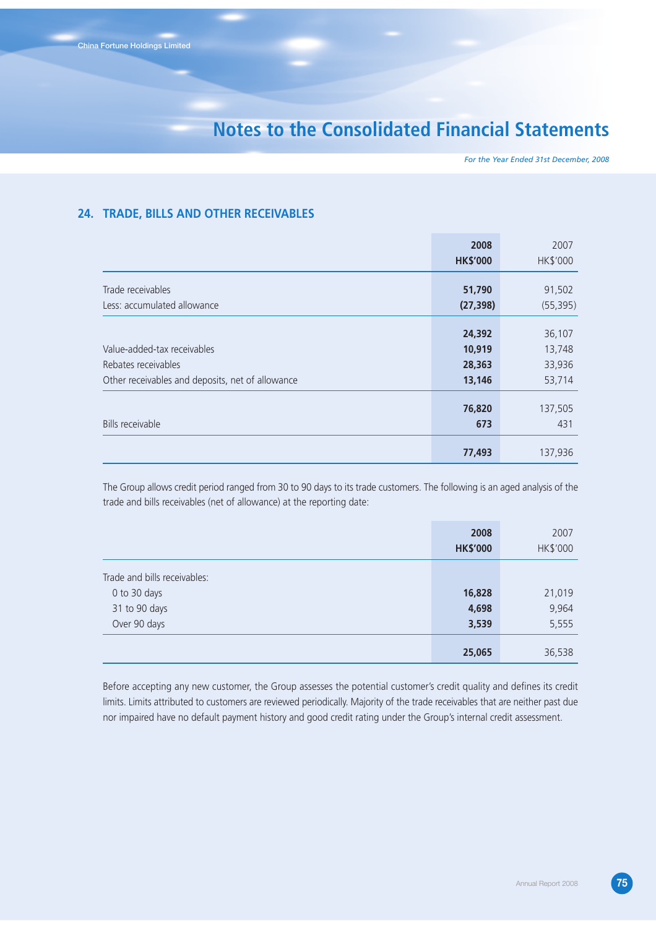*For the Year Ended 31st December, 2008*

#### **24. TRADE, BILLS AND OTHER RECEIVABLES**

|                                                  | 2008            | 2007      |
|--------------------------------------------------|-----------------|-----------|
|                                                  | <b>HK\$'000</b> | HK\$'000  |
| Trade receivables                                | 51,790          | 91,502    |
| Less: accumulated allowance                      | (27, 398)       | (55, 395) |
|                                                  | 24,392          | 36,107    |
| Value-added-tax receivables                      | 10,919          | 13,748    |
| Rebates receivables                              | 28,363          | 33,936    |
| Other receivables and deposits, net of allowance | 13,146          | 53,714    |
|                                                  | 76,820          | 137,505   |
| Bills receivable                                 | 673             | 431       |
|                                                  | 77,493          | 137,936   |

The Group allows credit period ranged from 30 to 90 days to its trade customers. The following is an aged analysis of the trade and bills receivables (net of allowance) at the reporting date:

|                              | 2008<br><b>HK\$'000</b> | 2007<br>HK\$'000 |
|------------------------------|-------------------------|------------------|
| Trade and bills receivables: |                         |                  |
| 0 to 30 days                 | 16,828                  | 21,019           |
| 31 to 90 days                | 4,698                   | 9,964            |
| Over 90 days                 | 3,539                   | 5,555            |
|                              | 25,065                  | 36,538           |

Before accepting any new customer, the Group assesses the potential customer's credit quality and defines its credit limits. Limits attributed to customers are reviewed periodically. Majority of the trade receivables that are neither past due nor impaired have no default payment history and good credit rating under the Group's internal credit assessment.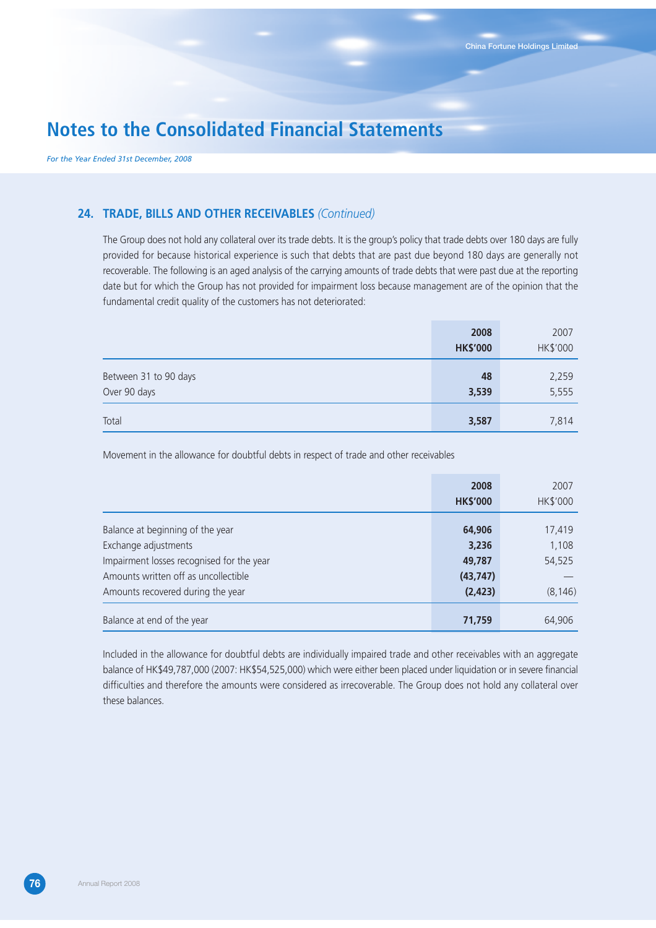*For the Year Ended 31st December, 2008*

#### **24. TRADE, BILLS AND OTHER RECEIVABLES** *(Continued)*

The Group does not hold any collateral over its trade debts. It is the group's policy that trade debts over 180 days are fully provided for because historical experience is such that debts that are past due beyond 180 days are generally not recoverable. The following is an aged analysis of the carrying amounts of trade debts that were past due at the reporting date but for which the Group has not provided for impairment loss because management are of the opinion that the fundamental credit quality of the customers has not deteriorated:

|                                       | 2008<br><b>HK\$'000</b> | 2007<br>HK\$'000 |
|---------------------------------------|-------------------------|------------------|
| Between 31 to 90 days<br>Over 90 days | 48<br>3,539             | 2,259<br>5,555   |
| Total                                 | 3,587                   | 7,814            |

Movement in the allowance for doubtful debts in respect of trade and other receivables

|                                           | 2008            | 2007     |
|-------------------------------------------|-----------------|----------|
|                                           | <b>HK\$'000</b> | HK\$'000 |
|                                           |                 |          |
| Balance at beginning of the year          | 64,906          | 17,419   |
| Exchange adjustments                      | 3,236           | 1,108    |
| Impairment losses recognised for the year | 49,787          | 54,525   |
| Amounts written off as uncollectible      | (43, 747)       |          |
| Amounts recovered during the year         | (2, 423)        | (8, 146) |
|                                           |                 |          |
| Balance at end of the year                | 71,759          | 64,906   |

Included in the allowance for doubtful debts are individually impaired trade and other receivables with an aggregate balance of HK\$49,787,000 (2007: HK\$54,525,000) which were either been placed under liquidation or in severe financial difficulties and therefore the amounts were considered as irrecoverable. The Group does not hold any collateral over these balances.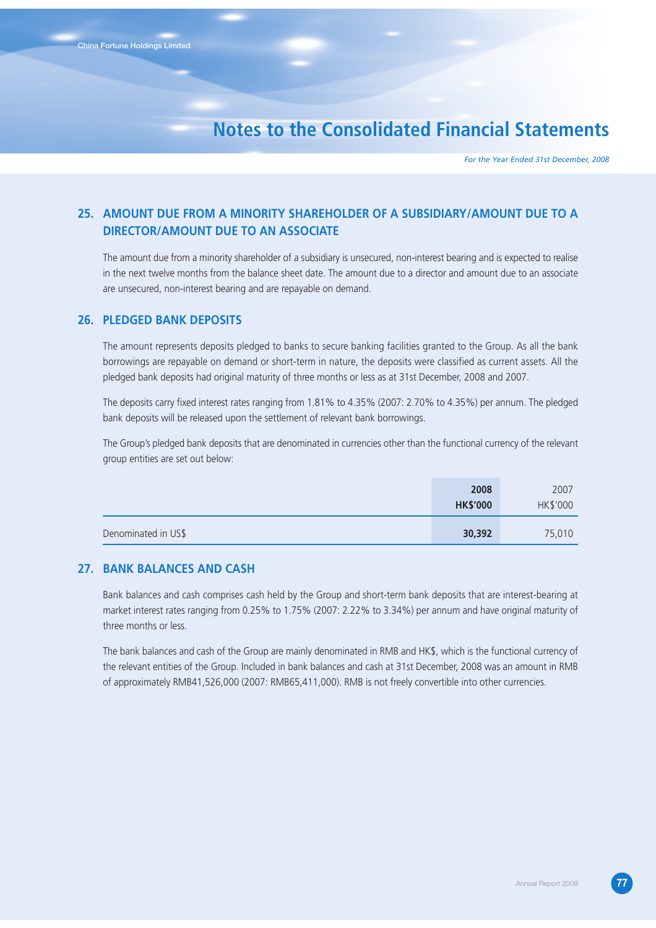*For the Year Ended 31st December, 2008*

### **25. AMOUNT DUE FROM A MINORITY SHAREHOLDER OF A SUBSIDIARY/AMOUNT DUE TO A DIRECTOR/AMOUNT DUE TO AN ASSOCIATE**

The amount due from a minority shareholder of a subsidiary is unsecured, non-interest bearing and is expected to realise in the next twelve months from the balance sheet date. The amount due to a director and amount due to an associate are unsecured, non-interest bearing and are repayable on demand.

#### **26. PLEDGED BANK DEPOSITS**

The amount represents deposits pledged to banks to secure banking facilities granted to the Group. As all the bank borrowings are repayable on demand or short-term in nature, the deposits were classified as current assets. All the pledged bank deposits had original maturity of three months or less as at 31st December, 2008 and 2007.

The deposits carry fixed interest rates ranging from 1.81% to 4.35% (2007: 2.70% to 4.35%) per annum. The pledged bank deposits will be released upon the settlement of relevant bank borrowings.

The Group's pledged bank deposits that are denominated in currencies other than the functional currency of the relevant group entities are set out below:

|                     | 2008<br><b>HK\$'000</b> | 2007<br>HK\$'000 |
|---------------------|-------------------------|------------------|
| Denominated in US\$ | 30,392                  | 75,010           |

#### **27. BANK BALANCES AND CASH**

Bank balances and cash comprises cash held by the Group and short-term bank deposits that are interest-bearing at market interest rates ranging from 0.25% to 1.75% (2007: 2.22% to 3.34%) per annum and have original maturity of three months or less.

The bank balances and cash of the Group are mainly denominated in RMB and HK\$, which is the functional currency of the relevant entities of the Group. Included in bank balances and cash at 31st December, 2008 was an amount in RMB of approximately RMB41,526,000 (2007: RMB65,411,000). RMB is not freely convertible into other currencies.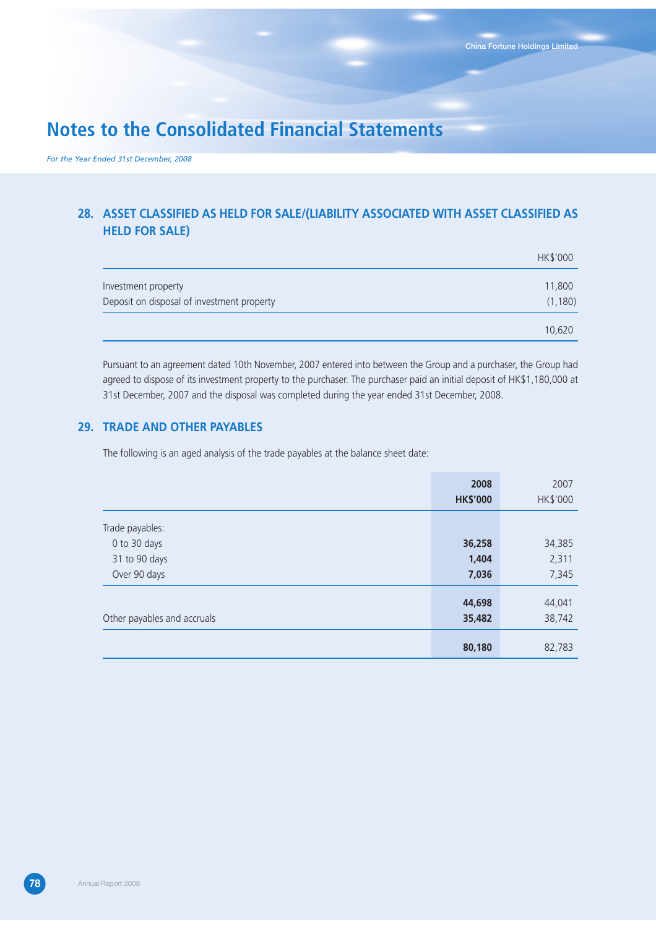*For the Year Ended 31st December, 2008*

### **28. ASSET CLASSIFIED AS HELD FOR SALE/(LIABILITY ASSOCIATED WITH ASSET CLASSIFIED AS HELD FOR SALE)**

|                                            | HK\$'000 |
|--------------------------------------------|----------|
| Investment property                        | 11,800   |
| Deposit on disposal of investment property | (1, 180) |
|                                            | 10,620   |

Pursuant to an agreement dated 10th November, 2007 entered into between the Group and a purchaser, the Group had agreed to dispose of its investment property to the purchaser. The purchaser paid an initial deposit of HK\$1,180,000 at 31st December, 2007 and the disposal was completed during the year ended 31st December, 2008.

#### **29. TRADE AND OTHER PAYABLES**

The following is an aged analysis of the trade payables at the balance sheet date:

|                             | 2008<br><b>HK\$'000</b> | 2007<br>HK\$'000 |
|-----------------------------|-------------------------|------------------|
| Trade payables:             |                         |                  |
| 0 to 30 days                | 36,258                  | 34,385           |
| 31 to 90 days               | 1,404                   | 2,311            |
| Over 90 days                | 7,036                   | 7,345            |
| Other payables and accruals | 44,698<br>35,482        | 44,041<br>38,742 |
|                             | 80,180                  | 82,783           |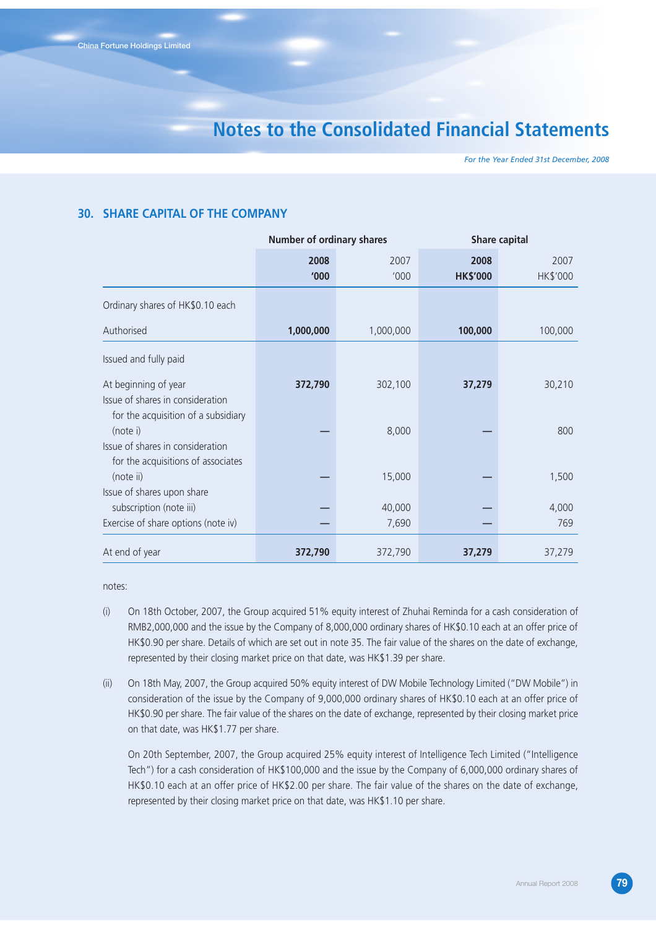*For the Year Ended 31st December, 2008*

#### **30. SHARE CAPITAL OF THE COMPANY**

|                                                                                              | <b>Number of ordinary shares</b> |                 | <b>Share capital</b>    |                  |
|----------------------------------------------------------------------------------------------|----------------------------------|-----------------|-------------------------|------------------|
|                                                                                              | 2008<br>'000                     | 2007<br>'000    | 2008<br><b>HK\$'000</b> | 2007<br>HK\$'000 |
| Ordinary shares of HK\$0.10 each                                                             |                                  |                 |                         |                  |
| Authorised                                                                                   | 1,000,000                        | 1,000,000       | 100,000                 | 100,000          |
| Issued and fully paid                                                                        |                                  |                 |                         |                  |
| At beginning of year<br>Issue of shares in consideration                                     | 372,790                          | 302,100         | 37,279                  | 30,210           |
| for the acquisition of a subsidiary<br>(note i)                                              |                                  | 8,000           |                         | 800              |
| Issue of shares in consideration<br>for the acquisitions of associates<br>(note ii)          |                                  | 15,000          |                         | 1,500            |
| Issue of shares upon share<br>subscription (note iii)<br>Exercise of share options (note iv) |                                  | 40,000<br>7,690 |                         | 4,000<br>769     |
| At end of year                                                                               | 372,790                          | 372,790         | 37,279                  | 37,279           |

notes:

- (i) On 18th October, 2007, the Group acquired 51% equity interest of Zhuhai Reminda for a cash consideration of RMB2,000,000 and the issue by the Company of 8,000,000 ordinary shares of HK\$0.10 each at an offer price of HK\$0.90 per share. Details of which are set out in note 35. The fair value of the shares on the date of exchange, represented by their closing market price on that date, was HK\$1.39 per share.
- (ii) On 18th May, 2007, the Group acquired 50% equity interest of DW Mobile Technology Limited ("DW Mobile") in consideration of the issue by the Company of 9,000,000 ordinary shares of HK\$0.10 each at an offer price of HK\$0.90 per share. The fair value of the shares on the date of exchange, represented by their closing market price on that date, was HK\$1.77 per share.

On 20th September, 2007, the Group acquired 25% equity interest of Intelligence Tech Limited ("Intelligence Tech") for a cash consideration of HK\$100,000 and the issue by the Company of 6,000,000 ordinary shares of HK\$0.10 each at an offer price of HK\$2.00 per share. The fair value of the shares on the date of exchange, represented by their closing market price on that date, was HK\$1.10 per share.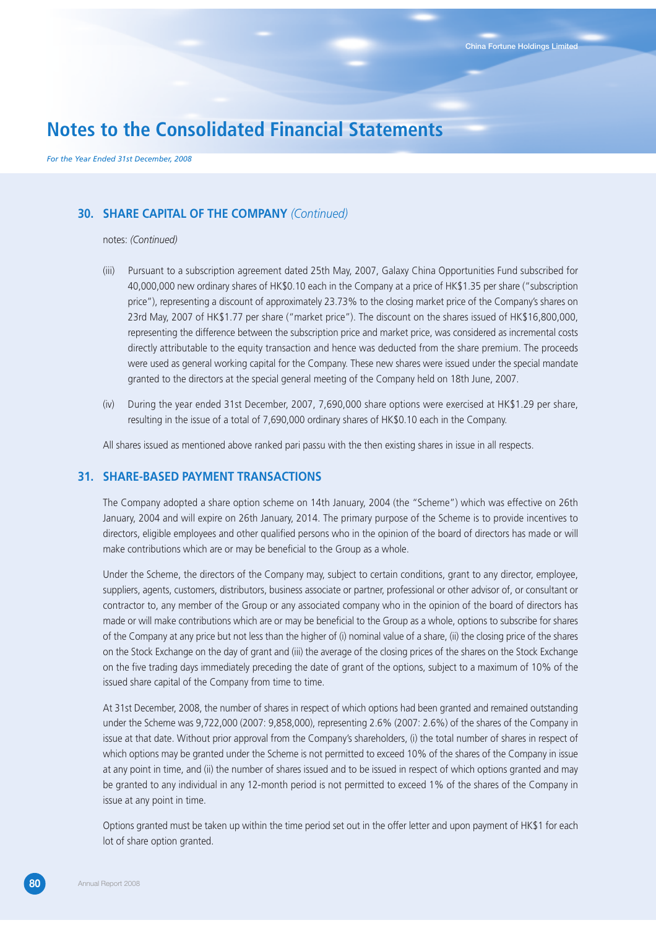*For the Year Ended 31st December, 2008*

### **30. SHARE CAPITAL OF THE COMPANY** *(Continued)*

#### notes: *(Continued)*

- (iii) Pursuant to a subscription agreement dated 25th May, 2007, Galaxy China Opportunities Fund subscribed for 40,000,000 new ordinary shares of HK\$0.10 each in the Company at a price of HK\$1.35 per share ("subscription price"), representing a discount of approximately 23.73% to the closing market price of the Company's shares on 23rd May, 2007 of HK\$1.77 per share ("market price"). The discount on the shares issued of HK\$16,800,000, representing the difference between the subscription price and market price, was considered as incremental costs directly attributable to the equity transaction and hence was deducted from the share premium. The proceeds were used as general working capital for the Company. These new shares were issued under the special mandate granted to the directors at the special general meeting of the Company held on 18th June, 2007.
- (iv) During the year ended 31st December, 2007, 7,690,000 share options were exercised at HK\$1.29 per share, resulting in the issue of a total of 7,690,000 ordinary shares of HK\$0.10 each in the Company.

All shares issued as mentioned above ranked pari passu with the then existing shares in issue in all respects.

#### **31. SHARE-BASED PAYMENT TRANSACTIONS**

The Company adopted a share option scheme on 14th January, 2004 (the "Scheme") which was effective on 26th January, 2004 and will expire on 26th January, 2014. The primary purpose of the Scheme is to provide incentives to directors, eligible employees and other qualified persons who in the opinion of the board of directors has made or will make contributions which are or may be beneficial to the Group as a whole.

Under the Scheme, the directors of the Company may, subject to certain conditions, grant to any director, employee, suppliers, agents, customers, distributors, business associate or partner, professional or other advisor of, or consultant or contractor to, any member of the Group or any associated company who in the opinion of the board of directors has made or will make contributions which are or may be beneficial to the Group as a whole, options to subscribe for shares of the Company at any price but not less than the higher of (i) nominal value of a share, (ii) the closing price of the shares on the Stock Exchange on the day of grant and (iii) the average of the closing prices of the shares on the Stock Exchange on the five trading days immediately preceding the date of grant of the options, subject to a maximum of 10% of the issued share capital of the Company from time to time.

At 31st December, 2008, the number of shares in respect of which options had been granted and remained outstanding under the Scheme was 9,722,000 (2007: 9,858,000), representing 2.6% (2007: 2.6%) of the shares of the Company in issue at that date. Without prior approval from the Company's shareholders, (i) the total number of shares in respect of which options may be granted under the Scheme is not permitted to exceed 10% of the shares of the Company in issue at any point in time, and (ii) the number of shares issued and to be issued in respect of which options granted and may be granted to any individual in any 12-month period is not permitted to exceed 1% of the shares of the Company in issue at any point in time.

Options granted must be taken up within the time period set out in the offer letter and upon payment of HK\$1 for each lot of share option granted.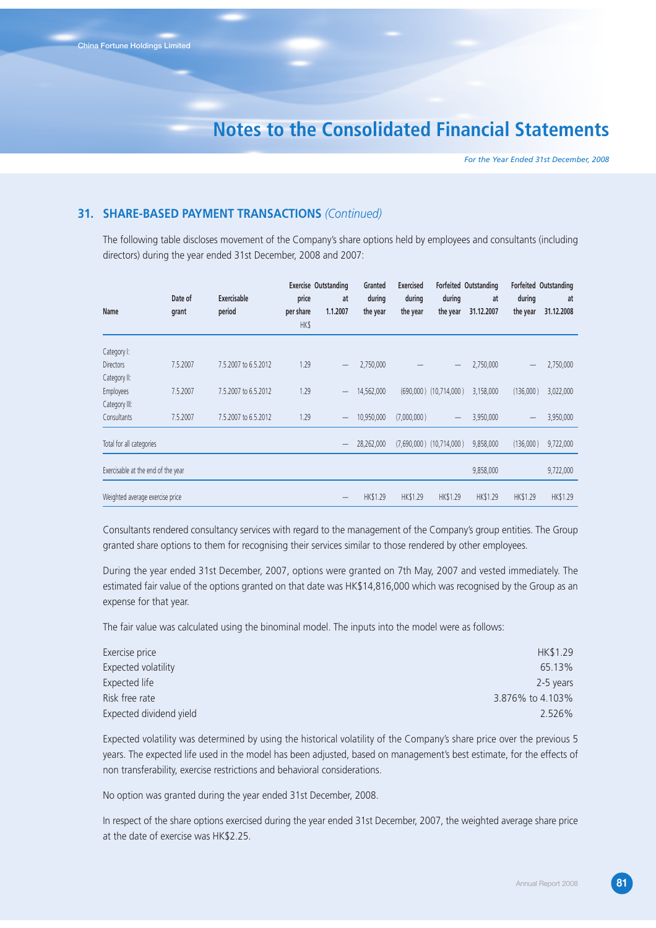*For the Year Ended 31st December, 2008*

#### **31. SHARE-BASED PAYMENT TRANSACTIONS** *(Continued)*

The following table discloses movement of the Company's share options held by employees and consultants (including directors) during the year ended 31st December, 2008 and 2007:

| Name                               | Date of<br>grant | Exercisable<br>period | price<br>per share<br><b>HK\$</b> | <b>Exercise Outstanding</b><br>at<br>1.1.2007 | Granted<br>during<br>the year | <b>Exercised</b><br>during<br>the year | during<br>the year           | Forfeited Outstanding<br>at<br>31.12.2007 | during<br>the year | Forfeited Outstanding<br>at<br>31.12.2008 |
|------------------------------------|------------------|-----------------------|-----------------------------------|-----------------------------------------------|-------------------------------|----------------------------------------|------------------------------|-------------------------------------------|--------------------|-------------------------------------------|
| Category I:                        |                  |                       |                                   |                                               |                               |                                        |                              |                                           |                    |                                           |
| <b>Directors</b>                   | 7.5.2007         | 7.5.2007 to 6.5.2012  | 1.29                              |                                               | 2,750,000                     |                                        |                              | 2,750,000                                 |                    | 2,750,000                                 |
| Category II:                       |                  |                       |                                   |                                               |                               |                                        |                              |                                           |                    |                                           |
| <b>Employees</b>                   | 7.5.2007         | 7.5.2007 to 6.5.2012  | 1.29                              |                                               | 14,562,000                    |                                        | $(690,000)$ $(10,714,000)$   | 3,158,000                                 | (136,000)          | 3,022,000                                 |
| Category III:                      |                  |                       |                                   |                                               |                               |                                        |                              |                                           |                    |                                           |
| Consultants                        | 7.5.2007         | 7.5.2007 to 6.5.2012  | 1.29                              | $\qquad \qquad -$                             | 10,950,000                    | (7,000,000)                            |                              | 3,950,000                                 |                    | 3,950,000                                 |
| Total for all categories           |                  |                       |                                   |                                               | 28,262,000                    |                                        | $(7,690,000)$ $(10,714,000)$ | 9,858,000                                 | (136,000)          | 9,722,000                                 |
| Exercisable at the end of the year |                  |                       |                                   |                                               |                               |                                        |                              | 9,858,000                                 |                    | 9,722,000                                 |
| Weighted average exercise price    |                  |                       |                                   |                                               | HK\$1.29                      | HK\$1.29                               | HK\$1.29                     | HK\$1.29                                  | HK\$1.29           | HK\$1.29                                  |

Consultants rendered consultancy services with regard to the management of the Company's group entities. The Group granted share options to them for recognising their services similar to those rendered by other employees.

During the year ended 31st December, 2007, options were granted on 7th May, 2007 and vested immediately. The estimated fair value of the options granted on that date was HK\$14,816,000 which was recognised by the Group as an expense for that year.

The fair value was calculated using the binominal model. The inputs into the model were as follows:

| Exercise price          | HK\$1.29         |
|-------------------------|------------------|
| Expected volatility     | 65.13%           |
| Expected life           | 2-5 years        |
| Risk free rate          | 3.876% to 4.103% |
| Expected dividend yield | 2.526%           |

Expected volatility was determined by using the historical volatility of the Company's share price over the previous 5 years. The expected life used in the model has been adjusted, based on management's best estimate, for the effects of non transferability, exercise restrictions and behavioral considerations.

No option was granted during the year ended 31st December, 2008.

In respect of the share options exercised during the year ended 31st December, 2007, the weighted average share price at the date of exercise was HK\$2.25.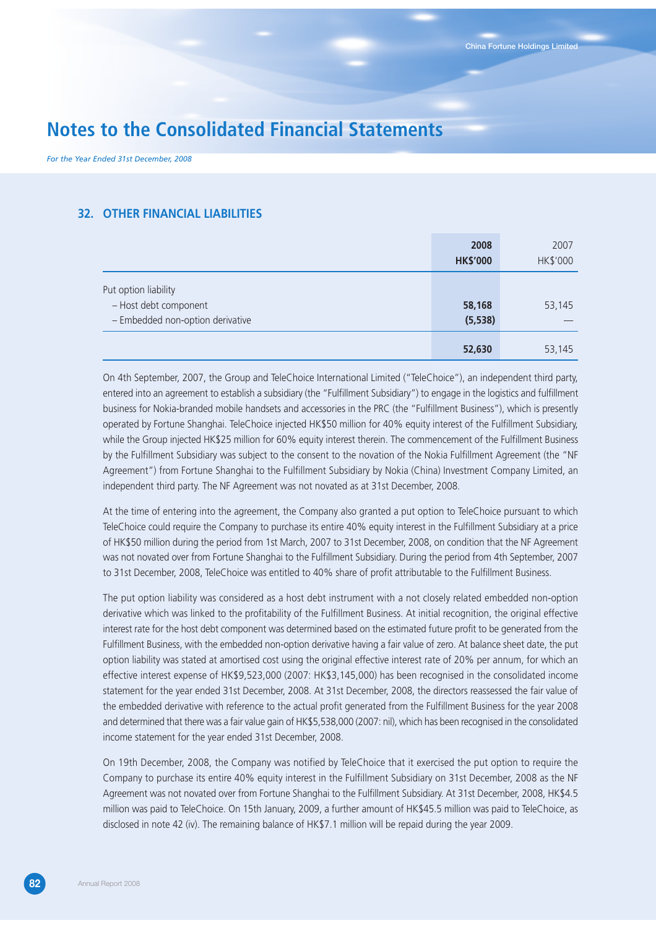*For the Year Ended 31st December, 2008*

#### **32. OTHER FINANCIAL LIABILITIES**

|                                  | 2008<br><b>HK\$'000</b> | 2007<br>HK\$'000 |
|----------------------------------|-------------------------|------------------|
| Put option liability             |                         |                  |
| - Host debt component            | 58,168                  | 53,145           |
| - Embedded non-option derivative | (5, 538)                |                  |
|                                  | 52,630                  | 53,145           |

On 4th September, 2007, the Group and TeleChoice International Limited ("TeleChoice"), an independent third party, entered into an agreement to establish a subsidiary (the "Fulfillment Subsidiary") to engage in the logistics and fulfillment business for Nokia-branded mobile handsets and accessories in the PRC (the "Fulfillment Business"), which is presently operated by Fortune Shanghai. TeleChoice injected HK\$50 million for 40% equity interest of the Fulfillment Subsidiary, while the Group injected HK\$25 million for 60% equity interest therein. The commencement of the Fulfillment Business by the Fulfillment Subsidiary was subject to the consent to the novation of the Nokia Fulfillment Agreement (the "NF Agreement") from Fortune Shanghai to the Fulfillment Subsidiary by Nokia (China) Investment Company Limited, an independent third party. The NF Agreement was not novated as at 31st December, 2008.

At the time of entering into the agreement, the Company also granted a put option to TeleChoice pursuant to which TeleChoice could require the Company to purchase its entire 40% equity interest in the Fulfillment Subsidiary at a price of HK\$50 million during the period from 1st March, 2007 to 31st December, 2008, on condition that the NF Agreement was not novated over from Fortune Shanghai to the Fulfillment Subsidiary. During the period from 4th September, 2007 to 31st December, 2008, TeleChoice was entitled to 40% share of profit attributable to the Fulfillment Business.

The put option liability was considered as a host debt instrument with a not closely related embedded non-option derivative which was linked to the profitability of the Fulfillment Business. At initial recognition, the original effective interest rate for the host debt component was determined based on the estimated future profit to be generated from the Fulfillment Business, with the embedded non-option derivative having a fair value of zero. At balance sheet date, the put option liability was stated at amortised cost using the original effective interest rate of 20% per annum, for which an effective interest expense of HK\$9,523,000 (2007: HK\$3,145,000) has been recognised in the consolidated income statement for the year ended 31st December, 2008. At 31st December, 2008, the directors reassessed the fair value of the embedded derivative with reference to the actual profit generated from the Fulfillment Business for the year 2008 and determined that there was a fair value gain of HK\$5,538,000 (2007: nil), which has been recognised in the consolidated income statement for the year ended 31st December, 2008.

On 19th December, 2008, the Company was notified by TeleChoice that it exercised the put option to require the Company to purchase its entire 40% equity interest in the Fulfillment Subsidiary on 31st December, 2008 as the NF Agreement was not novated over from Fortune Shanghai to the Fulfillment Subsidiary. At 31st December, 2008, HK\$4.5 million was paid to TeleChoice. On 15th January, 2009, a further amount of HK\$45.5 million was paid to TeleChoice, as disclosed in note 42 (iv). The remaining balance of HK\$7.1 million will be repaid during the year 2009.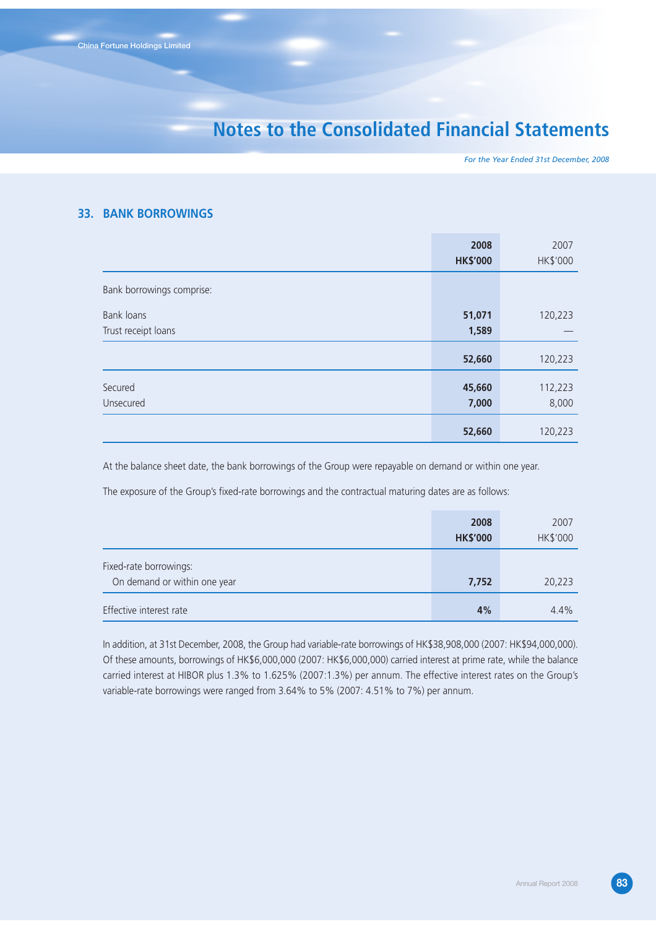*For the Year Ended 31st December, 2008*

#### **33. BANK BORROWINGS**

|                           | 2008            | 2007     |
|---------------------------|-----------------|----------|
|                           | <b>HK\$'000</b> | HK\$'000 |
| Bank borrowings comprise: |                 |          |
| Bank loans                | 51,071          | 120,223  |
| Trust receipt loans       | 1,589           |          |
|                           | 52,660          | 120,223  |
| Secured                   | 45,660          | 112,223  |
| Unsecured                 | 7,000           | 8,000    |
|                           | 52,660          | 120,223  |

At the balance sheet date, the bank borrowings of the Group were repayable on demand or within one year.

The exposure of the Group's fixed-rate borrowings and the contractual maturing dates are as follows:

|                                                        | 2008<br><b>HK\$'000</b> | 2007<br>HK\$'000 |
|--------------------------------------------------------|-------------------------|------------------|
| Fixed-rate borrowings:<br>On demand or within one year | 7,752                   | 20,223           |
| Effective interest rate                                | 4%                      | 4.4%             |

In addition, at 31st December, 2008, the Group had variable-rate borrowings of HK\$38,908,000 (2007: HK\$94,000,000). Of these amounts, borrowings of HK\$6,000,000 (2007: HK\$6,000,000) carried interest at prime rate, while the balance carried interest at HIBOR plus 1.3% to 1.625% (2007:1.3%) per annum. The effective interest rates on the Group's variable-rate borrowings were ranged from 3.64% to 5% (2007: 4.51% to 7%) per annum.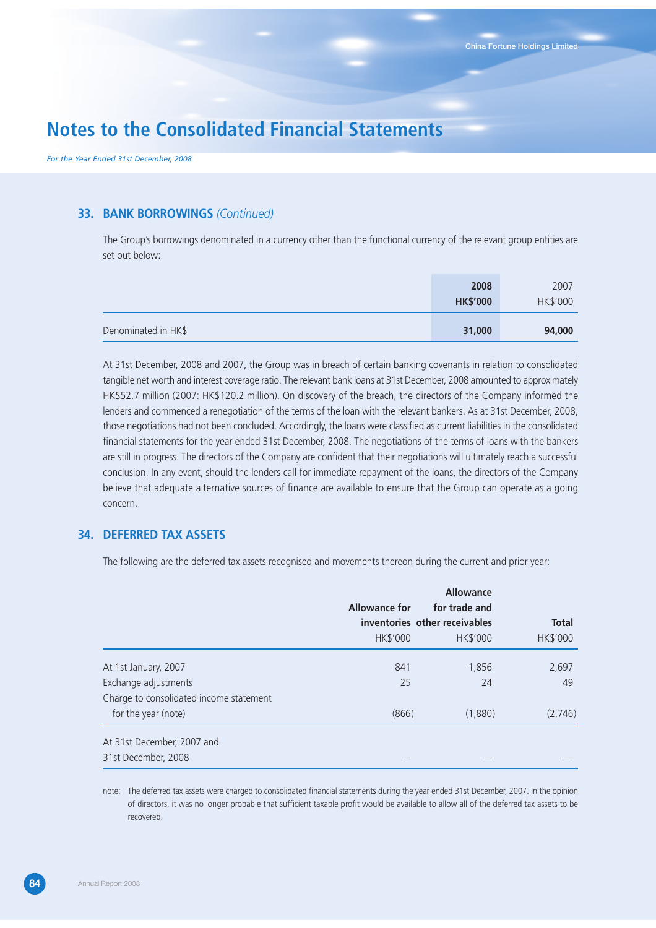*For the Year Ended 31st December, 2008*

#### **33. BANK BORROWINGS** *(Continued)*

The Group's borrowings denominated in a currency other than the functional currency of the relevant group entities are set out below:

|                     | 2008<br><b>HK\$'000</b> | 2007<br>HK\$'000 |
|---------------------|-------------------------|------------------|
| Denominated in HK\$ | 31,000                  | 94,000           |

At 31st December, 2008 and 2007, the Group was in breach of certain banking covenants in relation to consolidated tangible net worth and interest coverage ratio. The relevant bank loans at 31st December, 2008 amounted to approximately HK\$52.7 million (2007: HK\$120.2 million). On discovery of the breach, the directors of the Company informed the lenders and commenced a renegotiation of the terms of the loan with the relevant bankers. As at 31st December, 2008, those negotiations had not been concluded. Accordingly, the loans were classified as current liabilities in the consolidated financial statements for the year ended 31st December, 2008. The negotiations of the terms of loans with the bankers are still in progress. The directors of the Company are confident that their negotiations will ultimately reach a successful conclusion. In any event, should the lenders call for immediate repayment of the loans, the directors of the Company believe that adequate alternative sources of finance are available to ensure that the Group can operate as a going concern.

#### **34. DEFERRED TAX ASSETS**

The following are the deferred tax assets recognised and movements thereon during the current and prior year:

|                                         |                 | Allowance                     |              |
|-----------------------------------------|-----------------|-------------------------------|--------------|
|                                         | Allowance for   | for trade and                 |              |
|                                         |                 | inventories other receivables | <b>Total</b> |
|                                         | <b>HK\$'000</b> | HK\$'000                      | HK\$'000     |
| At 1st January, 2007                    | 841             | 1,856                         | 2,697        |
| Exchange adjustments                    | 25              | 24                            | 49           |
| Charge to consolidated income statement |                 |                               |              |
| for the year (note)                     | (866)           | (1,880)                       | (2,746)      |
| At 31st December, 2007 and              |                 |                               |              |
| 31st December, 2008                     |                 |                               |              |

note: The deferred tax assets were charged to consolidated financial statements during the year ended 31st December, 2007. In the opinion of directors, it was no longer probable that sufficient taxable profit would be available to allow all of the deferred tax assets to be recovered.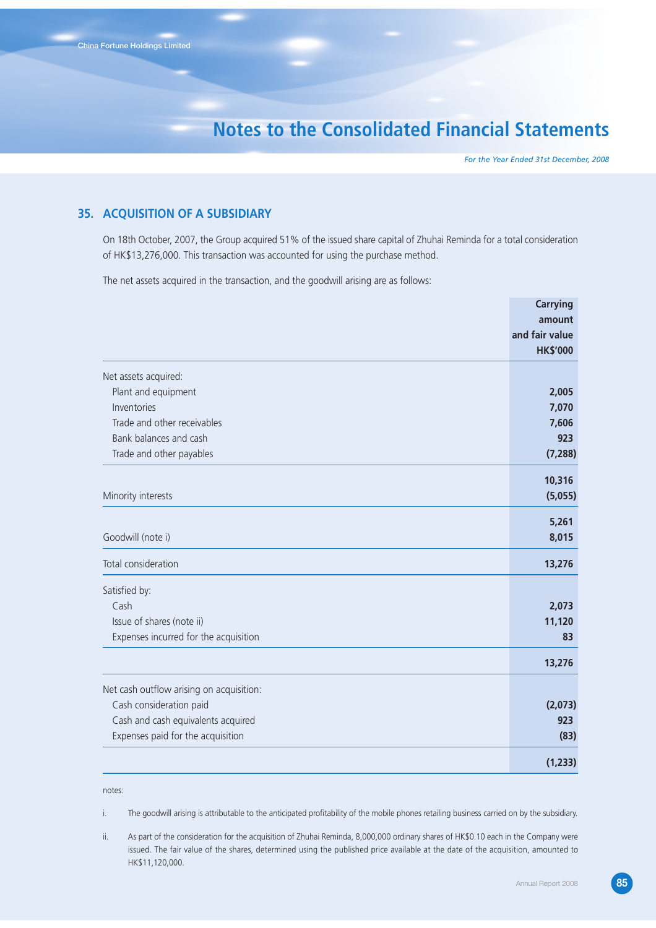*For the Year Ended 31st December, 2008*

#### **35. ACQUISITION OF A SUBSIDIARY**

On 18th October, 2007, the Group acquired 51% of the issued share capital of Zhuhai Reminda for a total consideration of HK\$13,276,000. This transaction was accounted for using the purchase method.

The net assets acquired in the transaction, and the goodwill arising are as follows:

|                                          | <b>Carrying</b>   |
|------------------------------------------|-------------------|
|                                          | amount            |
|                                          | and fair value    |
|                                          | <b>HK\$'000</b>   |
| Net assets acquired:                     |                   |
| Plant and equipment                      | 2,005             |
| Inventories                              | 7,070             |
| Trade and other receivables              | 7,606             |
| Bank balances and cash                   | 923               |
| Trade and other payables                 | (7, 288)          |
| Minority interests                       | 10,316<br>(5,055) |
|                                          |                   |
|                                          | 5,261             |
| Goodwill (note i)                        | 8,015             |
| Total consideration                      | 13,276            |
| Satisfied by:                            |                   |
| Cash                                     | 2,073             |
| Issue of shares (note ii)                | 11,120            |
| Expenses incurred for the acquisition    | 83                |
|                                          | 13,276            |
| Net cash outflow arising on acquisition: |                   |
| Cash consideration paid                  | (2,073)           |
| Cash and cash equivalents acquired       | 923               |
| Expenses paid for the acquisition        | (83)              |
|                                          | (1, 233)          |
|                                          |                   |

notes:

i. The goodwill arising is attributable to the anticipated profitability of the mobile phones retailing business carried on by the subsidiary.

ii. As part of the consideration for the acquisition of Zhuhai Reminda, 8,000,000 ordinary shares of HK\$0.10 each in the Company were issued. The fair value of the shares, determined using the published price available at the date of the acquisition, amounted to HK\$11,120,000.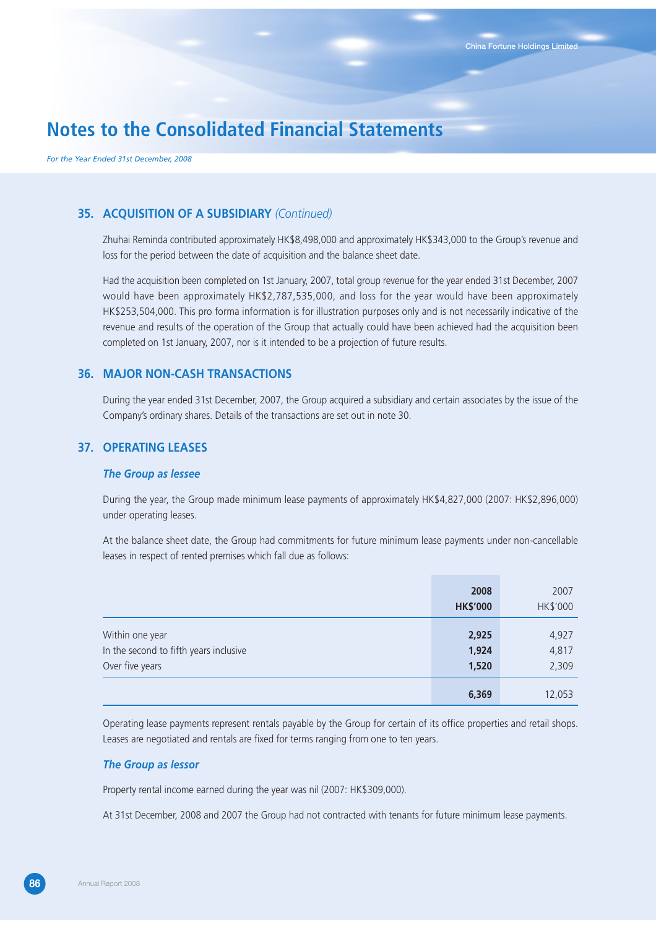*For the Year Ended 31st December, 2008*

#### **35. ACQUISITION OF A SUBSIDIARY** *(Continued)*

Zhuhai Reminda contributed approximately HK\$8,498,000 and approximately HK\$343,000 to the Group's revenue and loss for the period between the date of acquisition and the balance sheet date.

Had the acquisition been completed on 1st January, 2007, total group revenue for the year ended 31st December, 2007 would have been approximately HK\$2,787,535,000, and loss for the year would have been approximately HK\$253,504,000. This pro forma information is for illustration purposes only and is not necessarily indicative of the revenue and results of the operation of the Group that actually could have been achieved had the acquisition been completed on 1st January, 2007, nor is it intended to be a projection of future results.

#### **36. MAJOR NON-CASH TRANSACTIONS**

During the year ended 31st December, 2007, the Group acquired a subsidiary and certain associates by the issue of the Company's ordinary shares. Details of the transactions are set out in note 30.

#### **37. OPERATING LEASES**

#### *The Group as lessee*

During the year, the Group made minimum lease payments of approximately HK\$4,827,000 (2007: HK\$2,896,000) under operating leases.

At the balance sheet date, the Group had commitments for future minimum lease payments under non-cancellable leases in respect of rented premises which fall due as follows:

|                                                                              | 2008<br><b>HK\$'000</b> | 2007<br>HK\$'000        |
|------------------------------------------------------------------------------|-------------------------|-------------------------|
| Within one year<br>In the second to fifth years inclusive<br>Over five years | 2,925<br>1,924<br>1,520 | 4,927<br>4,817<br>2,309 |
|                                                                              | 6,369                   | 12,053                  |

Operating lease payments represent rentals payable by the Group for certain of its office properties and retail shops. Leases are negotiated and rentals are fixed for terms ranging from one to ten years.

#### *The Group as lessor*

Property rental income earned during the year was nil (2007: HK\$309,000).

At 31st December, 2008 and 2007 the Group had not contracted with tenants for future minimum lease payments.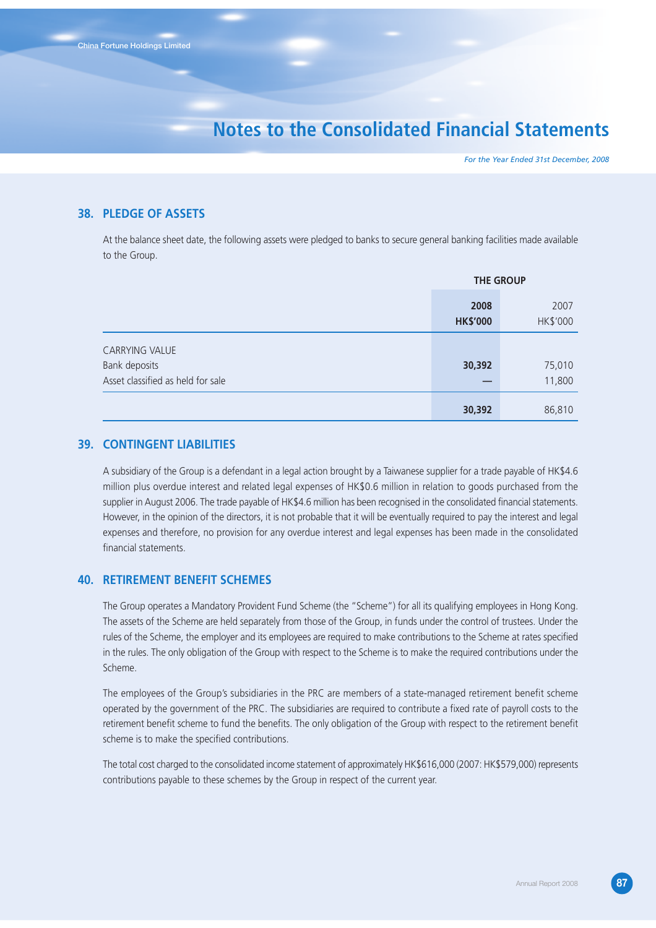*For the Year Ended 31st December, 2008*

#### **38. PLEDGE OF ASSETS**

At the balance sheet date, the following assets were pledged to banks to secure general banking facilities made available to the Group.

|                                                                             | <b>THE GROUP</b>        |                  |  |
|-----------------------------------------------------------------------------|-------------------------|------------------|--|
|                                                                             | 2008<br><b>HK\$'000</b> | 2007<br>HK\$'000 |  |
| <b>CARRYING VALUE</b><br>Bank deposits<br>Asset classified as held for sale | 30,392                  | 75,010<br>11,800 |  |
|                                                                             | 30,392                  | 86,810           |  |

#### **39. CONTINGENT LIABILITIES**

A subsidiary of the Group is a defendant in a legal action brought by a Taiwanese supplier for a trade payable of HK\$4.6 million plus overdue interest and related legal expenses of HK\$0.6 million in relation to goods purchased from the supplier in August 2006. The trade payable of HK\$4.6 million has been recognised in the consolidated financial statements. However, in the opinion of the directors, it is not probable that it will be eventually required to pay the interest and legal expenses and therefore, no provision for any overdue interest and legal expenses has been made in the consolidated financial statements.

#### **40. RETIREMENT BENEFIT SCHEMES**

The Group operates a Mandatory Provident Fund Scheme (the "Scheme") for all its qualifying employees in Hong Kong. The assets of the Scheme are held separately from those of the Group, in funds under the control of trustees. Under the rules of the Scheme, the employer and its employees are required to make contributions to the Scheme at rates specified in the rules. The only obligation of the Group with respect to the Scheme is to make the required contributions under the Scheme.

The employees of the Group's subsidiaries in the PRC are members of a state-managed retirement benefit scheme operated by the government of the PRC. The subsidiaries are required to contribute a fixed rate of payroll costs to the retirement benefit scheme to fund the benefits. The only obligation of the Group with respect to the retirement benefit scheme is to make the specified contributions.

The total cost charged to the consolidated income statement of approximately HK\$616,000 (2007: HK\$579,000) represents contributions payable to these schemes by the Group in respect of the current year.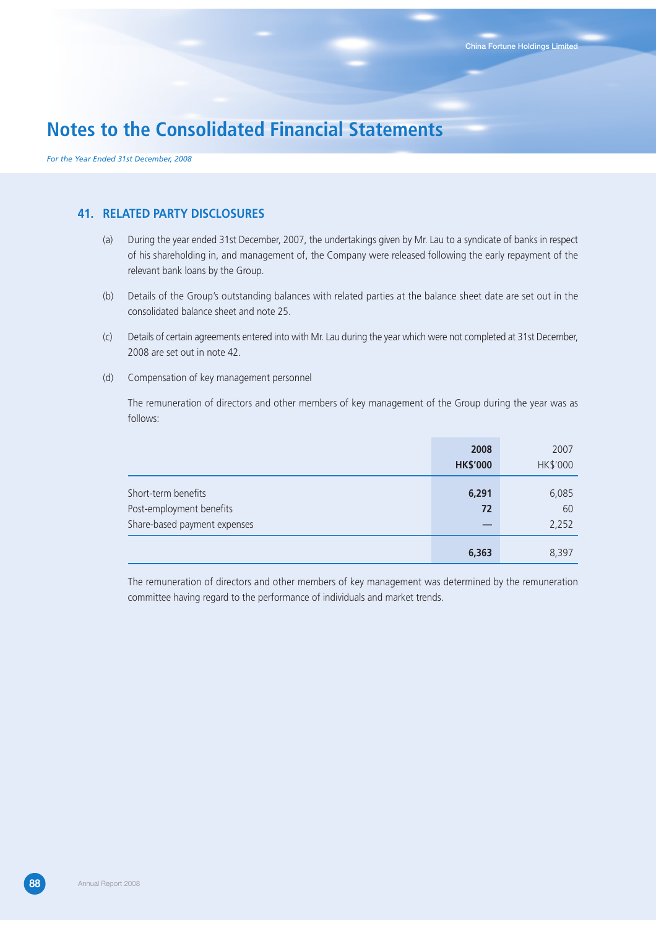*For the Year Ended 31st December, 2008*

#### **41. RELATED PARTY DISCLOSURES**

- (a) During the year ended 31st December, 2007, the undertakings given by Mr. Lau to a syndicate of banks in respect of his shareholding in, and management of, the Company were released following the early repayment of the relevant bank loans by the Group.
- (b) Details of the Group's outstanding balances with related parties at the balance sheet date are set out in the consolidated balance sheet and note 25.
- (c) Details of certain agreements entered into with Mr. Lau during the year which were not completed at 31st December, 2008 are set out in note 42.
- (d) Compensation of key management personnel

The remuneration of directors and other members of key management of the Group during the year was as follows:

|                              | 2008<br><b>HK\$'000</b> | 2007<br>HK\$'000 |
|------------------------------|-------------------------|------------------|
|                              |                         |                  |
| Short-term benefits          | 6,291                   | 6,085            |
| Post-employment benefits     | 72                      | 60               |
| Share-based payment expenses | —                       | 2,252            |
|                              | 6,363                   | 8.397            |

The remuneration of directors and other members of key management was determined by the remuneration committee having regard to the performance of individuals and market trends.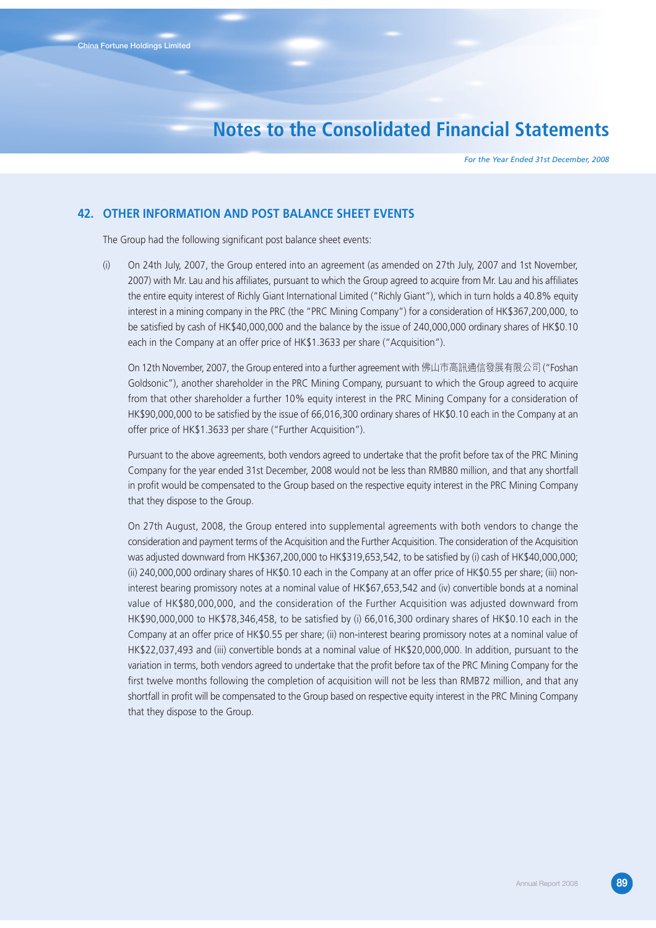*For the Year Ended 31st December, 2008*

#### **42. OTHER INFORMATION AND POST BALANCE SHEET EVENTS**

The Group had the following significant post balance sheet events:

(i) On 24th July, 2007, the Group entered into an agreement (as amended on 27th July, 2007 and 1st November, 2007) with Mr. Lau and his affiliates, pursuant to which the Group agreed to acquire from Mr. Lau and his affiliates the entire equity interest of Richly Giant International Limited ("Richly Giant"), which in turn holds a 40.8% equity interest in a mining company in the PRC (the "PRC Mining Company") for a consideration of HK\$367,200,000, to be satisfied by cash of HK\$40,000,000 and the balance by the issue of 240,000,000 ordinary shares of HK\$0.10 each in the Company at an offer price of HK\$1.3633 per share ("Acquisition").

On 12th November, 2007, the Group entered into a further agreement with 佛山巿高訊通信發展有限公司 ("Foshan Goldsonic"), another shareholder in the PRC Mining Company, pursuant to which the Group agreed to acquire from that other shareholder a further 10% equity interest in the PRC Mining Company for a consideration of HK\$90,000,000 to be satisfied by the issue of 66,016,300 ordinary shares of HK\$0.10 each in the Company at an offer price of HK\$1.3633 per share ("Further Acquisition").

Pursuant to the above agreements, both vendors agreed to undertake that the profit before tax of the PRC Mining Company for the year ended 31st December, 2008 would not be less than RMB80 million, and that any shortfall in profit would be compensated to the Group based on the respective equity interest in the PRC Mining Company that they dispose to the Group.

On 27th August, 2008, the Group entered into supplemental agreements with both vendors to change the consideration and payment terms of the Acquisition and the Further Acquisition. The consideration of the Acquisition was adjusted downward from HK\$367,200,000 to HK\$319,653,542, to be satisfied by (i) cash of HK\$40,000,000; (ii) 240,000,000 ordinary shares of HK\$0.10 each in the Company at an offer price of HK\$0.55 per share; (iii) noninterest bearing promissory notes at a nominal value of HK\$67,653,542 and (iv) convertible bonds at a nominal value of HK\$80,000,000, and the consideration of the Further Acquisition was adjusted downward from HK\$90,000,000 to HK\$78,346,458, to be satisfied by (i) 66,016,300 ordinary shares of HK\$0.10 each in the Company at an offer price of HK\$0.55 per share; (ii) non-interest bearing promissory notes at a nominal value of HK\$22,037,493 and (iii) convertible bonds at a nominal value of HK\$20,000,000. In addition, pursuant to the variation in terms, both vendors agreed to undertake that the profit before tax of the PRC Mining Company for the first twelve months following the completion of acquisition will not be less than RMB72 million, and that any shortfall in profit will be compensated to the Group based on respective equity interest in the PRC Mining Company that they dispose to the Group.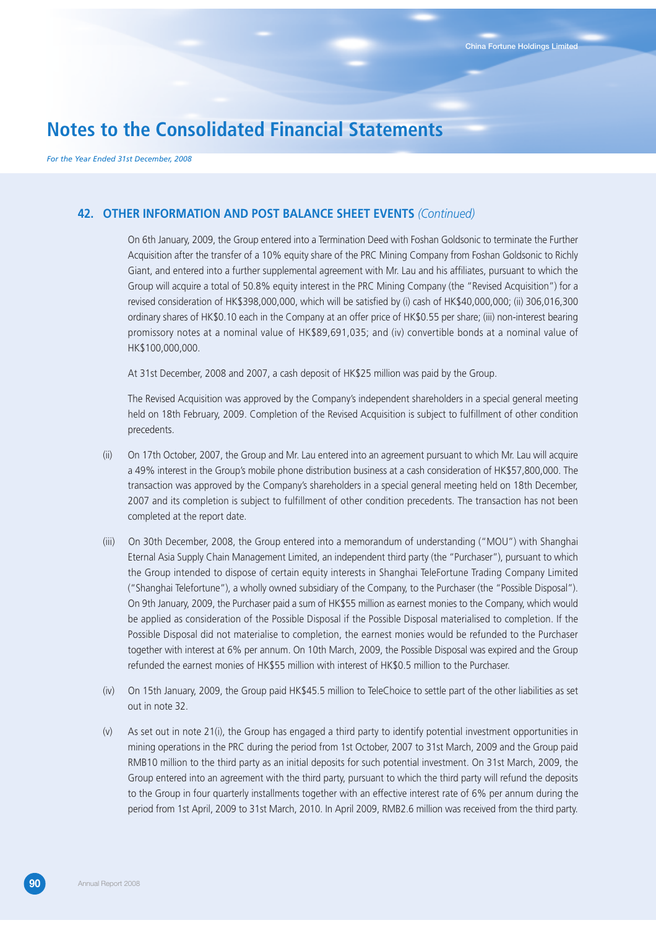*For the Year Ended 31st December, 2008*

#### **42. OTHER INFORMATION AND POST BALANCE SHEET EVENTS** *(Continued)*

On 6th January, 2009, the Group entered into a Termination Deed with Foshan Goldsonic to terminate the Further Acquisition after the transfer of a 10% equity share of the PRC Mining Company from Foshan Goldsonic to Richly Giant, and entered into a further supplemental agreement with Mr. Lau and his affiliates, pursuant to which the Group will acquire a total of 50.8% equity interest in the PRC Mining Company (the "Revised Acquisition") for a revised consideration of HK\$398,000,000, which will be satisfied by (i) cash of HK\$40,000,000; (ii) 306,016,300 ordinary shares of HK\$0.10 each in the Company at an offer price of HK\$0.55 per share; (iii) non-interest bearing promissory notes at a nominal value of HK\$89,691,035; and (iv) convertible bonds at a nominal value of HK\$100,000,000.

At 31st December, 2008 and 2007, a cash deposit of HK\$25 million was paid by the Group.

The Revised Acquisition was approved by the Company's independent shareholders in a special general meeting held on 18th February, 2009. Completion of the Revised Acquisition is subject to fulfillment of other condition precedents.

- (ii) On 17th October, 2007, the Group and Mr. Lau entered into an agreement pursuant to which Mr. Lau will acquire a 49% interest in the Group's mobile phone distribution business at a cash consideration of HK\$57,800,000. The transaction was approved by the Company's shareholders in a special general meeting held on 18th December, 2007 and its completion is subject to fulfillment of other condition precedents. The transaction has not been completed at the report date.
- (iii) On 30th December, 2008, the Group entered into a memorandum of understanding ("MOU") with Shanghai Eternal Asia Supply Chain Management Limited, an independent third party (the "Purchaser"), pursuant to which the Group intended to dispose of certain equity interests in Shanghai TeleFortune Trading Company Limited ("Shanghai Telefortune"), a wholly owned subsidiary of the Company, to the Purchaser (the "Possible Disposal"). On 9th January, 2009, the Purchaser paid a sum of HK\$55 million as earnest monies to the Company, which would be applied as consideration of the Possible Disposal if the Possible Disposal materialised to completion. If the Possible Disposal did not materialise to completion, the earnest monies would be refunded to the Purchaser together with interest at 6% per annum. On 10th March, 2009, the Possible Disposal was expired and the Group refunded the earnest monies of HK\$55 million with interest of HK\$0.5 million to the Purchaser.
- (iv) On 15th January, 2009, the Group paid HK\$45.5 million to TeleChoice to settle part of the other liabilities as set out in note 32.
- (v) As set out in note 21(i), the Group has engaged a third party to identify potential investment opportunities in mining operations in the PRC during the period from 1st October, 2007 to 31st March, 2009 and the Group paid RMB10 million to the third party as an initial deposits for such potential investment. On 31st March, 2009, the Group entered into an agreement with the third party, pursuant to which the third party will refund the deposits to the Group in four quarterly installments together with an effective interest rate of 6% per annum during the period from 1st April, 2009 to 31st March, 2010. In April 2009, RMB2.6 million was received from the third party.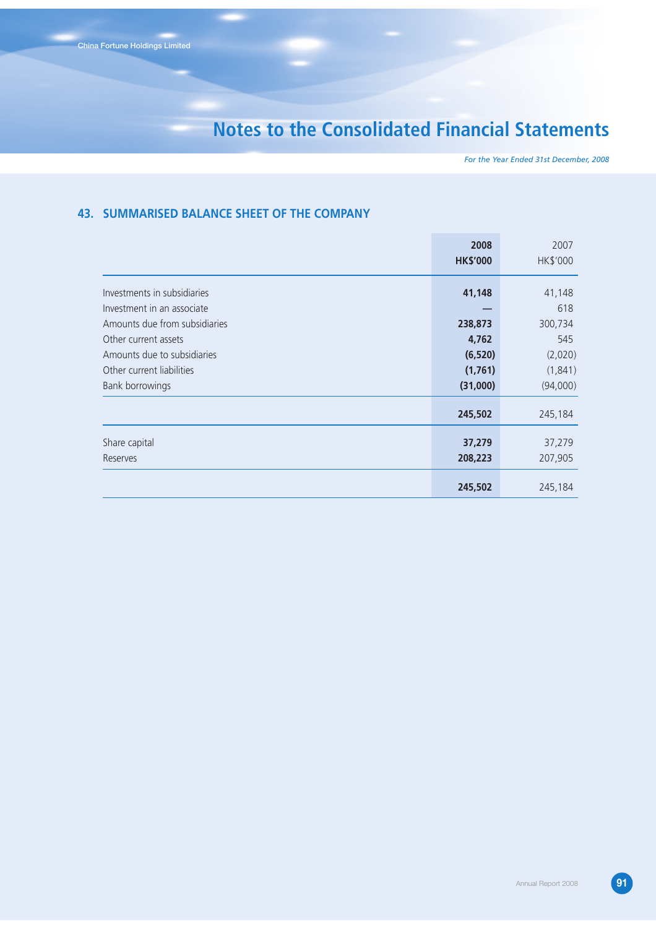*For the Year Ended 31st December, 2008*

#### **43. SUMMARISED BALANCE SHEET OF THE COMPANY**

|                                                                                                                                      | 2008<br><b>HK\$'000</b>                             | 2007<br>HK\$'000                                 |
|--------------------------------------------------------------------------------------------------------------------------------------|-----------------------------------------------------|--------------------------------------------------|
| Investments in subsidiaries<br>Investment in an associate                                                                            | 41,148                                              | 41,148<br>618                                    |
| Amounts due from subsidiaries<br>Other current assets<br>Amounts due to subsidiaries<br>Other current liabilities<br>Bank borrowings | 238,873<br>4,762<br>(6, 520)<br>(1,761)<br>(31,000) | 300,734<br>545<br>(2,020)<br>(1,841)<br>(94,000) |
|                                                                                                                                      | 245,502                                             | 245,184                                          |
| Share capital<br>Reserves                                                                                                            | 37,279<br>208,223                                   | 37,279<br>207,905                                |
|                                                                                                                                      | 245,502                                             | 245,184                                          |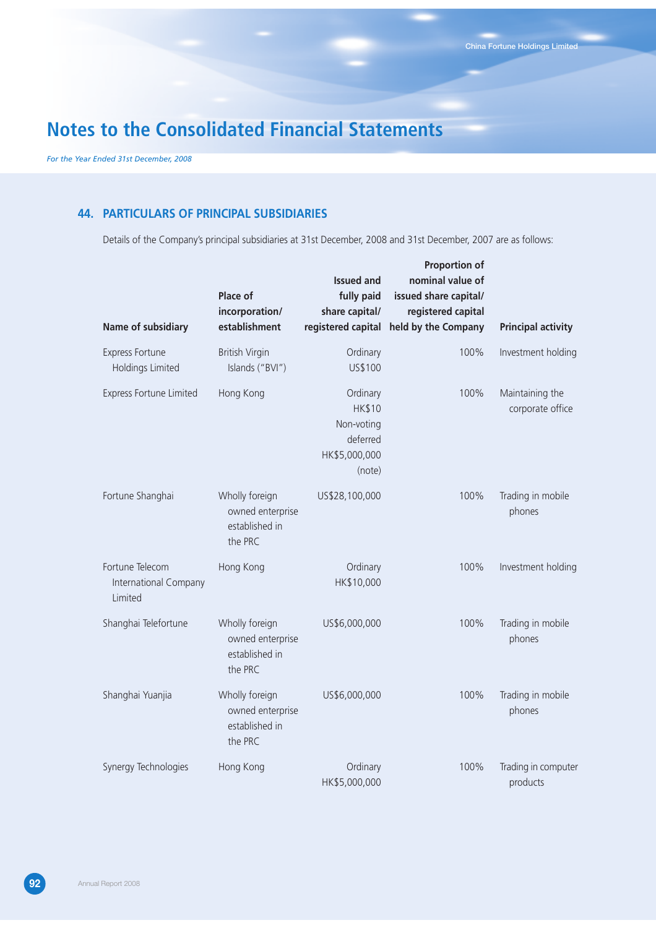*For the Year Ended 31st December, 2008*

#### **44. PARTICULARS OF PRINCIPAL SUBSIDIARIES**

Details of the Company's principal subsidiaries at 31st December, 2008 and 31st December, 2007 are as follows:

| Name of subsidiary                                  | Place of<br>incorporation/<br>establishment                     | <b>Issued and</b><br>fully paid<br>share capital/<br>registered capital        | <b>Proportion of</b><br>nominal value of<br>issued share capital/<br>registered capital<br>held by the Company | <b>Principal activity</b>           |
|-----------------------------------------------------|-----------------------------------------------------------------|--------------------------------------------------------------------------------|----------------------------------------------------------------------------------------------------------------|-------------------------------------|
| <b>Express Fortune</b><br><b>Holdings Limited</b>   | <b>British Virgin</b><br>Islands ("BVI")                        | Ordinary<br>US\$100                                                            | 100%                                                                                                           | Investment holding                  |
| <b>Express Fortune Limited</b>                      | Hong Kong                                                       | Ordinary<br><b>HK\$10</b><br>Non-voting<br>deferred<br>HK\$5,000,000<br>(note) | 100%                                                                                                           | Maintaining the<br>corporate office |
| Fortune Shanghai                                    | Wholly foreign<br>owned enterprise<br>established in<br>the PRC | US\$28,100,000                                                                 | 100%                                                                                                           | Trading in mobile<br>phones         |
| Fortune Telecom<br>International Company<br>Limited | Hong Kong                                                       | Ordinary<br>HK\$10,000                                                         | 100%                                                                                                           | Investment holding                  |
| Shanghai Telefortune                                | Wholly foreign<br>owned enterprise<br>established in<br>the PRC | US\$6,000,000                                                                  | 100%                                                                                                           | Trading in mobile<br>phones         |
| Shanghai Yuanjia                                    | Wholly foreign<br>owned enterprise<br>established in<br>the PRC | US\$6,000,000                                                                  | 100%                                                                                                           | Trading in mobile<br>phones         |
| Synergy Technologies                                | Hong Kong                                                       | Ordinary<br>HK\$5,000,000                                                      | 100%                                                                                                           | Trading in computer<br>products     |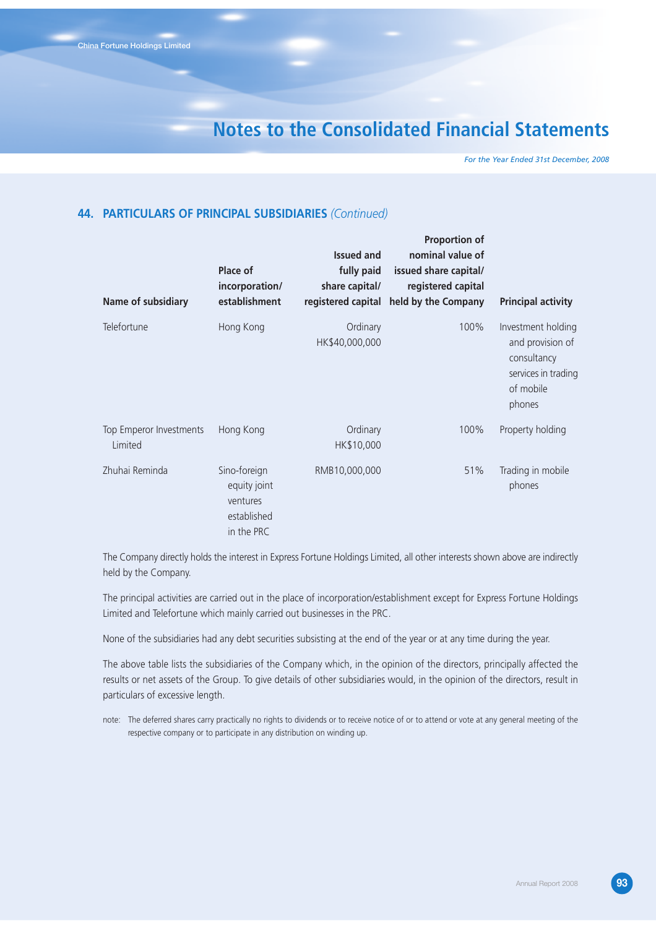*For the Year Ended 31st December, 2008*

#### **44. PARTICULARS OF PRINCIPAL SUBSIDIARIES** *(Continued)*

| Name of subsidiary                 | Place of<br>incorporation/<br>establishment                           | <b>Issued and</b><br>fully paid<br>share capital/<br>registered capital | <b>Proportion of</b><br>nominal value of<br>issued share capital/<br>registered capital<br>held by the Company | <b>Principal activity</b>                                                                           |
|------------------------------------|-----------------------------------------------------------------------|-------------------------------------------------------------------------|----------------------------------------------------------------------------------------------------------------|-----------------------------------------------------------------------------------------------------|
| Telefortune                        | Hong Kong                                                             | Ordinary<br>HK\$40,000,000                                              | 100%                                                                                                           | Investment holding<br>and provision of<br>consultancy<br>services in trading<br>of mobile<br>phones |
| Top Emperor Investments<br>Limited | Hong Kong                                                             | Ordinary<br>HK\$10,000                                                  | 100%                                                                                                           | Property holding                                                                                    |
| Zhuhai Reminda                     | Sino-foreign<br>equity joint<br>ventures<br>established<br>in the PRC | RMB10,000,000                                                           | 51%                                                                                                            | Trading in mobile<br>phones                                                                         |

The Company directly holds the interest in Express Fortune Holdings Limited, all other interests shown above are indirectly held by the Company.

The principal activities are carried out in the place of incorporation/establishment except for Express Fortune Holdings Limited and Telefortune which mainly carried out businesses in the PRC.

None of the subsidiaries had any debt securities subsisting at the end of the year or at any time during the year.

The above table lists the subsidiaries of the Company which, in the opinion of the directors, principally affected the results or net assets of the Group. To give details of other subsidiaries would, in the opinion of the directors, result in particulars of excessive length.

note: The deferred shares carry practically no rights to dividends or to receive notice of or to attend or vote at any general meeting of the respective company or to participate in any distribution on winding up.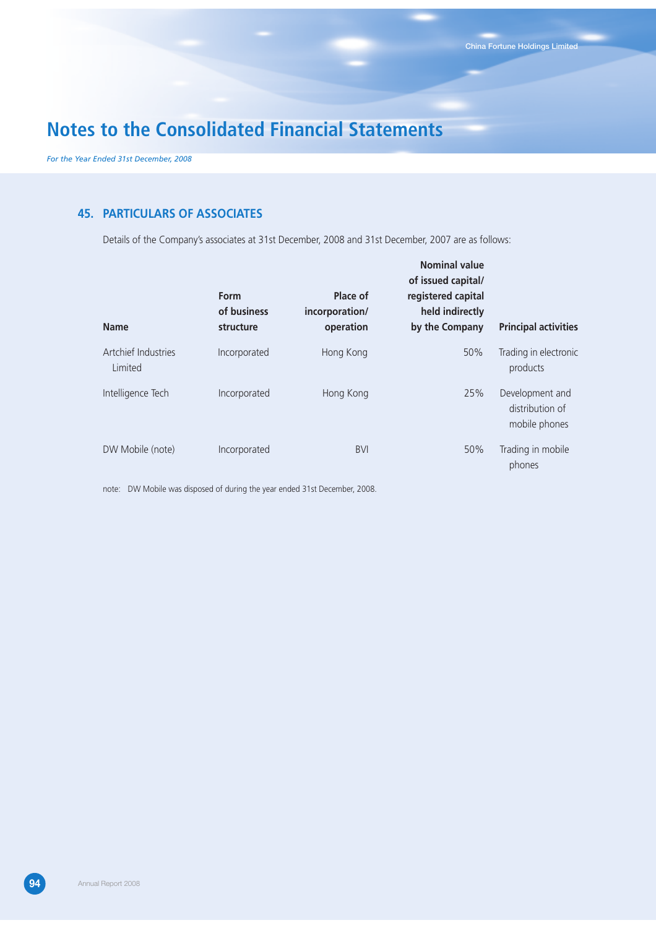*For the Year Ended 31st December, 2008*

### **45. PARTICULARS OF ASSOCIATES**

Details of the Company's associates at 31st December, 2008 and 31st December, 2007 are as follows:

| <b>Name</b>                    | Form<br>of business<br>structure | Place of<br>incorporation/<br>operation | <b>Nominal value</b><br>of issued capital/<br>registered capital<br>held indirectly<br>by the Company | <b>Principal activities</b>                         |
|--------------------------------|----------------------------------|-----------------------------------------|-------------------------------------------------------------------------------------------------------|-----------------------------------------------------|
| Artchief Industries<br>Limited | Incorporated                     | Hong Kong                               | 50%                                                                                                   | Trading in electronic<br>products                   |
| Intelligence Tech              | Incorporated                     | Hong Kong                               | 25%                                                                                                   | Development and<br>distribution of<br>mobile phones |
| DW Mobile (note)               | Incorporated                     | <b>BVI</b>                              | 50%                                                                                                   | Trading in mobile<br>phones                         |

note: DW Mobile was disposed of during the year ended 31st December, 2008.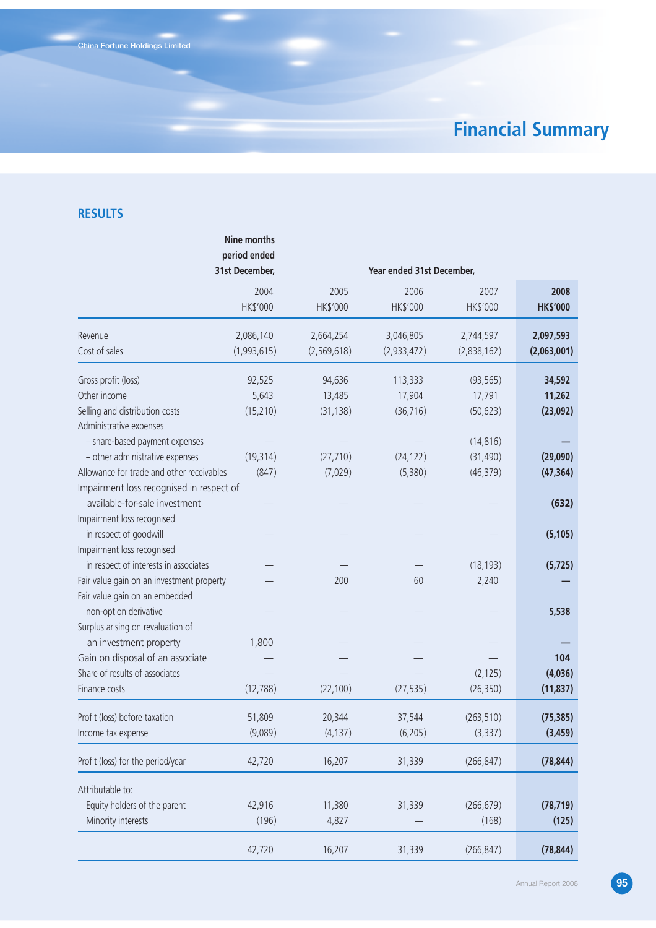# **Financial Summary**

### **RESULTS**

|                                           | Nine months<br>period ended<br>31st December, |                  | Year ended 31st December, |                  |                         |
|-------------------------------------------|-----------------------------------------------|------------------|---------------------------|------------------|-------------------------|
|                                           | 2004<br>HK\$'000                              | 2005<br>HK\$'000 | 2006<br>HK\$'000          | 2007<br>HK\$'000 | 2008<br><b>HK\$'000</b> |
| Revenue                                   | 2,086,140                                     | 2,664,254        | 3,046,805                 | 2,744,597        | 2,097,593               |
| Cost of sales                             | (1,993,615)                                   | (2,569,618)      | (2,933,472)               | (2,838,162)      | (2,063,001)             |
| Gross profit (loss)                       | 92,525                                        | 94,636           | 113,333                   | (93, 565)        | 34,592                  |
| Other income                              | 5,643                                         | 13,485           | 17,904                    | 17,791           | 11,262                  |
| Selling and distribution costs            | (15, 210)                                     | (31, 138)        | (36, 716)                 | (50, 623)        | (23,092)                |
| Administrative expenses                   |                                               |                  |                           |                  |                         |
| - share-based payment expenses            |                                               |                  |                           | (14, 816)        |                         |
| - other administrative expenses           | (19, 314)                                     | (27, 710)        | (24, 122)                 | (31, 490)        | (29,090)                |
| Allowance for trade and other receivables | (847)                                         | (7,029)          | (5,380)                   | (46, 379)        | (47, 364)               |
| Impairment loss recognised in respect of  |                                               |                  |                           |                  |                         |
| available-for-sale investment             |                                               |                  |                           |                  | (632)                   |
| Impairment loss recognised                |                                               |                  |                           |                  |                         |
| in respect of goodwill                    |                                               |                  |                           |                  | (5, 105)                |
| Impairment loss recognised                |                                               |                  |                           |                  |                         |
| in respect of interests in associates     |                                               |                  |                           | (18, 193)        | (5, 725)                |
| Fair value gain on an investment property |                                               | 200              | 60                        | 2,240            |                         |
| Fair value gain on an embedded            |                                               |                  |                           |                  |                         |
| non-option derivative                     |                                               |                  |                           |                  | 5,538                   |
| Surplus arising on revaluation of         |                                               |                  |                           |                  |                         |
| an investment property                    | 1,800                                         |                  |                           |                  |                         |
| Gain on disposal of an associate          |                                               |                  |                           |                  | 104                     |
| Share of results of associates            |                                               |                  |                           | (2, 125)         | (4,036)                 |
| Finance costs                             | (12, 788)                                     | (22, 100)        | (27, 535)                 | (26, 350)        | (11, 837)               |
| Profit (loss) before taxation             | 51,809                                        | 20,344           | 37,544                    | (263, 510)       | (75, 385)               |
|                                           | (9,089)                                       |                  | (6, 205)                  |                  |                         |
| Income tax expense                        |                                               | (4, 137)         |                           | (3, 337)         | (3, 459)                |
| Profit (loss) for the period/year         | 42,720                                        | 16,207           | 31,339                    | (266, 847)       | (78, 844)               |
| Attributable to:                          |                                               |                  |                           |                  |                         |
| Equity holders of the parent              | 42,916                                        | 11,380           | 31,339                    | (266, 679)       | (78, 719)               |
| Minority interests                        | (196)                                         | 4,827            |                           | (168)            | (125)                   |
|                                           | 42,720                                        | 16,207           | 31,339                    | (266, 847)       | (78, 844)               |